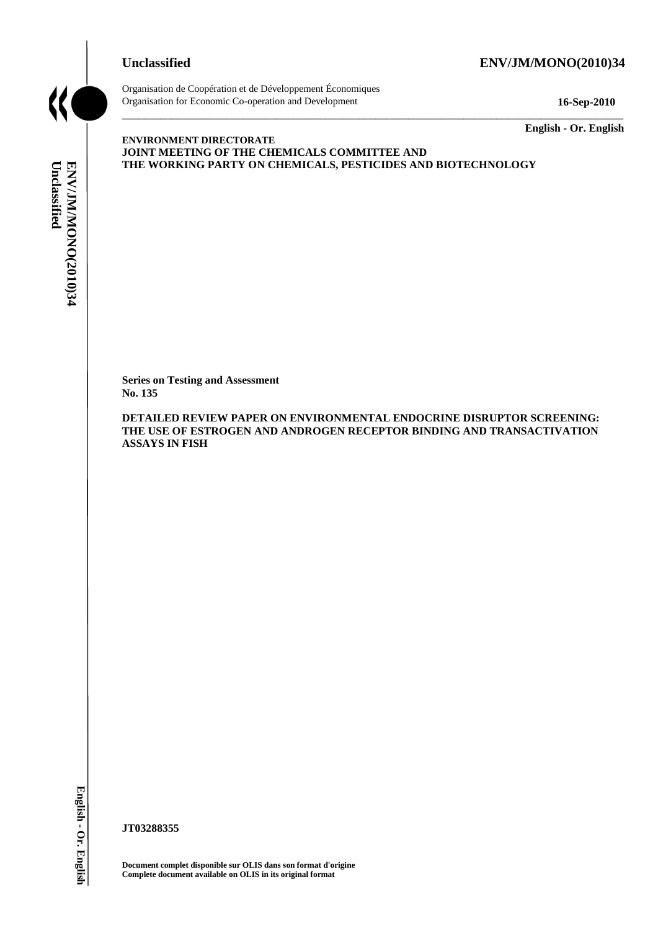

# **Unclassified ENV/JM/MONO(2010)34**



Organisation de Coopération et de Développement Économiques Organisation for Economic Co-operation and Development **16-Sep-2010**

\_\_\_\_\_\_\_\_\_\_\_\_\_ **English - Or. English**

**ENVIRONMENT DIRECTORATE JOINT MEETING OF THE CHEMICALS COMMITTEE AND THE WORKING PARTY ON CHEMICALS, PESTICIDES AND BIOTECHNOLOGY**

\_\_\_\_\_\_\_\_\_\_\_\_\_\_\_\_\_\_\_\_\_\_\_\_\_\_\_\_\_\_\_\_\_\_\_\_\_\_\_\_\_\_\_\_\_\_\_\_\_\_\_\_\_\_\_\_\_\_\_\_\_\_\_\_\_\_\_\_\_\_\_\_\_\_\_\_\_\_\_\_\_\_\_\_\_\_\_\_\_\_\_

**Series on Testing and Assessment No. 135**

**DETAILED REVIEW PAPER ON ENVIRONMENTAL ENDOCRINE DISRUPTOR SCREENING: THE USE OF ESTROGEN AND ANDROGEN RECEPTOR BINDING AND TRANSACTIVATION ASSAYS IN FISH COMPLETE WORKING PARTY ON CHEMICALS<br>
Complete document available on Testing and Assessment<br>
No. 135<br>
DETAILED REVIEW PAPER ON ENVIRO<br>
THE USE OF ESTROGEN AND ANDROGE<br>
ASSAYS IN FISH<br>
AND ANDROGE<br>
ASSAYS IN FISH<br>
TT0328835** 

**JT03288355**

**Document complet disponible sur OLIS dans son format d'origine**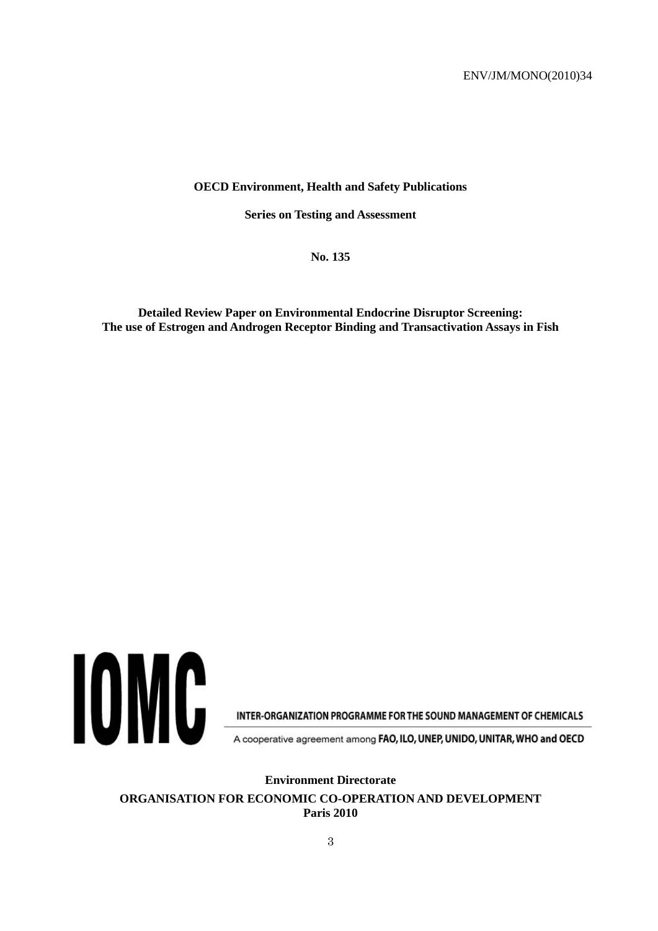#### **OECD Environment, Health and Safety Publications**

**Series on Testing and Assessment**

**No. 135**

**Detailed Review Paper on Environmental Endocrine Disruptor Screening: The use of Estrogen and Androgen Receptor Binding and Transactivation Assays in Fish**



INTER-ORGANIZATION PROGRAMME FOR THE SOUND MANAGEMENT OF CHEMICALS

A cooperative agreement among FAO, ILO, UNEP, UNIDO, UNITAR, WHO and OECD

**Environment Directorate**

**ORGANISATION FOR ECONOMIC CO-OPERATION AND DEVELOPMENT Paris 2010**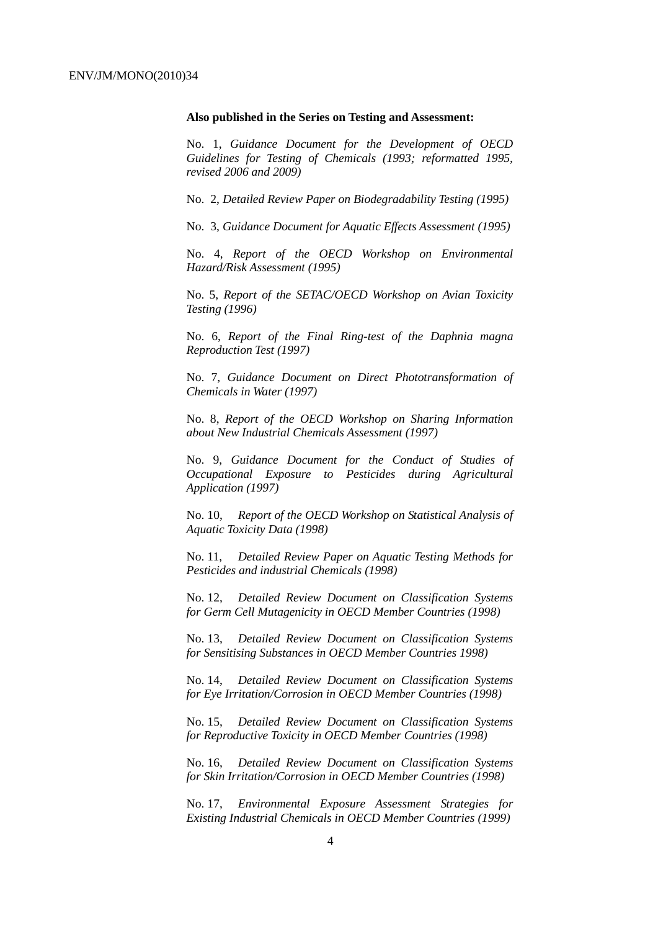#### **Also published in the Series on Testing and Assessment:**

No. 1, *Guidance Document for the Development of OECD Guidelines for Testing of Chemicals (1993; reformatted 1995, revised 2006 and 2009)*

No. 2, *Detailed Review Paper on Biodegradability Testing (1995)*

No. 3, *Guidance Document for Aquatic Effects Assessment (1995)*

No. 4, *Report of the OECD Workshop on Environmental Hazard/Risk Assessment (1995)*

No. 5, *Report of the SETAC/OECD Workshop on Avian Toxicity Testing (1996)*

No. 6, *Report of the Final Ring-test of the Daphnia magna Reproduction Test (1997)*

No. 7, *Guidance Document on Direct Phototransformation of Chemicals in Water (1997)*

No. 8, *Report of the OECD Workshop on Sharing Information about New Industrial Chemicals Assessment (1997)*

No. 9, *Guidance Document for the Conduct of Studies of Occupational Exposure to Pesticides during Agricultural Application (1997)*

No. 10, *Report of the OECD Workshop on Statistical Analysis of Aquatic Toxicity Data (1998)*

No. 11, *Detailed Review Paper on Aquatic Testing Methods for Pesticides and industrial Chemicals (1998)*

No. 12, *Detailed Review Document on Classification Systems for Germ Cell Mutagenicity in OECD Member Countries (1998)*

No. 13, *Detailed Review Document on Classification Systems for Sensitising Substances in OECD Member Countries 1998)*

No. 14, *Detailed Review Document on Classification Systems for Eye Irritation/Corrosion in OECD Member Countries (1998)*

No. 15, *Detailed Review Document on Classification Systems for Reproductive Toxicity in OECD Member Countries (1998)*

No. 16, *Detailed Review Document on Classification Systems for Skin Irritation/Corrosion in OECD Member Countries (1998)*

No. 17, *Environmental Exposure Assessment Strategies for Existing Industrial Chemicals in OECD Member Countries (1999)*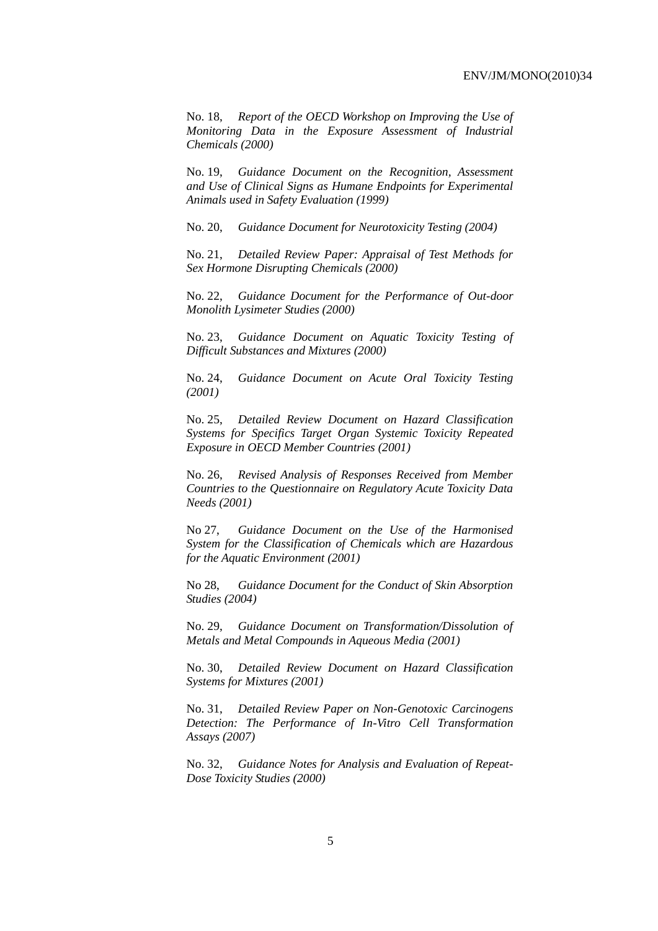No. 18, *Report of the OECD Workshop on Improving the Use of Monitoring Data in the Exposure Assessment of Industrial Chemicals (2000)*

No. 19, *Guidance Document on the Recognition, Assessment and Use of Clinical Signs as Humane Endpoints for Experimental Animals used in Safety Evaluation (1999)*

No. 20, *Guidance Document for Neurotoxicity Testing (2004)*

No. 21, *Detailed Review Paper: Appraisal of Test Methods for Sex Hormone Disrupting Chemicals (2000)*

No. 22, *Guidance Document for the Performance of Out-door Monolith Lysimeter Studies (2000)*

No. 23, *Guidance Document on Aquatic Toxicity Testing of Difficult Substances and Mixtures (2000)*

No. 24, *Guidance Document on Acute Oral Toxicity Testing (2001)*

No. 25, *Detailed Review Document on Hazard Classification Systems for Specifics Target Organ Systemic Toxicity Repeated Exposure in OECD Member Countries (2001)*

No. 26, *Revised Analysis of Responses Received from Member Countries to the Questionnaire on Regulatory Acute Toxicity Data Needs (2001)*

No 27, *Guidance Document on the Use of the Harmonised System for the Classification of Chemicals which are Hazardous for the Aquatic Environment (2001)*

No 28, *Guidance Document for the Conduct of Skin Absorption Studies (2004)*

No. 29, *Guidance Document on Transformation/Dissolution of Metals and Metal Compounds in Aqueous Media (2001)*

No. 30, *Detailed Review Document on Hazard Classification Systems for Mixtures (2001)*

No. 31, *Detailed Review Paper on Non-Genotoxic Carcinogens Detection: The Performance of In-Vitro Cell Transformation Assays (2007)* 

No. 32, *Guidance Notes for Analysis and Evaluation of Repeat-Dose Toxicity Studies (2000)*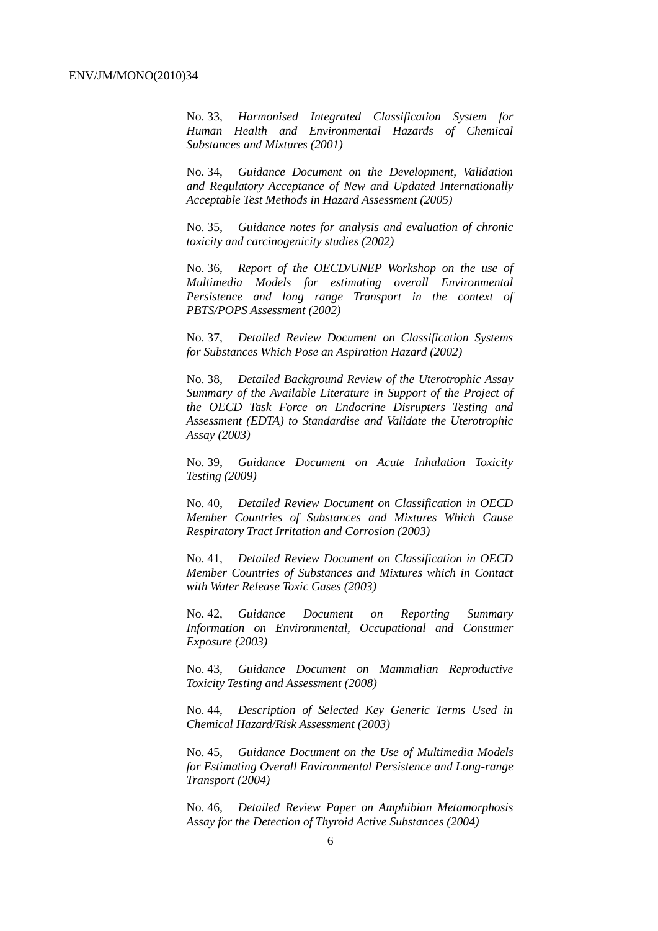No. 33, *Harmonised Integrated Classification System for Human Health and Environmental Hazards of Chemical Substances and Mixtures (2001)*

No. 34, *Guidance Document on the Development, Validation and Regulatory Acceptance of New and Updated Internationally Acceptable Test Methods in Hazard Assessment (2005)*

No. 35, *Guidance notes for analysis and evaluation of chronic toxicity and carcinogenicity studies (2002)*

No. 36, *Report of the OECD/UNEP Workshop on the use of Multimedia Models for estimating overall Environmental Persistence and long range Transport in the context of PBTS/POPS Assessment (2002)*

No. 37, *Detailed Review Document on Classification Systems for Substances Which Pose an Aspiration Hazard (2002)*

No. 38, *Detailed Background Review of the Uterotrophic Assay Summary of the Available Literature in Support of the Project of the OECD Task Force on Endocrine Disrupters Testing and Assessment (EDTA) to Standardise and Validate the Uterotrophic Assay (2003)*

No. 39, *Guidance Document on Acute Inhalation Toxicity Testing (2009)*

No. 40, *Detailed Review Document on Classification in OECD Member Countries of Substances and Mixtures Which Cause Respiratory Tract Irritation and Corrosion (2003)*

No. 41, *Detailed Review Document on Classification in OECD Member Countries of Substances and Mixtures which in Contact with Water Release Toxic Gases (2003)*

No. 42, *Guidance Document on Reporting Summary Information on Environmental, Occupational and Consumer Exposure (2003)*

No. 43, *Guidance Document on Mammalian Reproductive Toxicity Testing and Assessment (2008)*

No. 44, *Description of Selected Key Generic Terms Used in Chemical Hazard/Risk Assessment (2003)*

No. 45, *Guidance Document on the Use of Multimedia Models for Estimating Overall Environmental Persistence and Long-range Transport (2004)*

No. 46*, Detailed Review Paper on Amphibian Metamorphosis Assay for the Detection of Thyroid Active Substances (2004)*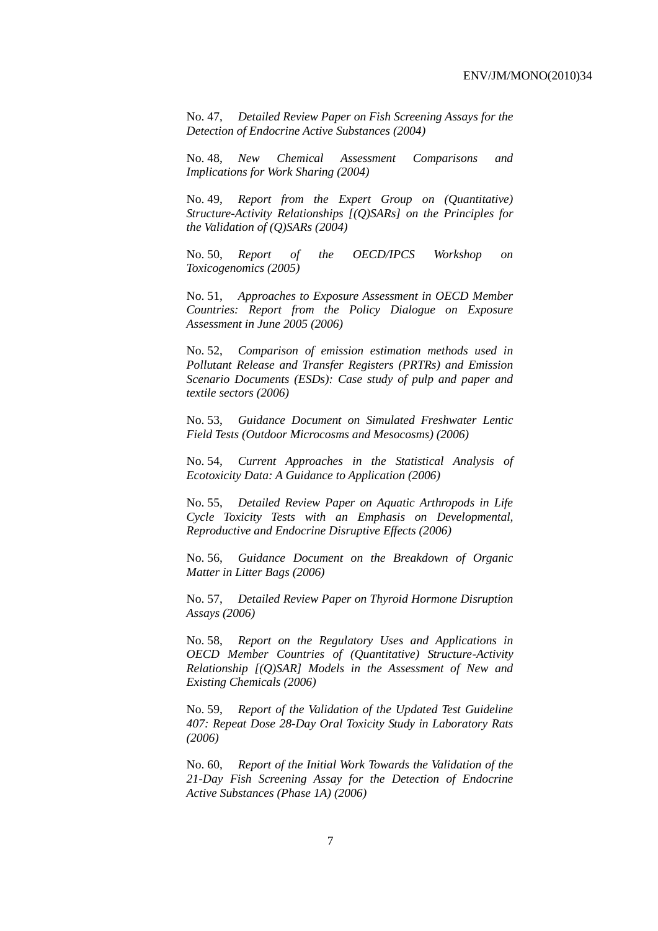No. 47, *Detailed Review Paper on Fish Screening Assays for the Detection of Endocrine Active Substances (2004)*

No. 48, *New Chemical Assessment Comparisons and Implications for Work Sharing (2004)*

No. 49, *Report from the Expert Group on (Quantitative) Structure-Activity Relationships [(Q)SARs] on the Principles for the Validation of (Q)SARs (2004)* 

No. 50, *Report of the OECD/IPCS Workshop on Toxicogenomics (2005)* 

No. 51, *Approaches to Exposure Assessment in OECD Member Countries: Report from the Policy Dialogue on Exposure Assessment in June 2005 (2006)*

No. 52, *Comparison of emission estimation methods used in Pollutant Release and Transfer Registers (PRTRs) and Emission Scenario Documents (ESDs): Case study of pulp and paper and textile sectors (2006)*

No. 53, *Guidance Document on Simulated Freshwater Lentic Field Tests (Outdoor Microcosms and Mesocosms) (2006)*

No. 54*, Current Approaches in the Statistical Analysis of Ecotoxicity Data: A Guidance to Application (2006)*

No. 55, *Detailed Review Paper on Aquatic Arthropods in Life Cycle Toxicity Tests with an Emphasis on Developmental, Reproductive and Endocrine Disruptive Effects (2006)*

No. 56, *Guidance Document on the Breakdown of Organic Matter in Litter Bags (2006)*

No. 57, *Detailed Review Paper on Thyroid Hormone Disruption Assays (2006)*

No. 58, *Report on the Regulatory Uses and Applications in OECD Member Countries of (Quantitative) Structure-Activity Relationship [(Q)SAR] Models in the Assessment of New and Existing Chemicals (2006)* 

No. 59, *Report of the Validation of the Updated Test Guideline 407: Repeat Dose 28-Day Oral Toxicity Study in Laboratory Rats (2006)*

No. 60, *Report of the Initial Work Towards the Validation of the 21-Day Fish Screening Assay for the Detection of Endocrine Active Substances (Phase 1A) (2006)*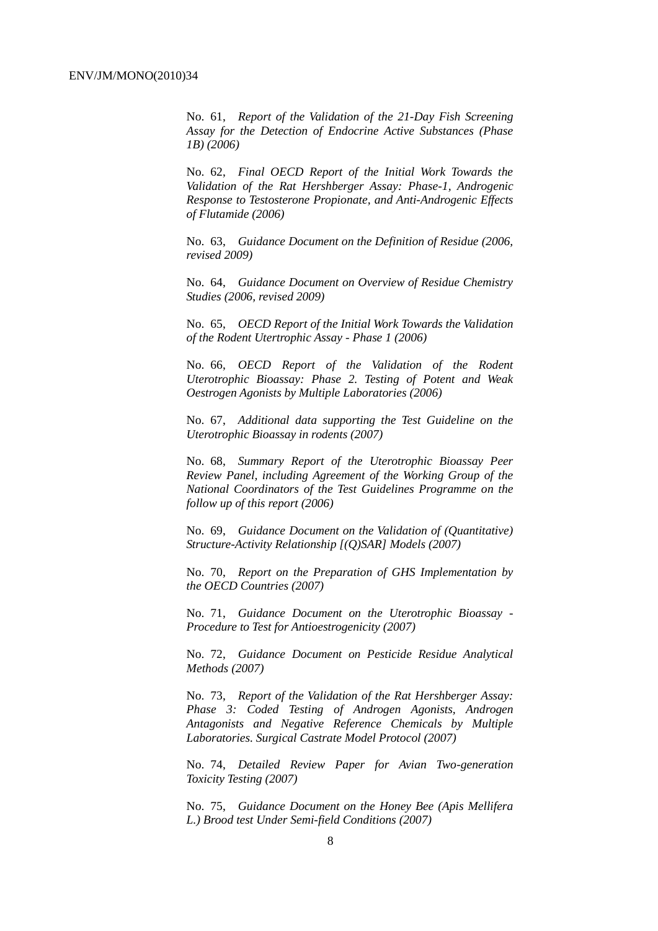No. 61, *Report of the Validation of the 21-Day Fish Screening Assay for the Detection of Endocrine Active Substances (Phase 1B) (2006)*

No. 62, *Final OECD Report of the Initial Work Towards the Validation of the Rat Hershberger Assay: Phase-1, Androgenic Response to Testosterone Propionate, and Anti-Androgenic Effects of Flutamide (2006)*

No. 63, *Guidance Document on the Definition of Residue (2006, revised 2009)*

No. 64, *Guidance Document on Overview of Residue Chemistry Studies (2006, revised 2009)*

No. 65, *OECD Report of the Initial Work Towards the Validation of the Rodent Utertrophic Assay - Phase 1 (2006)*

No. 66, *OECD Report of the Validation of the Rodent Uterotrophic Bioassay: Phase 2. Testing of Potent and Weak Oestrogen Agonists by Multiple Laboratories (2006)*

No. 67, *Additional data supporting the Test Guideline on the Uterotrophic Bioassay in rodents (2007)*

No. 68, *Summary Report of the Uterotrophic Bioassay Peer Review Panel, including Agreement of the Working Group of the National Coordinators of the Test Guidelines Programme on the follow up of this report (2006)*

No. 69, *Guidance Document on the Validation of (Quantitative) Structure-Activity Relationship [(Q)SAR] Models (2007)*

No. 70, *Report on the Preparation of GHS Implementation by the OECD Countries (2007)*

No. 71, *Guidance Document on the Uterotrophic Bioassay - Procedure to Test for Antioestrogenicity (2007)*

No. 72, *Guidance Document on Pesticide Residue Analytical Methods (2007)*

No. 73, *Report of the Validation of the Rat Hershberger Assay: Phase 3: Coded Testing of Androgen Agonists, Androgen Antagonists and Negative Reference Chemicals by Multiple Laboratories. Surgical Castrate Model Protocol (2007)* 

No. 74, *Detailed Review Paper for Avian Two-generation Toxicity Testing (2007)*

No. 75, *Guidance Document on the Honey Bee (Apis Mellifera L.) Brood test Under Semi-field Conditions (2007)*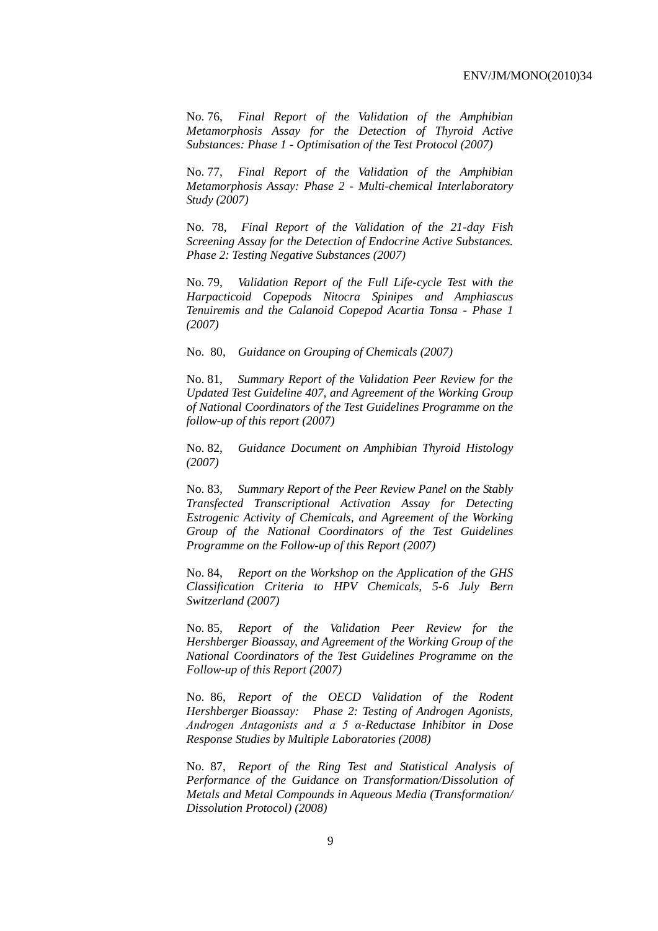No. 76, *Final Report of the Validation of the Amphibian Metamorphosis Assay for the Detection of Thyroid Active Substances: Phase 1 - Optimisation of the Test Protocol (2007)*

No. 77, *Final Report of the Validation of the Amphibian Metamorphosis Assay: Phase 2 - Multi-chemical Interlaboratory Study (2007)*

No. 78, *Final Report of the Validation of the 21-day Fish Screening Assay for the Detection of Endocrine Active Substances. Phase 2: Testing Negative Substances (2007)*

No. 79, *Validation Report of the Full Life-cycle Test with the Harpacticoid Copepods Nitocra Spinipes and Amphiascus Tenuiremis and the Calanoid Copepod Acartia Tonsa - Phase 1 (2007)*

No. 80, *Guidance on Grouping of Chemicals (2007)*

No. 81, *Summary Report of the Validation Peer Review for the Updated Test Guideline 407, and Agreement of the Working Group of National Coordinators of the Test Guidelines Programme on the follow-up of this report (2007)* 

No. 82, *Guidance Document on Amphibian Thyroid Histology (2007)*

No. 83, *Summary Report of the Peer Review Panel on the Stably Transfected Transcriptional Activation Assay for Detecting Estrogenic Activity of Chemicals, and Agreement of the Working Group of the National Coordinators of the Test Guidelines Programme on the Follow-up of this Report (2007)*

No. 84, *Report on the Workshop on the Application of the GHS Classification Criteria to HPV Chemicals, 5-6 July Bern Switzerland (2007)*

No. 85, *Report of the Validation Peer Review for the Hershberger Bioassay, and Agreement of the Working Group of the National Coordinators of the Test Guidelines Programme on the Follow-up of this Report (2007)*

No. 86, *Report of the OECD Validation of the Rodent Hershberger Bioassay: Phase 2: Testing of Androgen Agonists, Androgen Antagonists and a 5 α-Reductase Inhibitor in Dose Response Studies by Multiple Laboratories (2008)*

No. 87, *Report of the Ring Test and Statistical Analysis of Performance of the Guidance on Transformation/Dissolution of Metals and Metal Compounds in Aqueous Media (Transformation/ Dissolution Protocol) (2008)*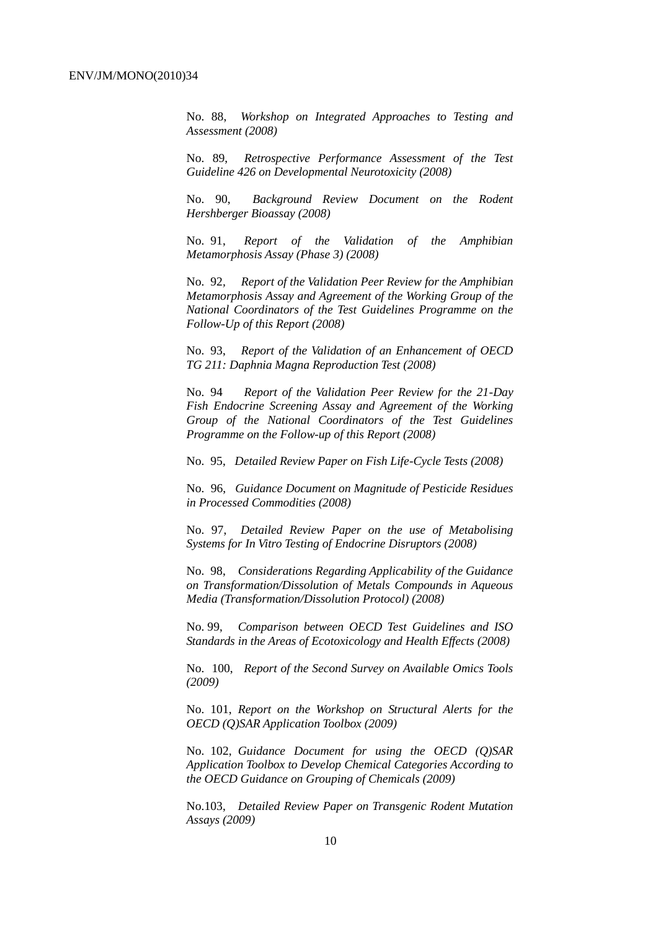No. 88, *Workshop on Integrated Approaches to Testing and Assessment (2008)*

No. 89, *Retrospective Performance Assessment of the Test Guideline 426 on Developmental Neurotoxicity (2008)*

No. 90, *Background Review Document on the Rodent Hershberger Bioassay (2008)*

No. 91, *Report of the Validation of the Amphibian Metamorphosis Assay (Phase 3) (2008)*

No. 92*, Report of the Validation Peer Review for the Amphibian Metamorphosis Assay and Agreement of the Working Group of the National Coordinators of the Test Guidelines Programme on the Follow-Up of this Report (2008)*

No. 93, *Report of the Validation of an Enhancement of OECD TG 211: Daphnia Magna Reproduction Test (2008)*

No. 94 *Report of the Validation Peer Review for the 21-Day Fish Endocrine Screening Assay and Agreement of the Working Group of the National Coordinators of the Test Guidelines Programme on the Follow-up of this Report (2008)*

No. 95, *Detailed Review Paper on Fish Life-Cycle Tests (2008)*

No. 96, *Guidance Document on Magnitude of Pesticide Residues in Processed Commodities (2008)*

No. 97, *Detailed Review Paper on the use of Metabolising Systems for In Vitro Testing of Endocrine Disruptors (2008)*

No. 98, *Considerations Regarding Applicability of the Guidance on Transformation/Dissolution of Metals Compounds in Aqueous Media (Transformation/Dissolution Protocol) (2008)*

No. 99, *Comparison between OECD Test Guidelines and ISO Standards in the Areas of Ecotoxicology and Health Effects (2008)*

No. 100, *Report of the Second Survey on Available Omics Tools (2009)*

No. 101, *Report on the Workshop on Structural Alerts for the OECD (Q)SAR Application Toolbox (2009)*

No. 102, *Guidance Document for using the OECD (Q)SAR Application Toolbox to Develop Chemical Categories According to the OECD Guidance on Grouping of Chemicals (2009)*

No.103, *Detailed Review Paper on Transgenic Rodent Mutation Assays (2009)*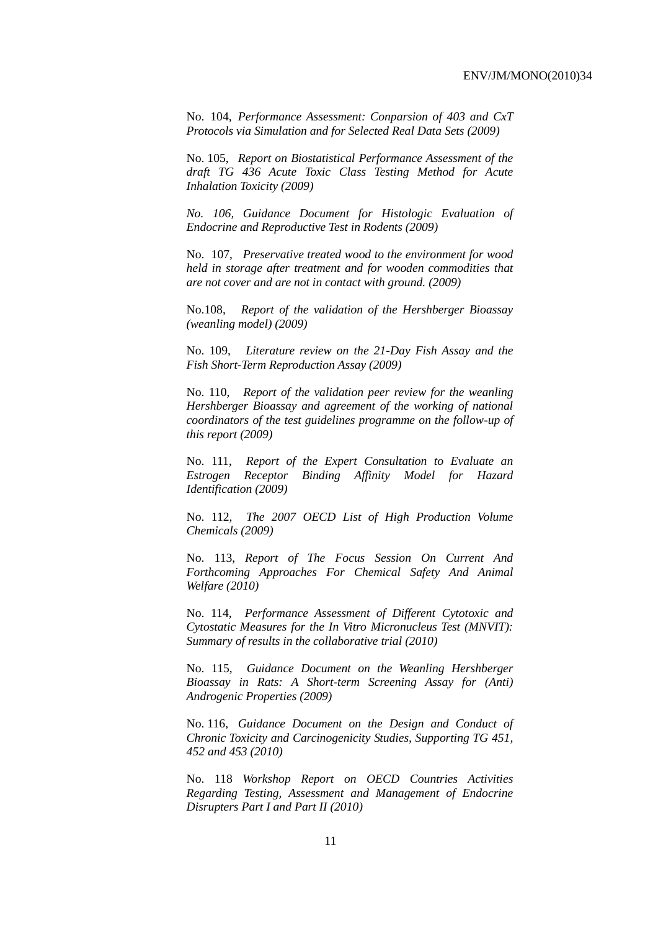No. 104, *Performance Assessment: Conparsion of 403 and CxT Protocols via Simulation and for Selected Real Data Sets (2009)*

No. 105, *Report on Biostatistical Performance Assessment of the draft TG 436 Acute Toxic Class Testing Method for Acute Inhalation Toxicity (2009)*

*No. 106, Guidance Document for Histologic Evaluation of Endocrine and Reproductive Test in Rodents (2009)*

No. 107, *Preservative treated wood to the environment for wood held in storage after treatment and for wooden commodities that are not cover and are not in contact with ground. (2009)*

No.108, *Report of the validation of the Hershberger Bioassay (weanling model) (2009)*

No. 109, *Literature review on the 21-Day Fish Assay and the Fish Short-Term Reproduction Assay (2009)*

No. 110, *Report of the validation peer review for the weanling Hershberger Bioassay and agreement of the working of national coordinators of the test guidelines programme on the follow-up of this report (2009)*

No. 111, *Report of the Expert Consultation to Evaluate an Estrogen Receptor Binding Affinity Model for Hazard Identification (2009)*

No. 112, *The 2007 OECD List of High Production Volume Chemicals (2009)*

No. 113, *Report of The Focus Session On Current And Forthcoming Approaches For Chemical Safety And Animal Welfare (2010)*

No. 114, *Performance Assessment of Different Cytotoxic and Cytostatic Measures for the In Vitro Micronucleus Test (MNVIT): Summary of results in the collaborative trial (2010)*

No. 115, *Guidance Document on the Weanling Hershberger Bioassay in Rats: A Short-term Screening Assay for (Anti) Androgenic Properties (2009)*

No. 116, *Guidance Document on the Design and Conduct of Chronic Toxicity and Carcinogenicity Studies, Supporting TG 451, 452 and 453 (2010)*

No. 118 *Workshop Report on OECD Countries Activities Regarding Testing, Assessment and Management of Endocrine Disrupters Part I and Part II (2010)*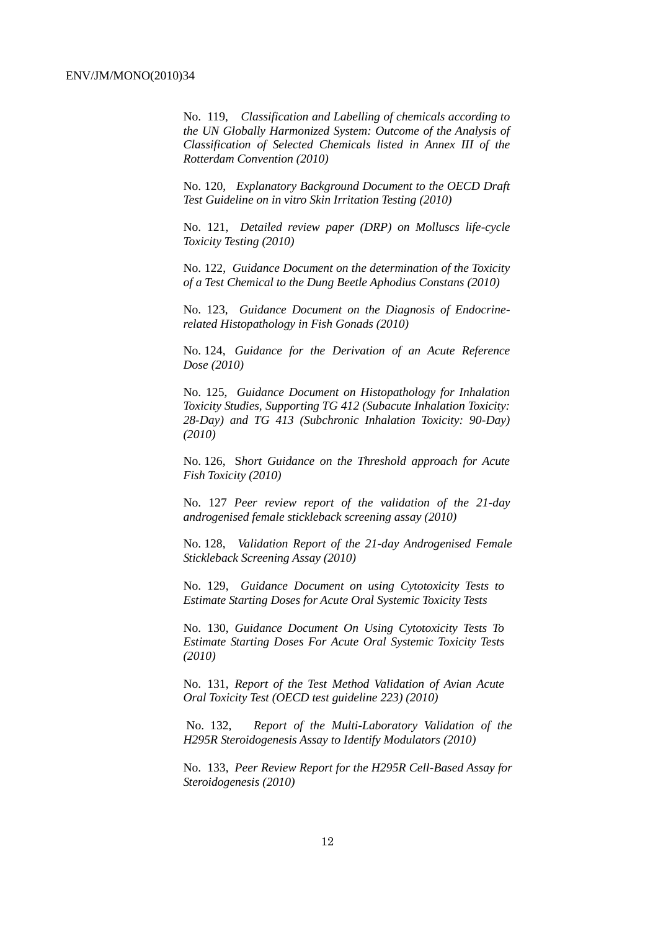No. 119, *Classification and Labelling of chemicals according to the UN Globally Harmonized System: Outcome of the Analysis of Classification of Selected Chemicals listed in Annex III of the Rotterdam Convention (2010)*

No. 120, *Explanatory Background Document to the OECD Draft Test Guideline on in vitro Skin Irritation Testing (2010)*

No. 121, *Detailed review paper (DRP) on Molluscs life-cycle Toxicity Testing (2010)*

No. 122, *Guidance Document on the determination of the Toxicity of a Test Chemical to the Dung Beetle Aphodius Constans (2010)* 

No. 123, *Guidance Document on the Diagnosis of Endocrinerelated Histopathology in Fish Gonads (2010)*

No. 124, *Guidance for the Derivation of an Acute Reference Dose (2010)*

No. 125, *Guidance Document on Histopathology for Inhalation Toxicity Studies, Supporting TG 412 (Subacute Inhalation Toxicity: 28-Day) and TG 413 (Subchronic Inhalation Toxicity: 90-Day) (2010)*

No. 126, S*hort Guidance on the Threshold approach for Acute Fish Toxicity (2010)*

No. 127 *Peer review report of the validation of the 21-day androgenised female stickleback screening assay (2010)*

No. 128, *Validation Report of the 21-day Androgenised Female Stickleback Screening Assay (2010)*

No. 129, *Guidance Document on using Cytotoxicity Tests to Estimate Starting Doses for Acute Oral Systemic Toxicity Tests*

No. 130, *Guidance Document On Using Cytotoxicity Tests To Estimate Starting Doses For Acute Oral Systemic Toxicity Tests (2010)*

No. 131, *Report of the Test Method Validation of Avian Acute Oral Toxicity Test (OECD test guideline 223) (2010)*

No. 132, *Report of the Multi-Laboratory Validation of the H295R Steroidogenesis Assay to Identify Modulators (2010)*

No. 133, *Peer Review Report for the H295R Cell-Based Assay for Steroidogenesis (2010)*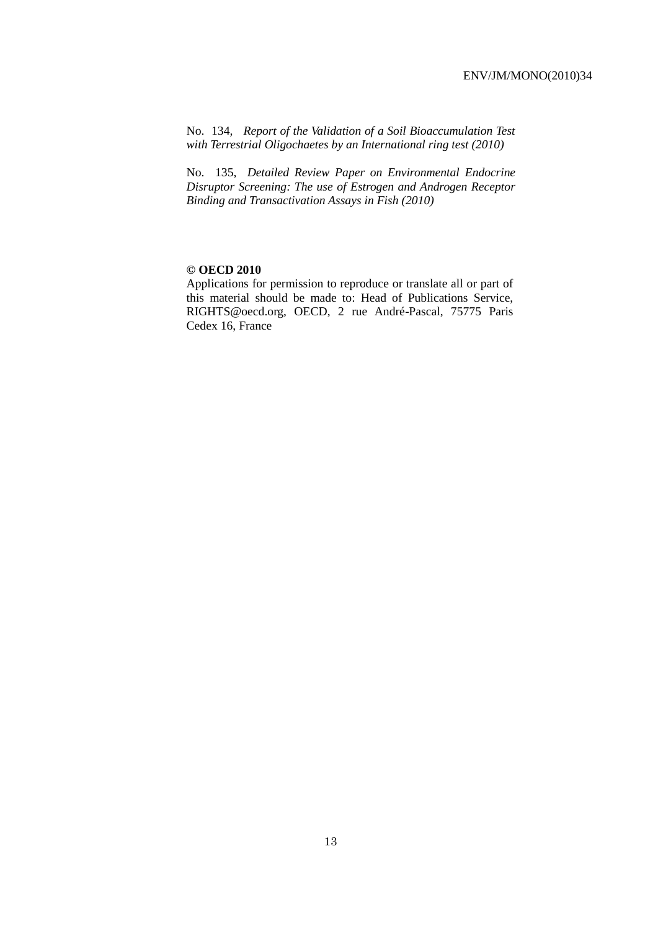No. 134*, Report of the Validation of a Soil Bioaccumulation Test with Terrestrial Oligochaetes by an International ring test (2010)*

No. 135, *Detailed Review Paper on Environmental Endocrine Disruptor Screening: The use of Estrogen and Androgen Receptor Binding and Transactivation Assays in Fish (2010)*

#### **© OECD 2010**

Applications for permission to reproduce or translate all or part of this material should be made to: Head of Publications Service, RIGHTS@oecd.org, OECD, 2 rue André-Pascal, 75775 Paris Cedex 16, France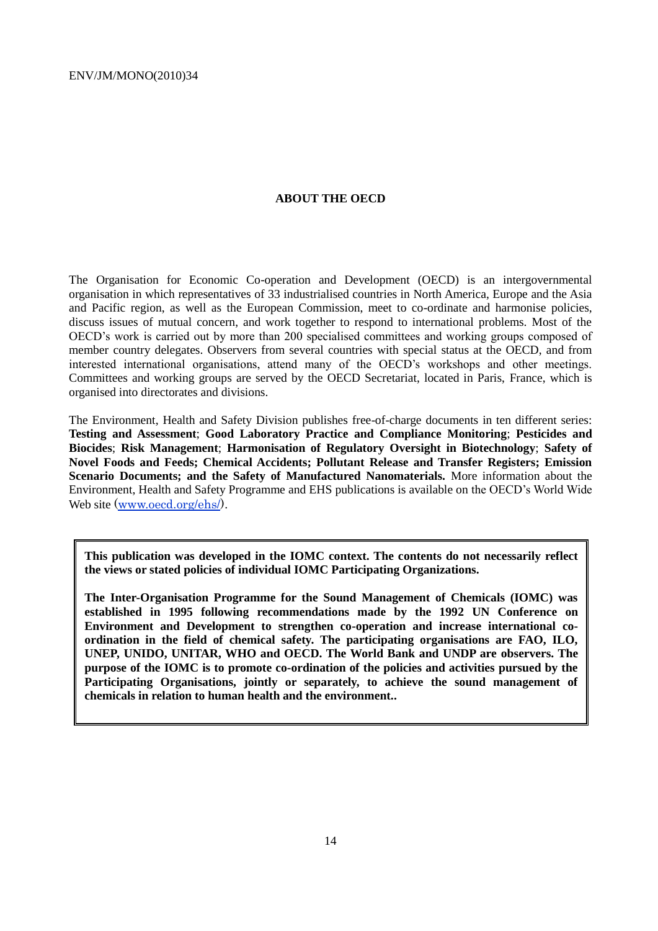#### **ABOUT THE OECD**

The Organisation for Economic Co-operation and Development (OECD) is an intergovernmental organisation in which representatives of 33 industrialised countries in North America, Europe and the Asia and Pacific region, as well as the European Commission, meet to co-ordinate and harmonise policies, discuss issues of mutual concern, and work together to respond to international problems. Most of the OECD's work is carried out by more than 200 specialised committees and working groups composed of member country delegates. Observers from several countries with special status at the OECD, and from interested international organisations, attend many of the OECD's workshops and other meetings. Committees and working groups are served by the OECD Secretariat, located in Paris, France, which is organised into directorates and divisions.

The Environment, Health and Safety Division publishes free-of-charge documents in ten different series: **Testing and Assessment**; **Good Laboratory Practice and Compliance Monitoring**; **Pesticides and Biocides**; **Risk Management**; **Harmonisation of Regulatory Oversight in Biotechnology**; **Safety of Novel Foods and Feeds; Chemical Accidents; Pollutant Release and Transfer Registers; Emission Scenario Documents; and the Safety of Manufactured Nanomaterials.** More information about the Environment, Health and Safety Programme and EHS publications is available on the OECD's World Wide Web site [\(www.oecd.org/ehs/\)](http://www.oecd.org/ehs/).

**This publication was developed in the IOMC context. The contents do not necessarily reflect the views or stated policies of individual IOMC Participating Organizations.**

**The Inter-Organisation Programme for the Sound Management of Chemicals (IOMC) was established in 1995 following recommendations made by the 1992 UN Conference on Environment and Development to strengthen co-operation and increase international coordination in the field of chemical safety. The participating organisations are FAO, ILO, UNEP, UNIDO, UNITAR, WHO and OECD. The World Bank and UNDP are observers. The purpose of the IOMC is to promote co-ordination of the policies and activities pursued by the**  Participating Organisations, jointly or separately, to achieve the sound management of **chemicals in relation to human health and the environment..**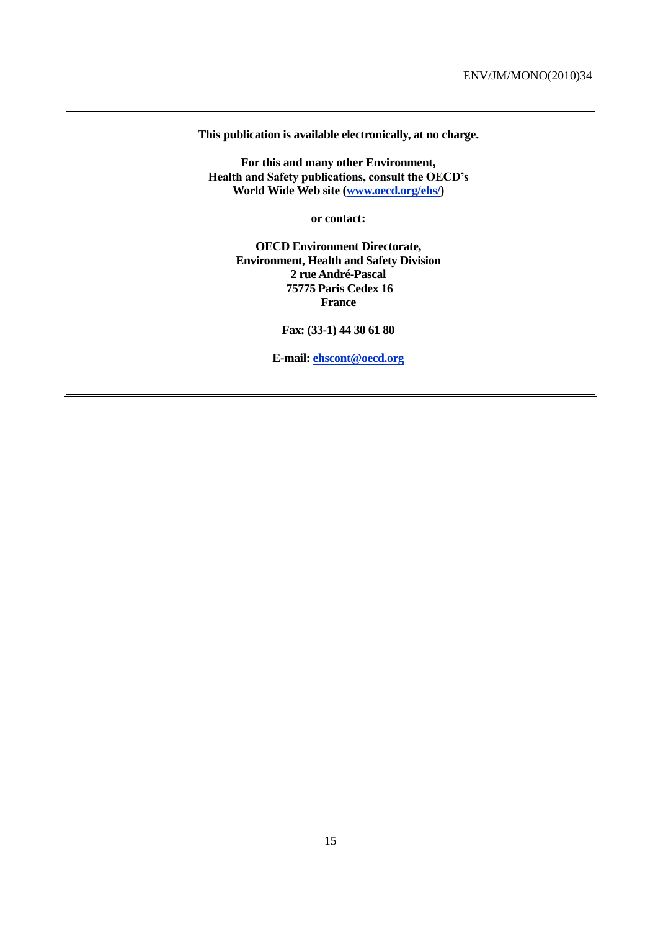**This publication is available electronically, at no charge.**

**For this and many other Environment, Health and Safety publications, consult the OECD's World Wide Web site [\(www.oecd.org/ehs/\)](http://www.oecd.org/ehs/)**

**or contact:**

**OECD Environment Directorate, Environment, Health and Safety Division 2 rue André-Pascal 75775 Paris Cedex 16 France**

**Fax: (33-1) 44 30 61 80**

**E-mail: [ehscont@oecd.org](mailto:ehscont@oecd.org)**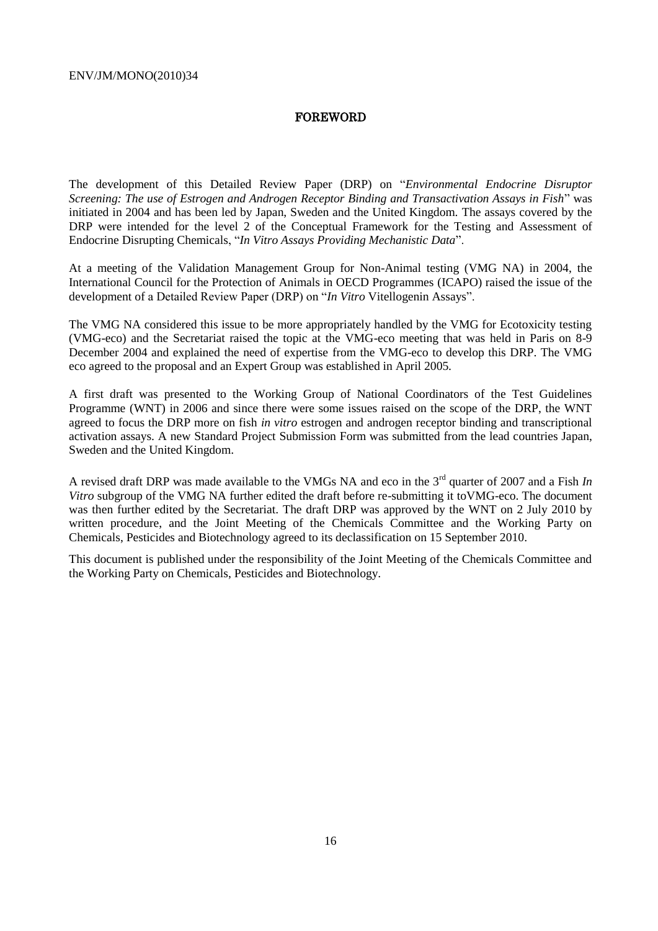#### FOREWORD

The development of this Detailed Review Paper (DRP) on "*Environmental Endocrine Disruptor Screening: The use of Estrogen and Androgen Receptor Binding and Transactivation Assays in Fish*‖ was initiated in 2004 and has been led by Japan, Sweden and the United Kingdom. The assays covered by the DRP were intended for the level 2 of the Conceptual Framework for the Testing and Assessment of Endocrine Disrupting Chemicals, "*In Vitro Assays Providing Mechanistic Data*".

At a meeting of the Validation Management Group for Non-Animal testing (VMG NA) in 2004, the International Council for the Protection of Animals in OECD Programmes (ICAPO) raised the issue of the development of a Detailed Review Paper (DRP) on "*In Vitro* Vitellogenin Assays".

The VMG NA considered this issue to be more appropriately handled by the VMG for Ecotoxicity testing (VMG-eco) and the Secretariat raised the topic at the VMG-eco meeting that was held in Paris on 8-9 December 2004 and explained the need of expertise from the VMG-eco to develop this DRP. The VMG eco agreed to the proposal and an Expert Group was established in April 2005.

A first draft was presented to the Working Group of National Coordinators of the Test Guidelines Programme (WNT) in 2006 and since there were some issues raised on the scope of the DRP, the WNT agreed to focus the DRP more on fish *in vitro* estrogen and androgen receptor binding and transcriptional activation assays. A new Standard Project Submission Form was submitted from the lead countries Japan, Sweden and the United Kingdom.

A revised draft DRP was made available to the VMGs NA and eco in the 3rd quarter of 2007 and a Fish *In Vitro* subgroup of the VMG NA further edited the draft before re-submitting it toVMG-eco. The document was then further edited by the Secretariat. The draft DRP was approved by the WNT on 2 July 2010 by written procedure, and the Joint Meeting of the Chemicals Committee and the Working Party on Chemicals, Pesticides and Biotechnology agreed to its declassification on 15 September 2010.

This document is published under the responsibility of the Joint Meeting of the Chemicals Committee and the Working Party on Chemicals, Pesticides and Biotechnology.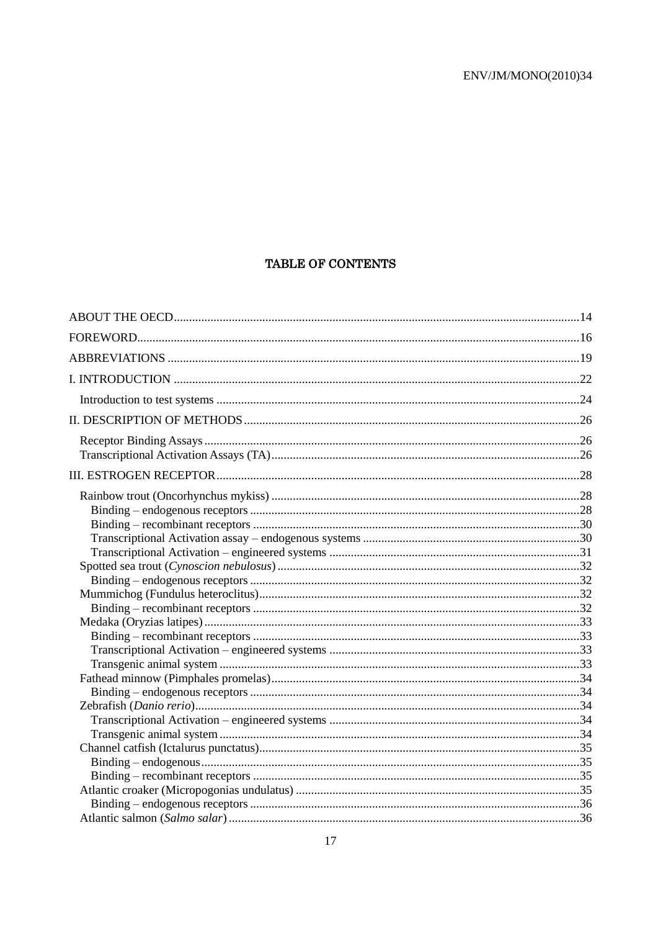# TABLE OF CONTENTS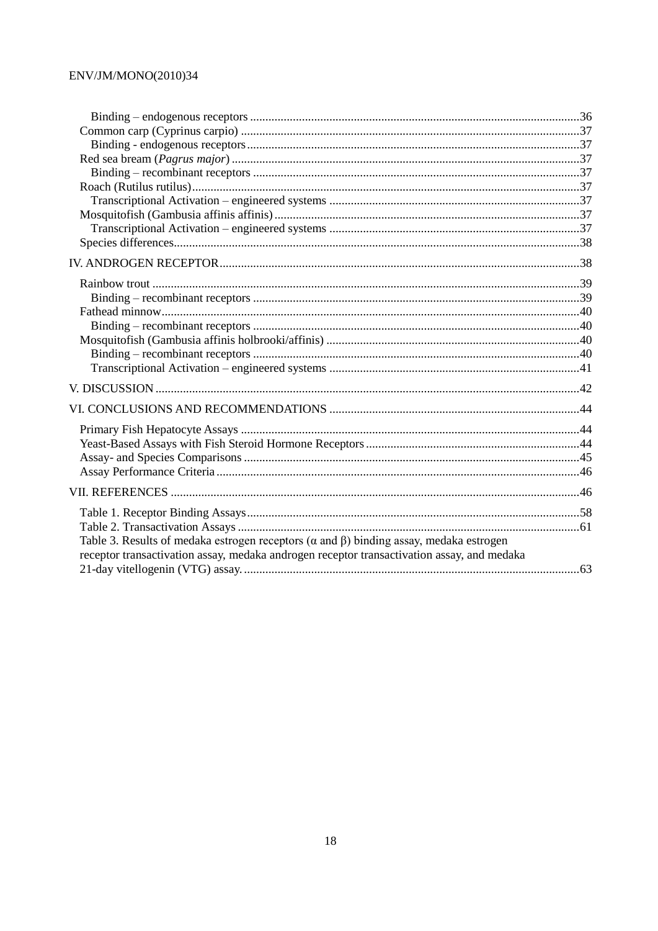| Table 3. Results of medaka estrogen receptors ( $\alpha$ and $\beta$ ) binding assay, medaka estrogen |  |
|-------------------------------------------------------------------------------------------------------|--|
| receptor transactivation assay, medaka androgen receptor transactivation assay, and medaka            |  |
|                                                                                                       |  |
|                                                                                                       |  |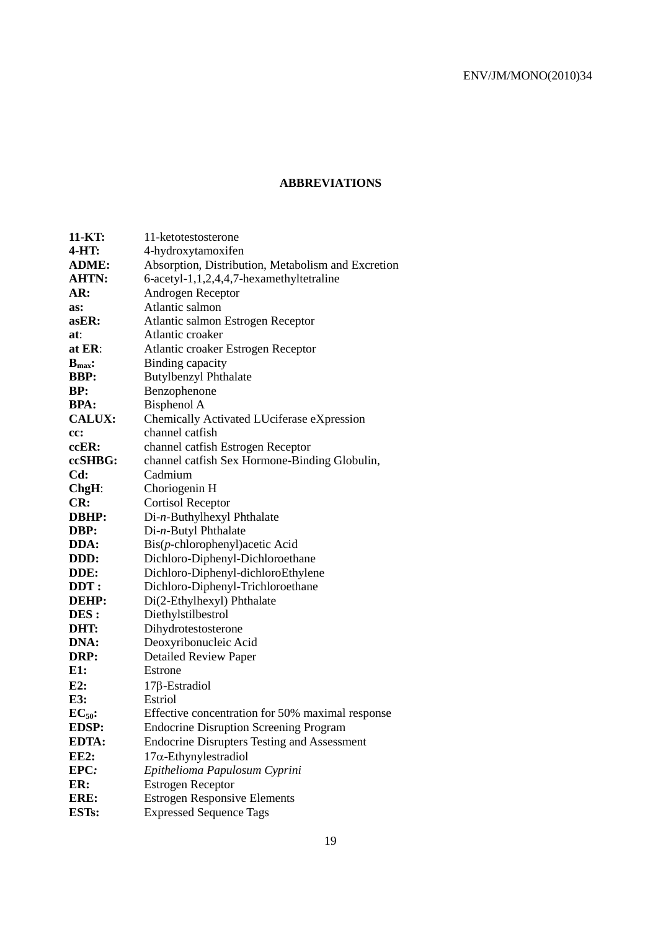# **ABBREVIATIONS**

| 11-KT:             | 11-ketotestosterone                                |
|--------------------|----------------------------------------------------|
| 4-HT:              | 4-hydroxytamoxifen                                 |
| <b>ADME:</b>       | Absorption, Distribution, Metabolism and Excretion |
| <b>AHTN:</b>       | 6-acetyl-1,1,2,4,4,7-hexamethyltetraline           |
| AR:                | Androgen Receptor                                  |
| as:                | Atlantic salmon                                    |
| $a$ s $ER$ :       | Atlantic salmon Estrogen Receptor                  |
| at:                | Atlantic croaker                                   |
| at ER:             | Atlantic croaker Estrogen Receptor                 |
| $B_{\text{max}}$ : | Binding capacity                                   |
| <b>BBP:</b>        | <b>Butylbenzyl Phthalate</b>                       |
| BP:                | Benzophenone                                       |
| <b>BPA:</b>        | Bisphenol A                                        |
| <b>CALUX:</b>      | Chemically Activated LUciferase eXpression         |
| cc:                | channel catfish                                    |
| ccER:              | channel catfish Estrogen Receptor                  |
| ccSHBG:            | channel catfish Sex Hormone-Binding Globulin,      |
| Cd:                | Cadmium                                            |
| ChgH:              | Choriogenin H                                      |
| CR:                | <b>Cortisol Receptor</b>                           |
| DBHP:              | Di-n-Buthylhexyl Phthalate                         |
| DBP:               | Di-n-Butyl Phthalate                               |
| DDA:               | Bis(p-chlorophenyl)acetic Acid                     |
| DDD:               | Dichloro-Diphenyl-Dichloroethane                   |
| DDE:               | Dichloro-Diphenyl-dichloroEthylene                 |
| DDT:               | Dichloro-Diphenyl-Trichloroethane                  |
| DEHP:              | Di(2-Ethylhexyl) Phthalate                         |
| DES :              | Diethylstilbestrol                                 |
| DHT:               | Dihydrotestosterone                                |
| DNA:               | Deoxyribonucleic Acid                              |
| DRP:               | <b>Detailed Review Paper</b>                       |
| E1:                | Estrone                                            |
| E2:                | $17\beta$ -Estradiol                               |
| E3:                | Estriol                                            |
| $EC_{50}$ :        | Effective concentration for 50% maximal response   |
| <b>EDSP:</b>       | <b>Endocrine Disruption Screening Program</b>      |
| <b>EDTA:</b>       | <b>Endocrine Disrupters Testing and Assessment</b> |
| <b>EE2:</b>        | $17\alpha$ -Ethynylestradiol                       |
| EPC:               | Epithelioma Papulosum Cyprini                      |
| ER:                | <b>Estrogen Receptor</b>                           |
| ERE:               | <b>Estrogen Responsive Elements</b>                |
| <b>ESTs:</b>       | <b>Expressed Sequence Tags</b>                     |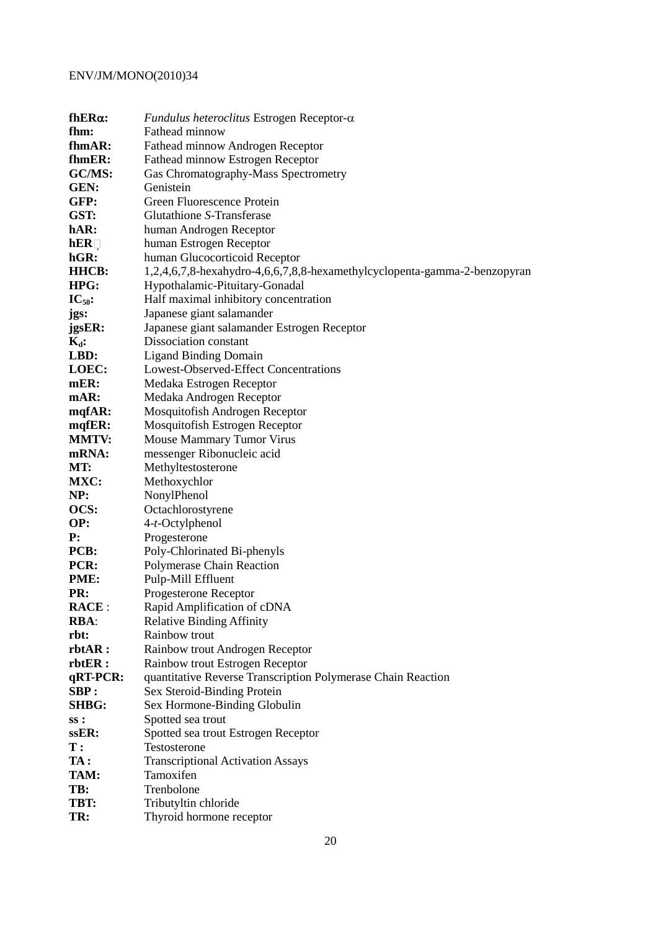| $f h E R \alpha$ : | Fundulus heteroclitus Estrogen Receptor- $\alpha$                         |
|--------------------|---------------------------------------------------------------------------|
| fhm:               | Fathead minnow                                                            |
| fhmAR:             | Fathead minnow Androgen Receptor                                          |
| fhmER:             | Fathead minnow Estrogen Receptor                                          |
| GC/MS:             | Gas Chromatography-Mass Spectrometry                                      |
| GEN:               | Genistein                                                                 |
| GFP:               | Green Fluorescence Protein                                                |
| GST:               | Glutathione S-Transferase                                                 |
| hAR:               | human Androgen Receptor                                                   |
| hER                | human Estrogen Receptor                                                   |
| hGR:               | human Glucocorticoid Receptor                                             |
| <b>HHCB:</b>       | 1,2,4,6,7,8-hexahydro-4,6,6,7,8,8-hexamethylcyclopenta-gamma-2-benzopyran |
| HPG:               | Hypothalamic-Pituitary-Gonadal                                            |
| $IC_{50}$ :        | Half maximal inhibitory concentration                                     |
| jgs:               | Japanese giant salamander                                                 |
| jgsER:             | Japanese giant salamander Estrogen Receptor                               |
| $K_d$ :            | Dissociation constant                                                     |
| LBD:               | <b>Ligand Binding Domain</b>                                              |
| LOEC:              | Lowest-Observed-Effect Concentrations                                     |
| mER:               | Medaka Estrogen Receptor                                                  |
| mAR:               | Medaka Androgen Receptor                                                  |
| mqfAR:             | Mosquitofish Androgen Receptor                                            |
| mqfER:             | Mosquitofish Estrogen Receptor                                            |
| <b>MMTV:</b>       | Mouse Mammary Tumor Virus                                                 |
| mRNA:              | messenger Ribonucleic acid                                                |
| MT:                | Methyltestosterone                                                        |
| MXC:               | Methoxychlor                                                              |
| NP:                | NonylPhenol                                                               |
| OCS:               | Octachlorostyrene                                                         |
| OP:                | 4-t-Octylphenol                                                           |
| ${\bf P}$ :        | Progesterone                                                              |
| PCB:               | Poly-Chlorinated Bi-phenyls                                               |
| PCR:               | Polymerase Chain Reaction                                                 |
| PME:               | Pulp-Mill Effluent                                                        |
| PR:                | Progesterone Receptor                                                     |
| <b>RACE:</b>       | Rapid Amplification of cDNA                                               |
| <b>RBA:</b>        | <b>Relative Binding Affinity</b>                                          |
| rbt:               | <b>Rainbow trout</b>                                                      |
| rbtAR:             | Rainbow trout Androgen Receptor                                           |
| rbtER:             | Rainbow trout Estrogen Receptor                                           |
| qRT-PCR:           | quantitative Reverse Transcription Polymerase Chain Reaction              |
| SBP:               | Sex Steroid-Binding Protein                                               |
| <b>SHBG:</b>       | Sex Hormone-Binding Globulin                                              |
| ss:                | Spotted sea trout                                                         |
| ssER:              | Spotted sea trout Estrogen Receptor                                       |
| $\mathbf{T}$ :     | Testosterone                                                              |
| TA:                | <b>Transcriptional Activation Assays</b>                                  |
| TAM:               | Tamoxifen                                                                 |
| TB:                | Trenbolone                                                                |
| TBT:               | Tributyltin chloride                                                      |
| TR:                | Thyroid hormone receptor                                                  |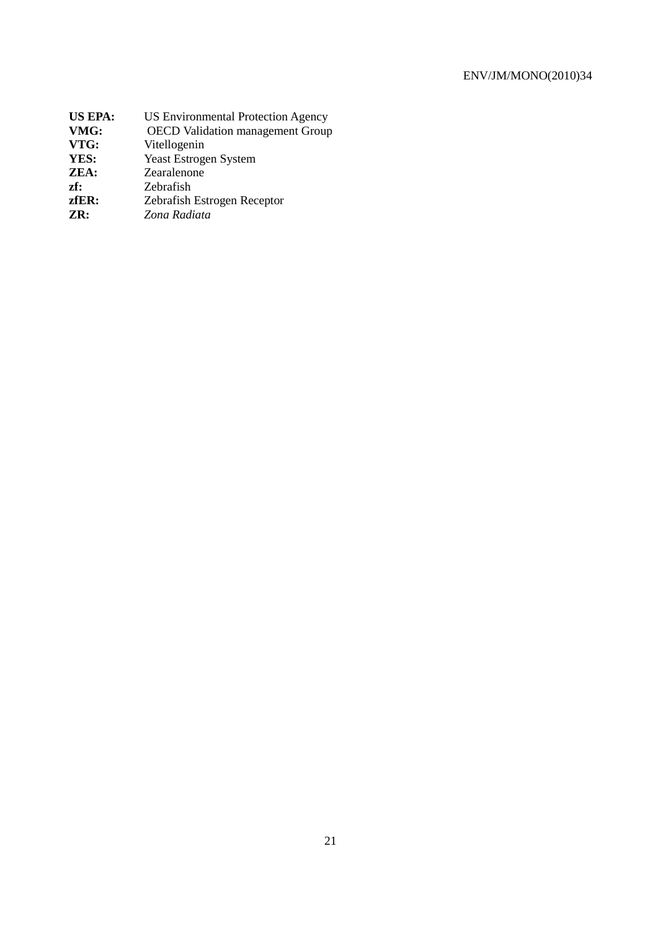| <b>US Environmental Protection Agency</b> |
|-------------------------------------------|
| <b>OECD</b> Validation management Group   |
| Vitellogenin                              |
| <b>Yeast Estrogen System</b>              |
| Zearalenone                               |
| Zebrafish                                 |
| Zebrafish Estrogen Receptor               |
| Zona Radiata                              |
|                                           |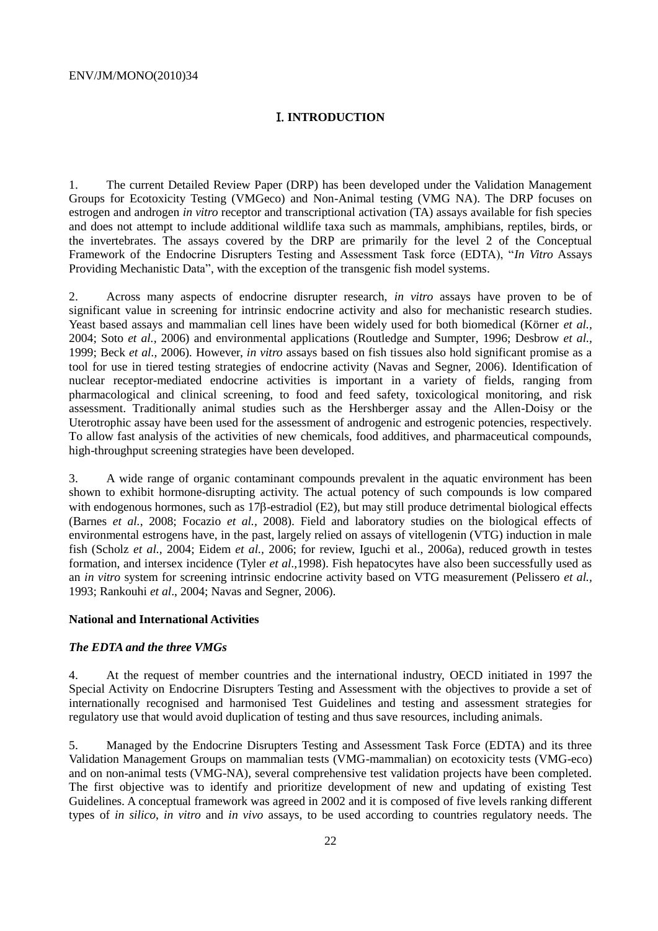### I. **INTRODUCTION**

1. The current Detailed Review Paper (DRP) has been developed under the Validation Management Groups for Ecotoxicity Testing (VMGeco) and Non-Animal testing (VMG NA). The DRP focuses on estrogen and androgen *in vitro* receptor and transcriptional activation (TA) assays available for fish species and does not attempt to include additional wildlife taxa such as mammals, amphibians, reptiles, birds, or the invertebrates. The assays covered by the DRP are primarily for the level 2 of the Conceptual Framework of the Endocrine Disrupters Testing and Assessment Task force (EDTA), "*In Vitro* Assays Providing Mechanistic Data", with the exception of the transgenic fish model systems.

2. Across many aspects of endocrine disrupter research, *in vitro* assays have proven to be of significant value in screening for intrinsic endocrine activity and also for mechanistic research studies. Yeast based assays and mammalian cell lines have been widely used for both biomedical (Körner *et al.,* 2004; Soto *et al.,* 2006) and environmental applications (Routledge and Sumpter, 1996; Desbrow *et al.,* 1999; Beck *et al.,* 2006)*.* However, *in vitro* assays based on fish tissues also hold significant promise as a tool for use in tiered testing strategies of endocrine activity (Navas and Segner, 2006). Identification of nuclear receptor-mediated endocrine activities is important in a variety of fields, ranging from pharmacological and clinical screening, to food and feed safety, toxicological monitoring, and risk assessment. Traditionally animal studies such as the Hershberger assay and the Allen-Doisy or the Uterotrophic assay have been used for the assessment of androgenic and estrogenic potencies, respectively. To allow fast analysis of the activities of new chemicals, food additives, and pharmaceutical compounds, high-throughput screening strategies have been developed.

3. A wide range of organic contaminant compounds prevalent in the aquatic environment has been shown to exhibit hormone-disrupting activity. The actual potency of such compounds is low compared with endogenous hormones, such as  $17\beta$ -estradiol (E2), but may still produce detrimental biological effects (Barnes *et al.*, 2008; Focazio *et al.,* 2008). Field and laboratory studies on the biological effects of environmental estrogens have, in the past, largely relied on assays of vitellogenin (VTG) induction in male fish (Scholz *et al.,* 2004; Eidem *et al.,* 2006; for review, Iguchi et al., 2006a), reduced growth in testes formation, and intersex incidence (Tyler *et al.,*1998). Fish hepatocytes have also been successfully used as an *in vitro* system for screening intrinsic endocrine activity based on VTG measurement (Pelissero *et al.,* 1993; Rankouhi *et al*., 2004; Navas and Segner, 2006).

#### **National and International Activities**

#### *The EDTA and the three VMGs*

4. At the request of member countries and the international industry, OECD initiated in 1997 the Special Activity on Endocrine Disrupters Testing and Assessment with the objectives to provide a set of internationally recognised and harmonised Test Guidelines and testing and assessment strategies for regulatory use that would avoid duplication of testing and thus save resources, including animals.

5. Managed by the Endocrine Disrupters Testing and Assessment Task Force (EDTA) and its three Validation Management Groups on mammalian tests (VMG-mammalian) on ecotoxicity tests (VMG-eco) and on non-animal tests (VMG-NA), several comprehensive test validation projects have been completed. The first objective was to identify and prioritize development of new and updating of existing Test Guidelines. A conceptual framework was agreed in 2002 and it is composed of five levels ranking different types of *in silico*, *in vitro* and *in vivo* assays, to be used according to countries regulatory needs. The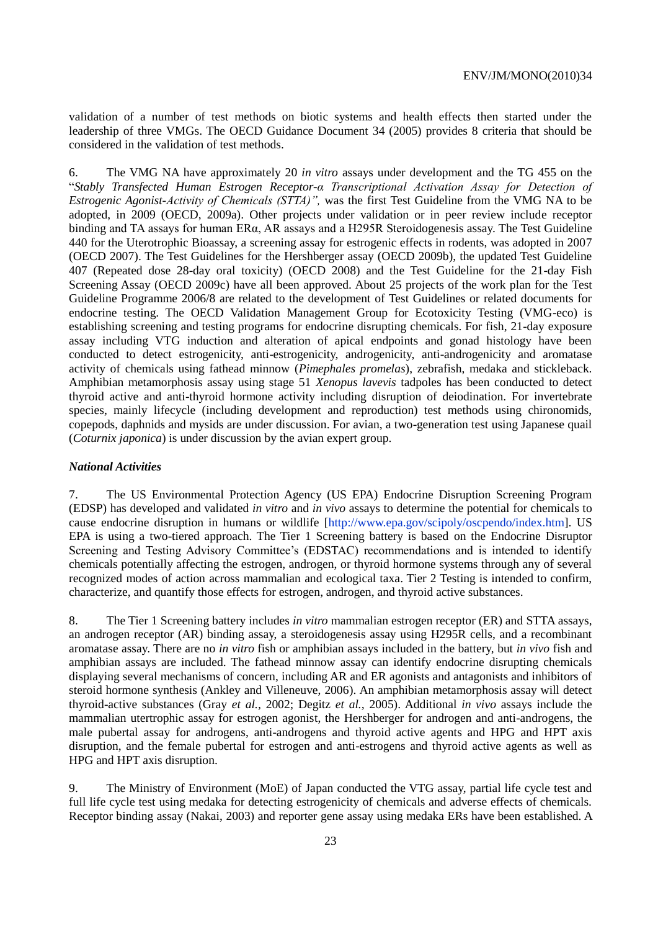validation of a number of test methods on biotic systems and health effects then started under the leadership of three VMGs. The OECD Guidance Document 34 (2005) provides 8 criteria that should be considered in the validation of test methods.

6. The VMG NA have approximately 20 *in vitro* assays under development and the TG 455 on the ―*Stably Transfected Human Estrogen Receptor-α Transcriptional Activation Assay for Detection of Estrogenic Agonist-Activity of Chemicals (STTA)",* was the first Test Guideline from the VMG NA to be adopted, in 2009 (OECD, 2009a). Other projects under validation or in peer review include receptor binding and TA assays for human ERα, AR assays and a H295R Steroidogenesis assay. The Test Guideline 440 for the Uterotrophic Bioassay, a screening assay for estrogenic effects in rodents, was adopted in 2007 (OECD 2007). The Test Guidelines for the Hershberger assay (OECD 2009b), the updated Test Guideline 407 (Repeated dose 28-day oral toxicity) (OECD 2008) and the Test Guideline for the 21-day Fish Screening Assay (OECD 2009c) have all been approved. About 25 projects of the work plan for the Test Guideline Programme 2006/8 are related to the development of Test Guidelines or related documents for endocrine testing. The OECD Validation Management Group for Ecotoxicity Testing (VMG-eco) is establishing screening and testing programs for endocrine disrupting chemicals. For fish, 21-day exposure assay including VTG induction and alteration of apical endpoints and gonad histology have been conducted to detect estrogenicity, anti-estrogenicity, androgenicity, anti-androgenicity and aromatase activity of chemicals using fathead minnow (*Pimephales promelas*), zebrafish, medaka and stickleback. Amphibian metamorphosis assay using stage 51 *Xenopus lavevis* tadpoles has been conducted to detect thyroid active and anti-thyroid hormone activity including disruption of deiodination. For invertebrate species, mainly lifecycle (including development and reproduction) test methods using chironomids, copepods, daphnids and mysids are under discussion. For avian, a two-generation test using Japanese quail (*Coturnix japonica*) is under discussion by the avian expert group.

#### *National Activities*

7. The US Environmental Protection Agency (US EPA) Endocrine Disruption Screening Program (EDSP) has developed and validated *in vitro* and *in vivo* assays to determine the potential for chemicals to cause endocrine disruption in humans or wildlife [\[http://www.epa.gov/scipoly/oscpendo/index.htm\]](http://www.epa.gov/scipoly/oscpendo/index.htm). US EPA is using a two-tiered approach. The Tier 1 Screening battery is based on the Endocrine Disruptor Screening and Testing Advisory Committee's (EDSTAC) recommendations and is intended to identify chemicals potentially affecting the estrogen, androgen, or thyroid hormone systems through any of several recognized modes of action across mammalian and ecological taxa. Tier 2 Testing is intended to confirm, characterize, and quantify those effects for estrogen, androgen, and thyroid active substances.

8. The Tier 1 Screening battery includes *in vitro* mammalian estrogen receptor (ER) and STTA assays, an androgen receptor (AR) binding assay, a steroidogenesis assay using H295R cells, and a recombinant aromatase assay. There are no *in vitro* fish or amphibian assays included in the battery, but *in vivo* fish and amphibian assays are included. The fathead minnow assay can identify endocrine disrupting chemicals displaying several mechanisms of concern, including AR and ER agonists and antagonists and inhibitors of steroid hormone synthesis (Ankley and Villeneuve, 2006). An amphibian metamorphosis assay will detect thyroid-active substances (Gray *et al.,* 2002; Degitz *et al.,* 2005). Additional *in vivo* assays include the mammalian utertrophic assay for estrogen agonist, the Hershberger for androgen and anti-androgens, the male pubertal assay for androgens, anti-androgens and thyroid active agents and HPG and HPT axis disruption, and the female pubertal for estrogen and anti-estrogens and thyroid active agents as well as HPG and HPT axis disruption.

9. The Ministry of Environment (MoE) of Japan conducted the VTG assay, partial life cycle test and full life cycle test using medaka for detecting estrogenicity of chemicals and adverse effects of chemicals. Receptor binding assay (Nakai, 2003) and reporter gene assay using medaka ERs have been established. A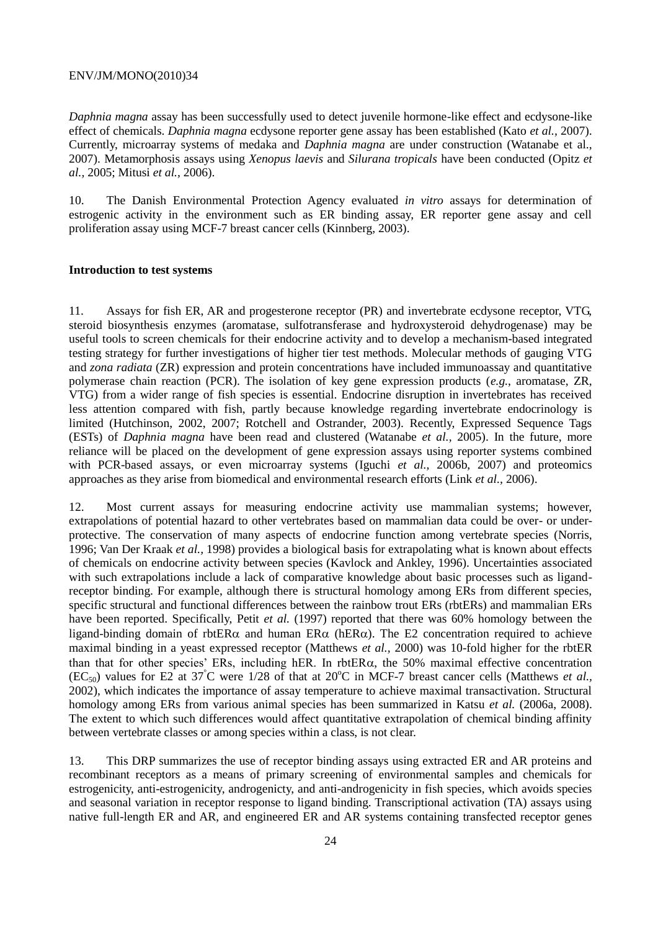*Daphnia magna* assay has been successfully used to detect juvenile hormone-like effect and ecdysone-like effect of chemicals. *Daphnia magna* ecdysone reporter gene assay has been established (Kato *et al.,* 2007). Currently, microarray systems of medaka and *Daphnia magna* are under construction (Watanabe et al., 2007). Metamorphosis assays using *Xenopus laevis* and *Silurana tropicals* have been conducted (Opitz *et al.,* 2005; Mitusi *et al.,* 2006).

10. The Danish Environmental Protection Agency evaluated *in vitro* assays for determination of estrogenic activity in the environment such as ER binding assay, ER reporter gene assay and cell proliferation assay using MCF-7 breast cancer cells (Kinnberg, 2003).

#### **Introduction to test systems**

11. Assays for fish ER, AR and progesterone receptor (PR) and invertebrate ecdysone receptor, VTG, steroid biosynthesis enzymes (aromatase, sulfotransferase and hydroxysteroid dehydrogenase) may be useful tools to screen chemicals for their endocrine activity and to develop a mechanism-based integrated testing strategy for further investigations of higher tier test methods. Molecular methods of gauging VTG and *zona radiata* (ZR) expression and protein concentrations have included immunoassay and quantitative polymerase chain reaction (PCR). The isolation of key gene expression products (*e.g.*, aromatase, ZR, VTG) from a wider range of fish species is essential. Endocrine disruption in invertebrates has received less attention compared with fish, partly because knowledge regarding invertebrate endocrinology is limited (Hutchinson, 2002, 2007; Rotchell and Ostrander, 2003). Recently, Expressed Sequence Tags (ESTs) of *Daphnia magna* have been read and clustered (Watanabe *et al.,* 2005). In the future, more reliance will be placed on the development of gene expression assays using reporter systems combined with PCR-based assays, or even microarray systems (Iguchi *et al.,* 2006b, 2007) and proteomics approaches as they arise from biomedical and environmental research efforts (Link *et al.,* 2006).

12. Most current assays for measuring endocrine activity use mammalian systems; however, extrapolations of potential hazard to other vertebrates based on mammalian data could be over- or underprotective. The conservation of many aspects of endocrine function among vertebrate species (Norris, 1996; Van Der Kraak *et al.,* 1998) provides a biological basis for extrapolating what is known about effects of chemicals on endocrine activity between species (Kavlock and Ankley, 1996). Uncertainties associated with such extrapolations include a lack of comparative knowledge about basic processes such as ligandreceptor binding. For example, although there is structural homology among ERs from different species, specific structural and functional differences between the rainbow trout ERs (rbtERs) and mammalian ERs have been reported. Specifically, Petit *et al.* (1997) reported that there was 60% homology between the ligand-binding domain of rbtER $\alpha$  and human ER $\alpha$  (hER $\alpha$ ). The E2 concentration required to achieve maximal binding in a yeast expressed receptor (Matthews *et al.,* 2000) was 10-fold higher for the rbtER than that for other species' ERs, including hER. In rbtER $\alpha$ , the 50% maximal effective concentration (EC<sub>50</sub>) values for E2 at 37<sup>°</sup>C were 1/28 of that at 20<sup>°</sup>C in MCF-7 breast cancer cells (Matthews *et al.*, 2002), which indicates the importance of assay temperature to achieve maximal transactivation. Structural homology among ERs from various animal species has been summarized in Katsu *et al.* (2006a, 2008). The extent to which such differences would affect quantitative extrapolation of chemical binding affinity between vertebrate classes or among species within a class, is not clear.

13. This DRP summarizes the use of receptor binding assays using extracted ER and AR proteins and recombinant receptors as a means of primary screening of environmental samples and chemicals for estrogenicity, anti-estrogenicity, androgenicty, and anti-androgenicity in fish species, which avoids species and seasonal variation in receptor response to ligand binding. Transcriptional activation (TA) assays using native full-length ER and AR, and engineered ER and AR systems containing transfected receptor genes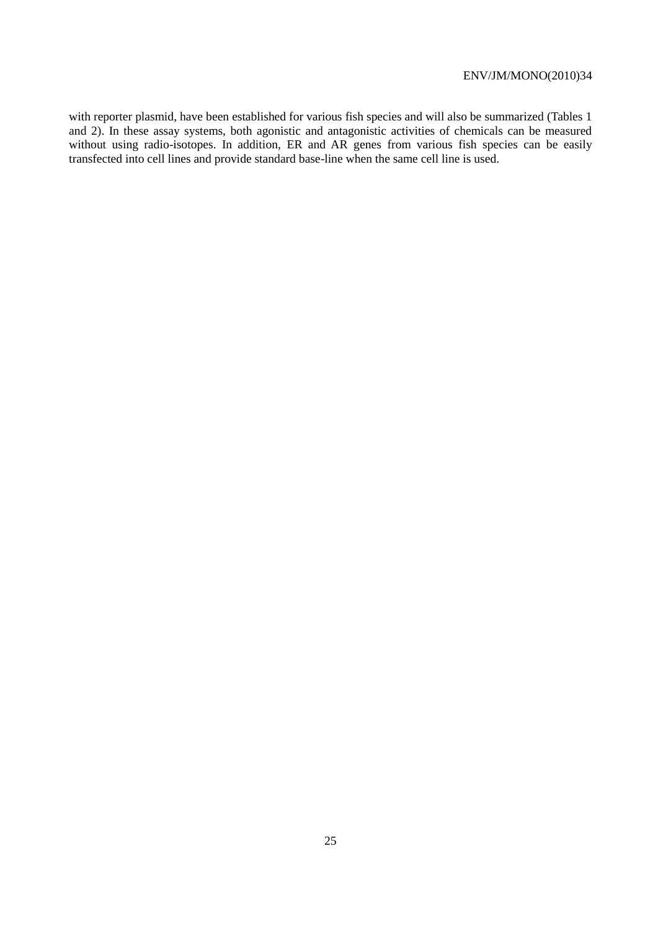with reporter plasmid, have been established for various fish species and will also be summarized (Tables 1 and 2). In these assay systems, both agonistic and antagonistic activities of chemicals can be measured without using radio-isotopes. In addition, ER and AR genes from various fish species can be easily transfected into cell lines and provide standard base-line when the same cell line is used.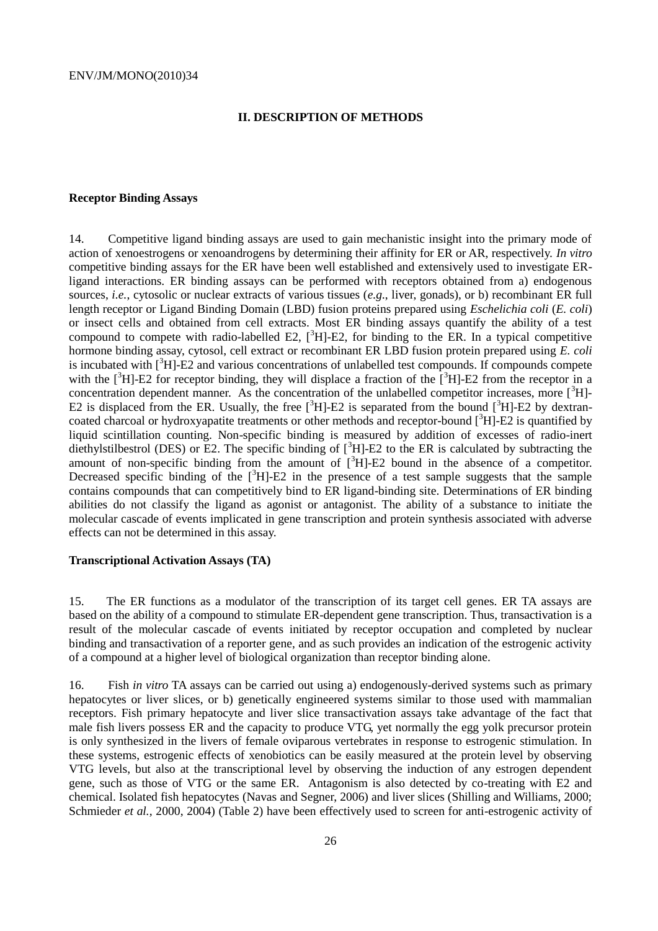#### **II. DESCRIPTION OF METHODS**

#### **Receptor Binding Assays**

14. Competitive ligand binding assays are used to gain mechanistic insight into the primary mode of action of xenoestrogens or xenoandrogens by determining their affinity for ER or AR, respectively. *In vitro* competitive binding assays for the ER have been well established and extensively used to investigate ERligand interactions. ER binding assays can be performed with receptors obtained from a) endogenous sources, *i.e.*, cytosolic or nuclear extracts of various tissues (*e.g.*, liver, gonads), or b) recombinant ER full length receptor or Ligand Binding Domain (LBD) fusion proteins prepared using *Eschelichia coli* (*E. coli*) or insect cells and obtained from cell extracts. Most ER binding assays quantify the ability of a test compound to compete with radio-labelled E2,  $[3H]$ -E2, for binding to the ER. In a typical competitive hormone binding assay, cytosol, cell extract or recombinant ER LBD fusion protein prepared using *E. coli* is incubated with  ${}^{3}H1-E2$  and various concentrations of unlabelled test compounds. If compounds compete with the  $[3H]$ -E2 for receptor binding, they will displace a fraction of the  $[3H]$ -E2 from the receptor in a concentration dependent manner. As the concentration of the unlabelled competitor increases, more  $\lceil^3H\rceil$ -E2 is displaced from the ER. Usually, the free  $[{}^{3}H]-E2$  is separated from the bound  $[{}^{3}H]-E2$  by dextrancoated charcoal or hydroxyapatite treatments or other methods and receptor-bound  $\binom{3}{1}$ -E2 is quantified by liquid scintillation counting. Non-specific binding is measured by addition of excesses of radio-inert diethylstilbestrol (DES) or E2. The specific binding of  $\int^3 H$ ]-E2 to the ER is calculated by subtracting the amount of non-specific binding from the amount of  $\int_{0}^{3}H$ -E2 bound in the absence of a competitor. Decreased specific binding of the  $[3H]$ -E2 in the presence of a test sample suggests that the sample contains compounds that can competitively bind to ER ligand-binding site. Determinations of ER binding abilities do not classify the ligand as agonist or antagonist. The ability of a substance to initiate the molecular cascade of events implicated in gene transcription and protein synthesis associated with adverse effects can not be determined in this assay.

#### **Transcriptional Activation Assays (TA)**

15. The ER functions as a modulator of the transcription of its target cell genes. ER TA assays are based on the ability of a compound to stimulate ER-dependent gene transcription. Thus, transactivation is a result of the molecular cascade of events initiated by receptor occupation and completed by nuclear binding and transactivation of a reporter gene, and as such provides an indication of the estrogenic activity of a compound at a higher level of biological organization than receptor binding alone.

16. Fish *in vitro* TA assays can be carried out using a) endogenously-derived systems such as primary hepatocytes or liver slices, or b) genetically engineered systems similar to those used with mammalian receptors. Fish primary hepatocyte and liver slice transactivation assays take advantage of the fact that male fish livers possess ER and the capacity to produce VTG, yet normally the egg yolk precursor protein is only synthesized in the livers of female oviparous vertebrates in response to estrogenic stimulation. In these systems, estrogenic effects of xenobiotics can be easily measured at the protein level by observing VTG levels, but also at the transcriptional level by observing the induction of any estrogen dependent gene, such as those of VTG or the same ER. Antagonism is also detected by co-treating with E2 and chemical. Isolated fish hepatocytes (Navas and Segner, 2006) and liver slices (Shilling and Williams, 2000; Schmieder *et al.,* 2000, 2004) (Table 2) have been effectively used to screen for anti-estrogenic activity of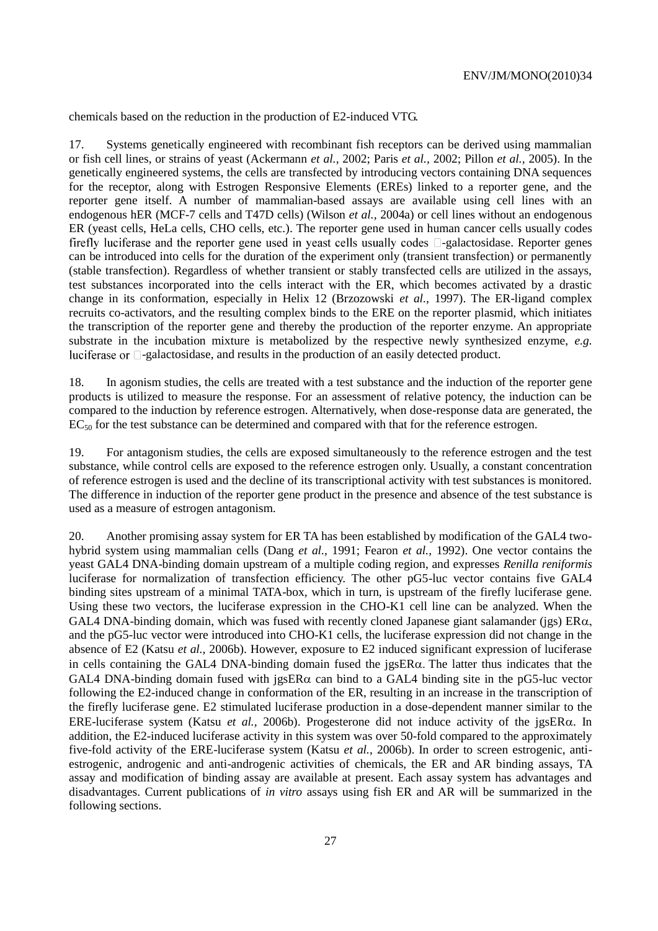chemicals based on the reduction in the production of E2-induced VTG.

17. Systems genetically engineered with recombinant fish receptors can be derived using mammalian or fish cell lines, or strains of yeast (Ackermann *et al.,* 2002; Paris *et al.,* 2002; Pillon *et al.,* 2005). In the genetically engineered systems, the cells are transfected by introducing vectors containing DNA sequences for the receptor, along with Estrogen Responsive Elements (EREs) linked to a reporter gene, and the reporter gene itself. A number of mammalian-based assays are available using cell lines with an endogenous hER (MCF-7 cells and T47D cells) (Wilson *et al.,* 2004a) or cell lines without an endogenous ER (yeast cells, HeLa cells, CHO cells, etc.). The reporter gene used in human cancer cells usually codes firefly luciferase and the reporter gene used in yeast cells usually codes  $\Box$ -galactosidase. Reporter genes can be introduced into cells for the duration of the experiment only (transient transfection) or permanently (stable transfection). Regardless of whether transient or stably transfected cells are utilized in the assays, test substances incorporated into the cells interact with the ER, which becomes activated by a drastic change in its conformation, especially in Helix 12 (Brzozowski *et al.,* 1997). The ER-ligand complex recruits co-activators, and the resulting complex binds to the ERE on the reporter plasmid, which initiates the transcription of the reporter gene and thereby the production of the reporter enzyme. An appropriate substrate in the incubation mixture is metabolized by the respective newly synthesized enzyme, *e.g.* luciferase or  $\Box$ -galactosidase, and results in the production of an easily detected product.

18. In agonism studies, the cells are treated with a test substance and the induction of the reporter gene products is utilized to measure the response. For an assessment of relative potency, the induction can be compared to the induction by reference estrogen. Alternatively, when dose-response data are generated, the  $EC_{50}$  for the test substance can be determined and compared with that for the reference estrogen.

19. For antagonism studies, the cells are exposed simultaneously to the reference estrogen and the test substance, while control cells are exposed to the reference estrogen only. Usually, a constant concentration of reference estrogen is used and the decline of its transcriptional activity with test substances is monitored. The difference in induction of the reporter gene product in the presence and absence of the test substance is used as a measure of estrogen antagonism.

20. Another promising assay system for ER TA has been established by modification of the GAL4 twohybrid system using mammalian cells (Dang *et al.,* 1991; Fearon *et al.,* 1992). One vector contains the yeast GAL4 DNA-binding domain upstream of a multiple coding region, and expresses *Renilla reniformis* luciferase for normalization of transfection efficiency. The other pG5-luc vector contains five GAL4 binding sites upstream of a minimal TATA-box, which in turn, is upstream of the firefly luciferase gene. Using these two vectors, the luciferase expression in the CHO-K1 cell line can be analyzed. When the GAL4 DNA-binding domain, which was fused with recently cloned Japanese giant salamander (jgs)  $ER\alpha$ , and the pG5-luc vector were introduced into CHO-K1 cells, the luciferase expression did not change in the absence of E2 (Katsu *et al.,* 2006b). However, exposure to E2 induced significant expression of luciferase in cells containing the GAL4 DNA-binding domain fused the  $j$ gsER $\alpha$ . The latter thus indicates that the GAL4 DNA-binding domain fused with jgsER $\alpha$  can bind to a GAL4 binding site in the pG5-luc vector following the E2-induced change in conformation of the ER, resulting in an increase in the transcription of the firefly luciferase gene. E2 stimulated luciferase production in a dose-dependent manner similar to the ERE-luciferase system (Katsu *et al.*, 2006b). Progesterone did not induce activity of the jgsER $\alpha$ . In addition, the E2-induced luciferase activity in this system was over 50-fold compared to the approximately five-fold activity of the ERE-luciferase system (Katsu *et al.*, 2006b). In order to screen estrogenic, antiestrogenic, androgenic and anti-androgenic activities of chemicals, the ER and AR binding assays, TA assay and modification of binding assay are available at present. Each assay system has advantages and disadvantages. Current publications of *in vitro* assays using fish ER and AR will be summarized in the following sections.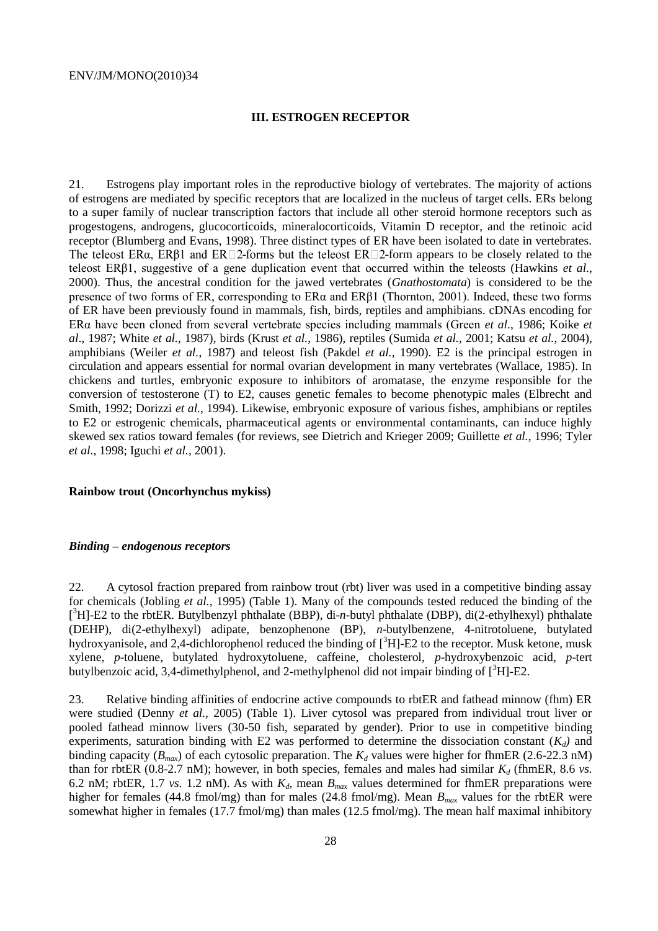#### **III. ESTROGEN RECEPTOR**

21. Estrogens play important roles in the reproductive biology of vertebrates. The majority of actions of estrogens are mediated by specific receptors that are localized in the nucleus of target cells. ERs belong to a super family of nuclear transcription factors that include all other steroid hormone receptors such as progestogens, androgens, glucocorticoids, mineralocorticoids, Vitamin D receptor, and the retinoic acid receptor (Blumberg and Evans, 1998). Three distinct types of ER have been isolated to date in vertebrates. The teleost ER $\alpha$ , ER $\beta$ 1 and ER $\square$ 2-forms but the teleost ER $\square$ 2-form appears to be closely related to the teleost ERβ1, suggestive of a gene duplication event that occurred within the teleosts (Hawkins *et al.*, 2000). Thus, the ancestral condition for the jawed vertebrates (*Gnathostomata*) is considered to be the presence of two forms of ER, corresponding to  $ER\alpha$  and  $ER\beta1$  (Thornton, 2001). Indeed, these two forms of ER have been previously found in mammals, fish, birds, reptiles and amphibians. cDNAs encoding for ERα have been cloned from several vertebrate species including mammals (Green *et al*., 1986; Koike *et al*., 1987; [White](http://www.sciencedirect.com/science?_ob=ArticleURL&_udi=B6T3G-4KNMB9C-1&_user=4937045&_coverDate=09%2F26%2F2006&_rdoc=1&_fmt=high&_orig=search&_sort=d&_docanchor=&view=c&_acct=C000049112&_version=1&_urlVersion=0&_userid=4937045&md5=205d50700746d979ebf5b1becf1a9ed6#bib58) *et al.*, 1987), birds (Krust *et al.*, 1986), reptiles (Sumida *et al.*, 2001; Katsu *et al.*, 2004), amphibians (Weiler *et al.*, 1987) and teleost fish (Pakdel *et al.*, 1990). E2 is the principal estrogen in circulation and appears essential for normal ovarian development in many vertebrates (Wallace, 1985). In chickens and turtles, embryonic exposure to inhibitors of aromatase, the enzyme responsible for the conversion of testosterone (T) to E2, causes genetic females to become phenotypic males (Elbrecht and Smith, 1992; Dorizzi *et al.*, 1994). Likewise, embryonic exposure of various fishes, amphibians or reptiles to E2 or estrogenic chemicals, pharmaceutical agents or environmental contaminants, can induce highly skewed sex ratios toward females (for reviews, see Dietrich and Krieger 2009; Guillette *et al.*, 1996; Tyler *et al*., 1998; Iguchi *et al.*, 2001).

#### **Rainbow trout (Oncorhynchus mykiss)**

#### *Binding – endogenous receptors*

22. A cytosol fraction prepared from rainbow trout (rbt) liver was used in a competitive binding assay for chemicals (Jobling *et al.,* 1995) (Table 1). Many of the compounds tested reduced the binding of the [ <sup>3</sup>H]-E2 to the rbtER. Butylbenzyl phthalate (BBP), di-*n*-butyl phthalate (DBP), di(2-ethylhexyl) phthalate (DEHP), di(2-ethylhexyl) adipate, benzophenone (BP), *n*-butylbenzene, 4-nitrotoluene, butylated hydroxyanisole, and 2,4-dichlorophenol reduced the binding of  $\lceil 3H \rceil$ -E2 to the receptor. Musk ketone, musk xylene, *p*-toluene, butylated hydroxytoluene, caffeine, cholesterol, *p*-hydroxybenzoic acid, *p*-tert butylbenzoic acid, 3,4-dimethylphenol, and 2-methylphenol did not impair binding of  $[^{3}H]-E2$ .

23. Relative binding affinities of endocrine active compounds to rbtER and fathead minnow (fhm) ER were studied (Denny *et al.,* 2005) (Table 1). Liver cytosol was prepared from individual trout liver or pooled fathead minnow livers (30-50 fish, separated by gender). Prior to use in competitive binding experiments, saturation binding with E2 was performed to determine the dissociation constant  $(K_d)$  and binding capacity ( $B_{max}$ ) of each cytosolic preparation. The  $K_d$  values were higher for fhmER (2.6-22.3 nM) than for rbtER (0.8-2.7 nM); however, in both species, females and males had similar  $K_d$  (fhmER, 8.6 *vs.*) 6.2 nM; rbtER, 1.7 *vs.* 1.2 nM). As with *Kd*, mean *Bmax* values determined for fhmER preparations were higher for females (44.8 fmol/mg) than for males (24.8 fmol/mg). Mean  $B<sub>max</sub>$  values for the rbtER were somewhat higher in females (17.7 fmol/mg) than males (12.5 fmol/mg). The mean half maximal inhibitory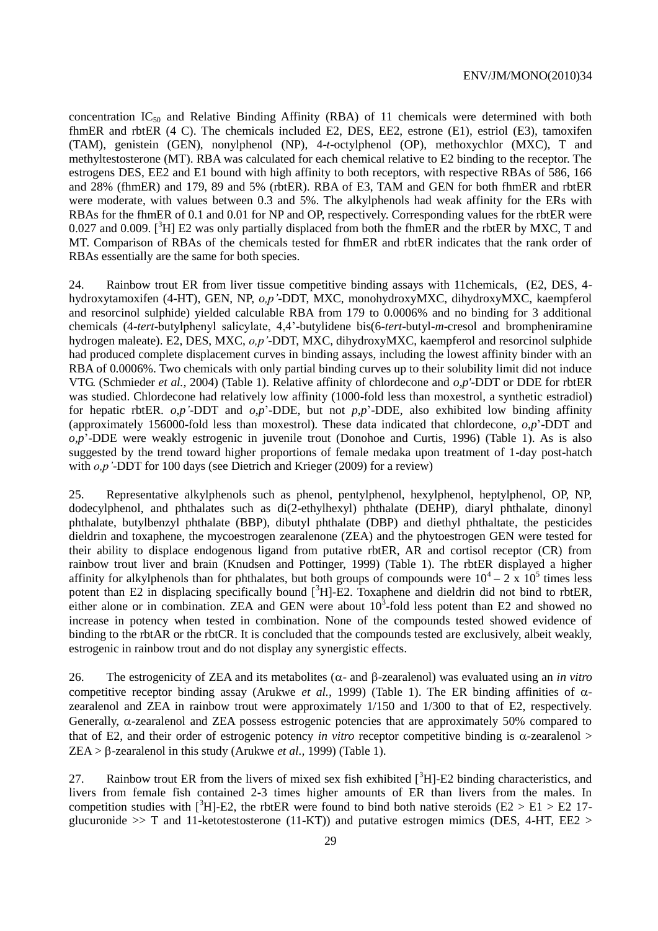concentration  $IC_{50}$  and Relative Binding Affinity (RBA) of 11 chemicals were determined with both fhmER and rbtER (4 C). The chemicals included E2, DES, EE2, estrone (E1), estriol (E3), tamoxifen (TAM), genistein (GEN), nonylphenol (NP), 4-*t*-octylphenol (OP), methoxychlor (MXC), T and methyltestosterone (MT). RBA was calculated for each chemical relative to E2 binding to the receptor. The estrogens DES, EE2 and E1 bound with high affinity to both receptors, with respective RBAs of 586, 166 and 28% (fhmER) and 179, 89 and 5% (rbtER). RBA of E3, TAM and GEN for both fhmER and rbtER were moderate, with values between 0.3 and 5%. The alkylphenols had weak affinity for the ERs with RBAs for the fhmER of 0.1 and 0.01 for NP and OP, respectively. Corresponding values for the rbtER were 0.027 and 0.009. [ ${}^{3}H$ ] E2 was only partially displaced from both the fhmER and the rbtER by MXC, T and MT. Comparison of RBAs of the chemicals tested for fhmER and rbtER indicates that the rank order of RBAs essentially are the same for both species.

24. Rainbow trout ER from liver tissue competitive binding assays with 11chemicals, (E2, DES, 4 hydroxytamoxifen (4-HT), GEN, NP, *o,p'*-DDT, MXC, monohydroxyMXC, dihydroxyMXC, kaempferol and resorcinol sulphide) yielded calculable RBA from 179 to 0.0006% and no binding for 3 additional chemicals (4-*tert*-butylphenyl salicylate, 4,4'-butylidene bis(6-*tert*-butyl*-m*-cresol and brompheniramine hydrogen maleate). E2, DES, MXC, *o,p'*-DDT, MXC, dihydroxyMXC, kaempferol and resorcinol sulphide had produced complete displacement curves in binding assays, including the lowest affinity binder with an RBA of 0.0006%. Two chemicals with only partial binding curves up to their solubility limit did not induce VTG. (Schmieder *et al.,* 2004) (Table 1). Relative affinity of chlordecone and *o,p'*-DDT or DDE for rbtER was studied. Chlordecone had relatively low affinity (1000-fold less than moxestrol, a synthetic estradiol) for hepatic rbtER. *o*,*p'*-DDT and *o*,*p*'-DDE, but not *p*,*p*'-DDE, also exhibited low binding affinity (approximately 156000-fold less than moxestrol). These data indicated that chlordecone, *o*,*p*'-DDT and *o*,*p*'-DDE were weakly estrogenic in juvenile trout (Donohoe and Curtis, 1996) (Table 1). As is also suggested by the trend toward higher proportions of female medaka upon treatment of 1-day post-hatch with *o,p*'-DDT for 100 days (see Dietrich and Krieger (2009) for a review)

25. Representative alkylphenols such as phenol, pentylphenol, hexylphenol, heptylphenol, OP, NP, dodecylphenol, and phthalates such as di(2-ethylhexyl) phthalate (DEHP), diaryl phthalate, dinonyl phthalate, butylbenzyl phthalate (BBP), dibutyl phthalate (DBP) and diethyl phthaltate, the pesticides dieldrin and toxaphene, the mycoestrogen zearalenone (ZEA) and the phytoestrogen GEN were tested for their ability to displace endogenous ligand from putative rbtER, AR and cortisol receptor (CR) from rainbow trout liver and brain (Knudsen and Pottinger, 1999) (Table 1). The rbtER displayed a higher affinity for alkylphenols than for phthalates, but both groups of compounds were  $10^4 - 2 \times 10^5$  times less potent than E2 in displacing specifically bound  $[{}^{3}H]$ -E2. Toxaphene and dieldrin did not bind to rbtER, either alone or in combination. ZEA and GEN were about  $10<sup>3</sup>$ -fold less potent than E2 and showed no increase in potency when tested in combination. None of the compounds tested showed evidence of binding to the rbtAR or the rbtCR. It is concluded that the compounds tested are exclusively, albeit weakly, estrogenic in rainbow trout and do not display any synergistic effects.

26. The estrogenicity of ZEA and its metabolites ( $\alpha$ - and  $\beta$ -zearalenol) was evaluated using an *in vitro* competitive receptor binding assay (Arukwe *et al.,* 1999) (Table 1). The ER binding affinities of  $\alpha$ zearalenol and ZEA in rainbow trout were approximately 1/150 and 1/300 to that of E2, respectively. Generally,  $\alpha$ -zearalenol and ZEA possess estrogenic potencies that are approximately 50% compared to that of E2, and their order of estrogenic potency *in vitro* receptor competitive binding is  $\alpha$ -zearalenol >  $ZEA > \beta$ -zearalenol in this study (Arukwe *et al.*, 1999) (Table 1).

27. Rainbow trout ER from the livers of mixed sex fish exhibited  $\int_1^3 H = 2$  binding characteristics, and livers from female fish contained 2-3 times higher amounts of ER than livers from the males. In competition studies with  $[3H]$ -E2, the rbtER were found to bind both native steroids (E2 > E1 > E2 17glucuronide  $\gg$  T and 11-ketotestosterone (11-KT)) and putative estrogen mimics (DES, 4-HT, EE2  $\gt$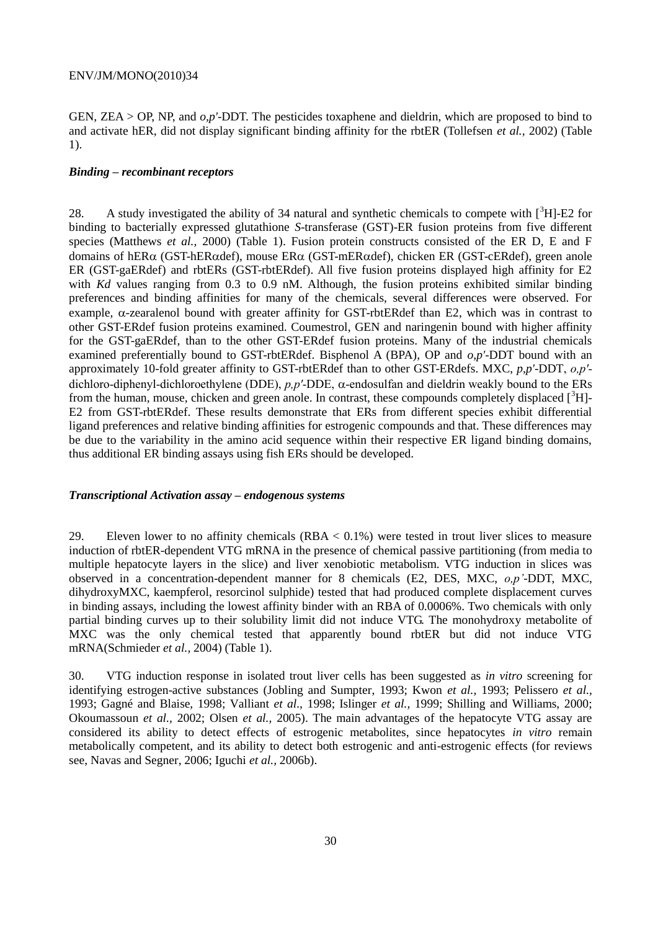GEN, ZEA > OP, NP, and *o,p'*-DDT. The pesticides toxaphene and dieldrin, which are proposed to bind to and activate hER, did not display significant binding affinity for the rbtER (Tollefsen *et al.,* 2002) (Table 1).

#### *Binding – recombinant receptors*

28. A study investigated the ability of 34 natural and synthetic chemicals to compete with  $\binom{3}{1}$ -E2 for binding to bacterially expressed glutathione *S*-transferase (GST)-ER fusion proteins from five different species (Matthews *et al.,* 2000) (Table 1). Fusion protein constructs consisted of the ER D, E and F domains of hER $\alpha$  (GST-hER $\alpha$ def), mouse ER $\alpha$  (GST-mER $\alpha$ def), chicken ER (GST-cERdef), green anole ER (GST-gaERdef) and rbtERs (GST-rbtERdef). All five fusion proteins displayed high affinity for E2 with *Kd* values ranging from 0.3 to 0.9 nM. Although, the fusion proteins exhibited similar binding preferences and binding affinities for many of the chemicals, several differences were observed. For example,  $\alpha$ -zearalenol bound with greater affinity for GST-rbtERdef than E2, which was in contrast to other GST-ERdef fusion proteins examined. Coumestrol, GEN and naringenin bound with higher affinity for the GST-gaERdef, than to the other GST-ERdef fusion proteins. Many of the industrial chemicals examined preferentially bound to GST-rbtERdef. Bisphenol A (BPA), OP and *o,p'*-DDT bound with an approximately 10-fold greater affinity to GST-rbtERdef than to other GST-ERdefs. MXC, *p,p'*-DDT, *o,p'* dichloro-diphenyl-dichloroethylene (DDE),  $p, p'$ -DDE,  $\alpha$ -endosulfan and dieldrin weakly bound to the ERs from the human, mouse, chicken and green anole. In contrast, these compounds completely displaced  $\binom{3}{1}$ -E2 from GST-rbtERdef. These results demonstrate that ERs from different species exhibit differential ligand preferences and relative binding affinities for estrogenic compounds and that. These differences may be due to the variability in the amino acid sequence within their respective ER ligand binding domains, thus additional ER binding assays using fish ERs should be developed.

#### *Transcriptional Activation assay – endogenous systems*

29. Eleven lower to no affinity chemicals  $(RBA < 0.1\%)$  were tested in trout liver slices to measure induction of rbtER-dependent VTG mRNA in the presence of chemical passive partitioning (from media to multiple hepatocyte layers in the slice) and liver xenobiotic metabolism. VTG induction in slices was observed in a concentration-dependent manner for 8 chemicals (E2, DES, MXC, *o,p'*-DDT, MXC, dihydroxyMXC, kaempferol, resorcinol sulphide) tested that had produced complete displacement curves in binding assays, including the lowest affinity binder with an RBA of 0.0006%. Two chemicals with only partial binding curves up to their solubility limit did not induce VTG. The monohydroxy metabolite of MXC was the only chemical tested that apparently bound rbtER but did not induce VTG mRNA(Schmieder *et al.,* 2004) (Table 1).

30. VTG induction response in isolated trout liver cells has been suggested as *in vitro* screening for identifying estrogen-active substances (Jobling and Sumpter, 1993; Kwon *et al.,* 1993; Pelissero *et al.,* 1993; Gagné and Blaise, 1998; Valliant *et al.,* 1998; Islinger *et al.,* 1999; Shilling and Williams, 2000; Okoumassoun *et al.,* 2002; Olsen *et al.,* 2005). The main advantages of the hepatocyte VTG assay are considered its ability to detect effects of estrogenic metabolites, since hepatocytes *in vitro* remain metabolically competent, and its ability to detect both estrogenic and anti-estrogenic effects (for reviews see, Navas and Segner, 2006; Iguchi *et al.,* 2006b).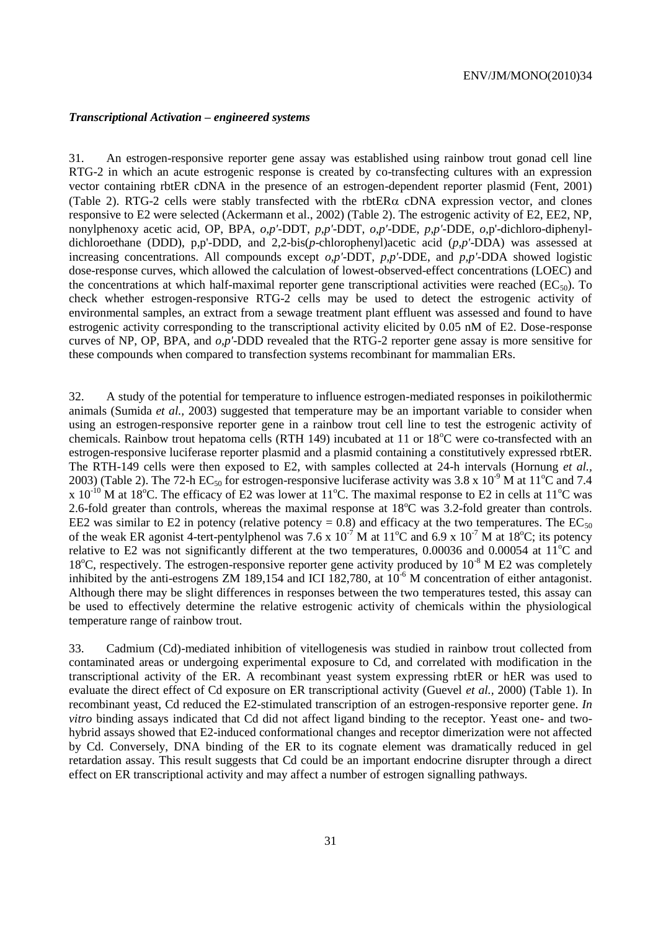#### *Transcriptional Activation – engineered systems*

31. An estrogen-responsive reporter gene assay was established using rainbow trout gonad cell line RTG-2 in which an acute estrogenic response is created by co-transfecting cultures with an expression vector containing rbtER cDNA in the presence of an estrogen-dependent reporter plasmid (Fent, 2001) (Table 2). RTG-2 cells were stably transfected with the rbtER $\alpha$  cDNA expression vector, and clones responsive to E2 were selected (Ackermann et al., 2002) (Table 2). The estrogenic activity of E2, EE2, NP, nonylphenoxy acetic acid, OP, BPA, *o,p'*-DDT, *p,p'*-DDT, *o,p'*-DDE, *p,p'*-DDE, *o*,p'-dichloro-diphenyldichloroethane (DDD), p,p'-DDD, and 2,2-bis(*p*-chlorophenyl)acetic acid (*p,p'*-DDA) was assessed at increasing concentrations. All compounds except *o,p'*-DDT, *p,p'*-DDE, and *p,p'*-DDA showed logistic dose-response curves, which allowed the calculation of lowest-observed-effect concentrations (LOEC) and the concentrations at which half-maximal reporter gene transcriptional activities were reached ( $EC_{50}$ ). To check whether estrogen-responsive RTG-2 cells may be used to detect the estrogenic activity of environmental samples, an extract from a sewage treatment plant effluent was assessed and found to have estrogenic activity corresponding to the transcriptional activity elicited by 0.05 nM of E2. Dose-response curves of NP, OP, BPA, and *o,p'*-DDD revealed that the RTG-2 reporter gene assay is more sensitive for these compounds when compared to transfection systems recombinant for mammalian ERs.

32. A study of the potential for temperature to influence estrogen-mediated responses in poikilothermic animals (Sumida *et al.,* 2003) suggested that temperature may be an important variable to consider when using an estrogen-responsive reporter gene in a rainbow trout cell line to test the estrogenic activity of chemicals. Rainbow trout hepatoma cells (RTH 149) incubated at 11 or  $18^{\circ}$ C were co-transfected with an estrogen-responsive luciferase reporter plasmid and a plasmid containing a constitutively expressed rbtER. The RTH-149 cells were then exposed to E2, with samples collected at 24-h intervals (Hornung *et al.,* 2003) (Table 2). The 72-h EC<sub>50</sub> for estrogen-responsive luciferase activity was 3.8 x 10<sup>-9</sup> M at 11<sup>o</sup>C and 7.4 x  $10^{-10}$  M at 18<sup>o</sup>C. The efficacy of E2 was lower at 11<sup>o</sup>C. The maximal response to E2 in cells at 11<sup>o</sup>C was 2.6-fold greater than controls, whereas the maximal response at  $18^{\circ}$ C was 3.2-fold greater than controls. EE2 was similar to E2 in potency (relative potency = 0.8) and efficacy at the two temperatures. The  $EC_{50}$ of the weak ER agonist 4-tert-pentylphenol was 7.6 x  $10^{-7}$  M at  $11^{\circ}$ C and 6.9 x  $10^{-7}$  M at 18<sup>o</sup>C; its potency relative to E2 was not significantly different at the two temperatures,  $0.00036$  and  $0.00054$  at  $11^{\circ}$ C and 18<sup>o</sup>C, respectively. The estrogen-responsive reporter gene activity produced by  $10^{-8}$  M E2 was completely inhibited by the anti-estrogens ZM 189,154 and ICI 182,780, at  $10^{-6}$  M concentration of either antagonist. Although there may be slight differences in responses between the two temperatures tested, this assay can be used to effectively determine the relative estrogenic activity of chemicals within the physiological temperature range of rainbow trout.

33. Cadmium (Cd)-mediated inhibition of vitellogenesis was studied in rainbow trout collected from contaminated areas or undergoing experimental exposure to Cd, and correlated with modification in the transcriptional activity of the ER. A recombinant yeast system expressing rbtER or hER was used to evaluate the direct effect of Cd exposure on ER transcriptional activity (Guevel *et al.,* 2000) (Table 1). In recombinant yeast, Cd reduced the E2-stimulated transcription of an estrogen-responsive reporter gene. *In vitro* binding assays indicated that Cd did not affect ligand binding to the receptor. Yeast one- and twohybrid assays showed that E2-induced conformational changes and receptor dimerization were not affected by Cd. Conversely, DNA binding of the ER to its cognate element was dramatically reduced in gel retardation assay. This result suggests that Cd could be an important endocrine disrupter through a direct effect on ER transcriptional activity and may affect a number of estrogen signalling pathways.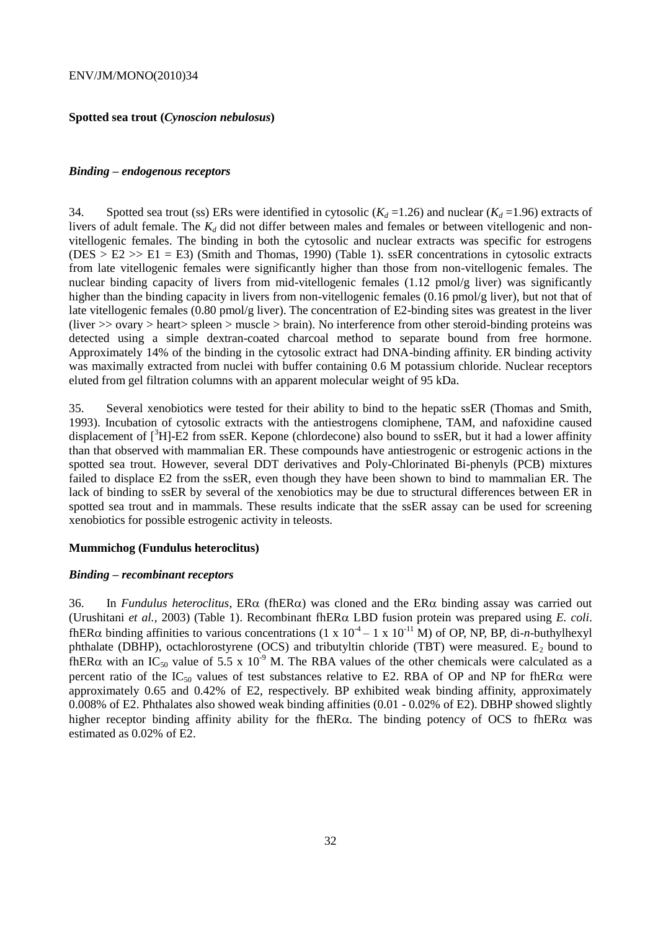#### **Spotted sea trout (***Cynoscion nebulosus***)**

#### *Binding – endogenous receptors*

34. Spotted sea trout (ss) ERs were identified in cytosolic  $(K_d = 1.26)$  and nuclear  $(K_d = 1.96)$  extracts of livers of adult female. The  $K_d$  did not differ between males and females or between vitellogenic and nonvitellogenic females. The binding in both the cytosolic and nuclear extracts was specific for estrogens  $(DES > E2 \gg E1 = E3)$  (Smith and Thomas, 1990) (Table 1). ssER concentrations in cytosolic extracts from late vitellogenic females were significantly higher than those from non-vitellogenic females. The nuclear binding capacity of livers from mid-vitellogenic females (1.12 pmol/g liver) was significantly higher than the binding capacity in livers from non-vitellogenic females (0.16 pmol/g liver), but not that of late vitellogenic females (0.80 pmol/g liver). The concentration of E2-binding sites was greatest in the liver (liver >> ovary > heart> spleen > muscle > brain). No interference from other steroid-binding proteins was detected using a simple dextran-coated charcoal method to separate bound from free hormone. Approximately 14% of the binding in the cytosolic extract had DNA-binding affinity. ER binding activity was maximally extracted from nuclei with buffer containing 0.6 M potassium chloride. Nuclear receptors eluted from gel filtration columns with an apparent molecular weight of 95 kDa.

35. Several xenobiotics were tested for their ability to bind to the hepatic ssER (Thomas and Smith, 1993). Incubation of cytosolic extracts with the antiestrogens clomiphene, TAM, and nafoxidine caused displacement of  $\binom{3}{1}$ -E2 from ssER. Kepone (chlordecone) also bound to ssER, but it had a lower affinity than that observed with mammalian ER. These compounds have antiestrogenic or estrogenic actions in the spotted sea trout. However, several DDT derivatives and Poly-Chlorinated Bi-phenyls (PCB) mixtures failed to displace E2 from the ssER, even though they have been shown to bind to mammalian ER. The lack of binding to ssER by several of the xenobiotics may be due to structural differences between ER in spotted sea trout and in mammals. These results indicate that the ssER assay can be used for screening xenobiotics for possible estrogenic activity in teleosts.

#### **Mummichog (Fundulus heteroclitus)**

#### *Binding – recombinant receptors*

36. In *Fundulus heteroclitus*,  $ER\alpha$  (fh $ER\alpha$ ) was cloned and the  $ER\alpha$  binding assay was carried out (Urushitani *et al.*, 2003) (Table 1). Recombinant fhER $\alpha$  LBD fusion protein was prepared using *E. coli.* fhER $\alpha$  binding affinities to various concentrations (1 x 10<sup>-4</sup> – 1 x 10<sup>-11</sup> M) of OP, NP, BP, di-*n*-buthylhexyl phthalate (DBHP), octachlorostyrene (OCS) and tributyltin chloride (TBT) were measured.  $E_2$  bound to fhER $\alpha$  with an IC<sub>50</sub> value of 5.5 x 10<sup>-9</sup> M. The RBA values of the other chemicals were calculated as a percent ratio of the IC<sub>50</sub> values of test substances relative to E2. RBA of OP and NP for fhER $\alpha$  were approximately 0.65 and 0.42% of E2, respectively. BP exhibited weak binding affinity, approximately 0.008% of E2. Phthalates also showed weak binding affinities (0.01 - 0.02% of E2). DBHP showed slightly higher receptor binding affinity ability for the fhER $\alpha$ . The binding potency of OCS to fhER $\alpha$  was estimated as 0.02% of E2.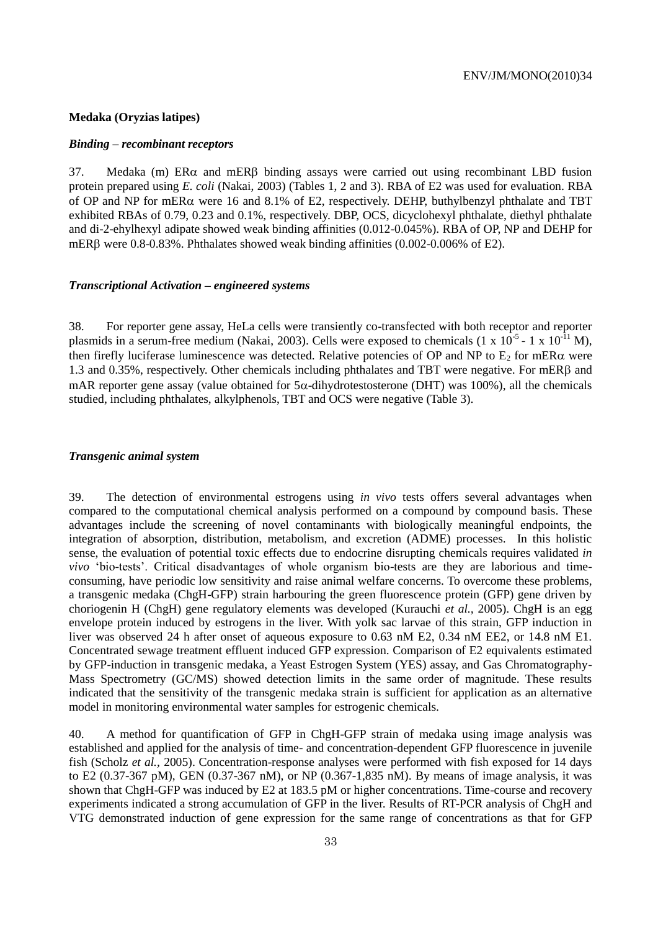#### **Medaka (Oryzias latipes)**

#### *Binding – recombinant receptors*

37. Medaka (m)  $ER\alpha$  and mER $\beta$  binding assays were carried out using recombinant LBD fusion protein prepared using *E. coli* (Nakai, 2003) (Tables 1, 2 and 3). RBA of E2 was used for evaluation. RBA of OP and NP for mER $\alpha$  were 16 and 8.1% of E2, respectively. DEHP, buthylbenzyl phthalate and TBT exhibited RBAs of 0.79, 0.23 and 0.1%, respectively. DBP, OCS, dicyclohexyl phthalate, diethyl phthalate and di-2-ehylhexyl adipate showed weak binding affinities (0.012-0.045%). RBA of OP, NP and DEHP for mERB were  $0.8$ -0.83%. Phthalates showed weak binding affinities  $(0.002$ -0.006% of E2).

#### *Transcriptional Activation – engineered systems*

38. For reporter gene assay, HeLa cells were transiently co-transfected with both receptor and reporter plasmids in a serum-free medium (Nakai, 2003). Cells were exposed to chemicals (1 x  $10^{-5}$  - 1 x  $10^{-11}$  M), then firefly luciferase luminescence was detected. Relative potencies of OP and NP to  $E_2$  for mER $\alpha$  were 1.3 and 0.35%, respectively. Other chemicals including phthalates and TBT were negative. For mERB and mAR reporter gene assay (value obtained for  $5\alpha$ -dihydrotestosterone (DHT) was 100%), all the chemicals studied, including phthalates, alkylphenols, TBT and OCS were negative (Table 3).

#### *Transgenic animal system*

39. The detection of environmental estrogens using *in vivo* tests offers several advantages when compared to the computational chemical analysis performed on a compound by compound basis. These advantages include the screening of novel contaminants with biologically meaningful endpoints, the integration of absorption, distribution, metabolism, and excretion (ADME) processes. In this holistic sense, the evaluation of potential toxic effects due to endocrine disrupting chemicals requires validated *in vivo* 'bio-tests'. Critical disadvantages of whole organism bio-tests are they are laborious and timeconsuming, have periodic low sensitivity and raise animal welfare concerns. To overcome these problems, a transgenic medaka (ChgH-GFP) strain harbouring the green fluorescence protein (GFP) gene driven by choriogenin H (ChgH) gene regulatory elements was developed (Kurauchi *et al.,* 2005). ChgH is an egg envelope protein induced by estrogens in the liver. With yolk sac larvae of this strain, GFP induction in liver was observed 24 h after onset of aqueous exposure to 0.63 nM E2, 0.34 nM EE2, or 14.8 nM E1. Concentrated sewage treatment effluent induced GFP expression. Comparison of E2 equivalents estimated by GFP-induction in transgenic medaka, a Yeast Estrogen System (YES) assay, and Gas Chromatography-Mass Spectrometry (GC/MS) showed detection limits in the same order of magnitude. These results indicated that the sensitivity of the transgenic medaka strain is sufficient for application as an alternative model in monitoring environmental water samples for estrogenic chemicals.

40. A method for quantification of GFP in ChgH-GFP strain of medaka using image analysis was established and applied for the analysis of time- and concentration-dependent GFP fluorescence in juvenile fish (Scholz *et al.,* 2005). Concentration-response analyses were performed with fish exposed for 14 days to E2 (0.37-367 pM), GEN (0.37-367 nM), or NP (0.367-1,835 nM). By means of image analysis, it was shown that ChgH-GFP was induced by E2 at 183.5 pM or higher concentrations. Time-course and recovery experiments indicated a strong accumulation of GFP in the liver. Results of RT-PCR analysis of ChgH and VTG demonstrated induction of gene expression for the same range of concentrations as that for GFP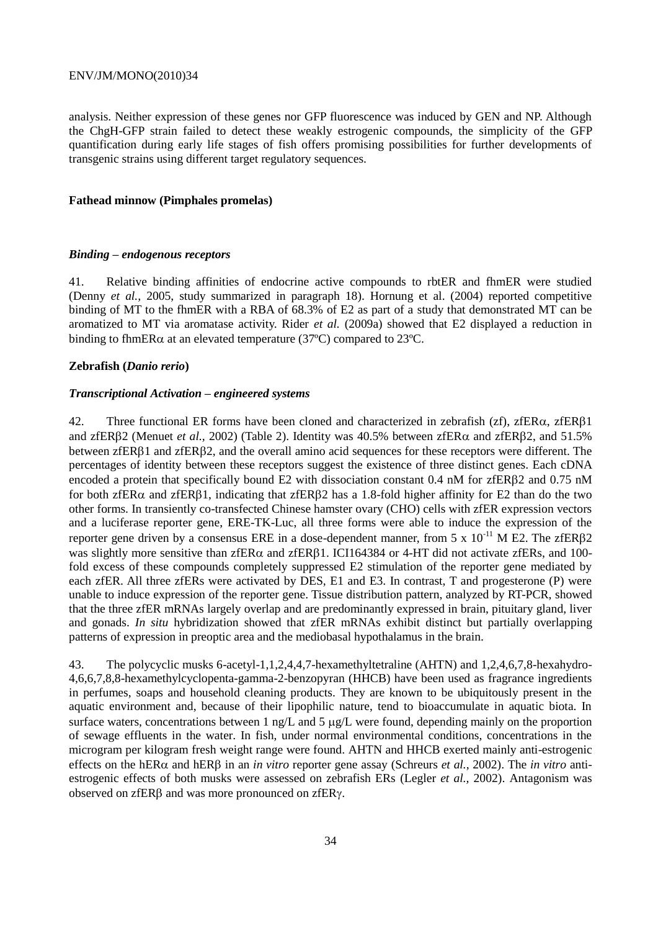analysis. Neither expression of these genes nor GFP fluorescence was induced by GEN and NP. Although the ChgH-GFP strain failed to detect these weakly estrogenic compounds, the simplicity of the GFP quantification during early life stages of fish offers promising possibilities for further developments of transgenic strains using different target regulatory sequences.

#### **Fathead minnow (Pimphales promelas)**

#### *Binding – endogenous receptors*

41. Relative binding affinities of endocrine active compounds to rbtER and fhmER were studied (Denny *et al.,* 2005, study summarized in paragraph 18). Hornung et al. (2004) reported competitive binding of MT to the fhmER with a RBA of 68.3% of E2 as part of a study that demonstrated MT can be aromatized to MT via aromatase activity. Rider *et al.* (2009a) showed that E2 displayed a reduction in binding to fhmER $\alpha$  at an elevated temperature (37 $^{\circ}$ C) compared to 23 $^{\circ}$ C.

#### **Zebrafish (***Danio rerio***)**

#### *Transcriptional Activation – engineered systems*

42. Three functional ER forms have been cloned and characterized in zebrafish (zf), zfER $\alpha$ , zfER $\beta$ 1 and zfER $\beta$ 2 (Menuet *et al.,* 2002) (Table 2). Identity was 40.5% between zfER $\alpha$  and zfER $\beta$ 2, and 51.5% between zfER $\beta$ 1 and zfER $\beta$ 2, and the overall amino acid sequences for these receptors were different. The percentages of identity between these receptors suggest the existence of three distinct genes. Each cDNA encoded a protein that specifically bound E2 with dissociation constant 0.4 nM for zfERB2 and 0.75 nM for both zfER $\alpha$  and zfER $\beta$ 1, indicating that zfER $\beta$ 2 has a 1.8-fold higher affinity for E2 than do the two other forms. In transiently co-transfected Chinese hamster ovary (CHO) cells with zfER expression vectors and a luciferase reporter gene, ERE-TK-Luc, all three forms were able to induce the expression of the reporter gene driven by a consensus ERE in a dose-dependent manner, from 5 x  $10^{-11}$  M E2. The zfER $\beta$ 2 was slightly more sensitive than  $zfER\alpha$  and  $zfER\beta1$ . ICI164384 or 4-HT did not activate  $zfERs$ , and 100fold excess of these compounds completely suppressed E2 stimulation of the reporter gene mediated by each zfER. All three zfERs were activated by DES, E1 and E3. In contrast, T and progesterone (P) were unable to induce expression of the reporter gene. Tissue distribution pattern, analyzed by RT-PCR, showed that the three zfER mRNAs largely overlap and are predominantly expressed in brain, pituitary gland, liver and gonads. *In situ* hybridization showed that zfER mRNAs exhibit distinct but partially overlapping patterns of expression in preoptic area and the mediobasal hypothalamus in the brain.

43. The polycyclic musks 6-acetyl-1,1,2,4,4,7-hexamethyltetraline (AHTN) and 1,2,4,6,7,8-hexahydro-4,6,6,7,8,8-hexamethylcyclopenta-gamma-2-benzopyran (HHCB) have been used as fragrance ingredients in perfumes, soaps and household cleaning products. They are known to be ubiquitously present in the aquatic environment and, because of their lipophilic nature, tend to bioaccumulate in aquatic biota. In surface waters, concentrations between  $1$  ng/L and  $5 \mu g/L$  were found, depending mainly on the proportion of sewage effluents in the water. In fish, under normal environmental conditions, concentrations in the microgram per kilogram fresh weight range were found. AHTN and HHCB exerted mainly anti-estrogenic effects on the hER $\alpha$  and hER $\beta$  in an *in vitro* reporter gene assay (Schreurs *et al.,* 2002). The *in vitro* antiestrogenic effects of both musks were assessed on zebrafish ERs (Legler *et al.,* 2002). Antagonism was observed on  $zfER\beta$  and was more pronounced on  $zfER\gamma$ .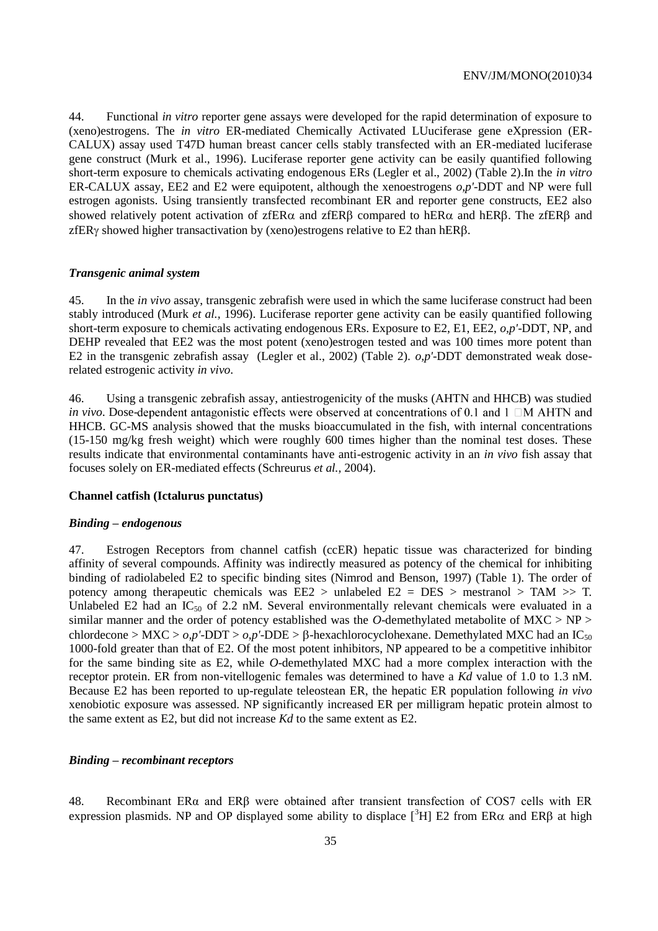44. Functional *in vitro* reporter gene assays were developed for the rapid determination of exposure to (xeno)estrogens. The *in vitro* ER-mediated Chemically Activated LUuciferase gene eXpression (ER-CALUX) assay used T47D human breast cancer cells stably transfected with an ER-mediated luciferase gene construct (Murk et al., 1996). Luciferase reporter gene activity can be easily quantified following short-term exposure to chemicals activating endogenous ERs (Legler et al., 2002) (Table 2).In the *in vitro* ER-CALUX assay, EE2 and E2 were equipotent, although the xenoestrogens *o,p'*-DDT and NP were full estrogen agonists. Using transiently transfected recombinant ER and reporter gene constructs, EE2 also showed relatively potent activation of zfER $\alpha$  and zfER $\beta$  compared to hER $\alpha$  and hER $\beta$ . The zfER $\beta$  and zfER $\gamma$  showed higher transactivation by (xeno)estrogens relative to E2 than hER $\beta$ .

#### *Transgenic animal system*

45. In the *in vivo* assay, transgenic zebrafish were used in which the same luciferase construct had been stably introduced (Murk *et al.,* 1996). Luciferase reporter gene activity can be easily quantified following short-term exposure to chemicals activating endogenous ERs. Exposure to E2, E1, EE2, *o,p'*-DDT, NP, and DEHP revealed that EE2 was the most potent (xeno)estrogen tested and was 100 times more potent than E2 in the transgenic zebrafish assay (Legler et al., 2002) (Table 2). *o,p'*-DDT demonstrated weak doserelated estrogenic activity *in vivo*.

46. Using a transgenic zebrafish assay, antiestrogenicity of the musks (AHTN and HHCB) was studied *in vivo*. Dose-dependent antagonistic effects were observed at concentrations of 0.1 and 1  $\Box$ M AHTN and HHCB. GC-MS analysis showed that the musks bioaccumulated in the fish, with internal concentrations (15-150 mg/kg fresh weight) which were roughly 600 times higher than the nominal test doses. These results indicate that environmental contaminants have anti-estrogenic activity in an *in vivo* fish assay that focuses solely on ER-mediated effects (Schreurus *et al.,* 2004).

#### **Channel catfish (Ictalurus punctatus)**

#### *Binding – endogenous*

47. Estrogen Receptors from channel catfish (ccER) hepatic tissue was characterized for binding affinity of several compounds. Affinity was indirectly measured as potency of the chemical for inhibiting binding of radiolabeled E2 to specific binding sites (Nimrod and Benson, 1997) (Table 1). The order of potency among therapeutic chemicals was EE2 > unlabeled E2 = DES > mestranol > TAM >> T. Unlabeled E2 had an  $IC_{50}$  of 2.2 nM. Several environmentally relevant chemicals were evaluated in a similar manner and the order of potency established was the *O*-demethylated metabolite of MXC > NP > chlordecone >  $MXC > 0, p'$ -DDT >  $o, p'$ -DDE >  $\beta$ -hexachlorocyclohexane. Demethylated MXC had an IC<sub>50</sub> 1000-fold greater than that of E2. Of the most potent inhibitors, NP appeared to be a competitive inhibitor for the same binding site as E2, while *O*-demethylated MXC had a more complex interaction with the receptor protein. ER from non-vitellogenic females was determined to have a *Kd* value of 1.0 to 1.3 nM. Because E2 has been reported to up-regulate teleostean ER, the hepatic ER population following *in vivo* xenobiotic exposure was assessed. NP significantly increased ER per milligram hepatic protein almost to the same extent as E2, but did not increase *Kd* to the same extent as E2.

#### *Binding – recombinant receptors*

48. Recombinant ER $\alpha$  and ER $\beta$  were obtained after transient transfection of COS7 cells with ER expression plasmids. NP and OP displayed some ability to displace  $\int^3 H$ ] E2 from ER $\alpha$  and ER $\beta$  at high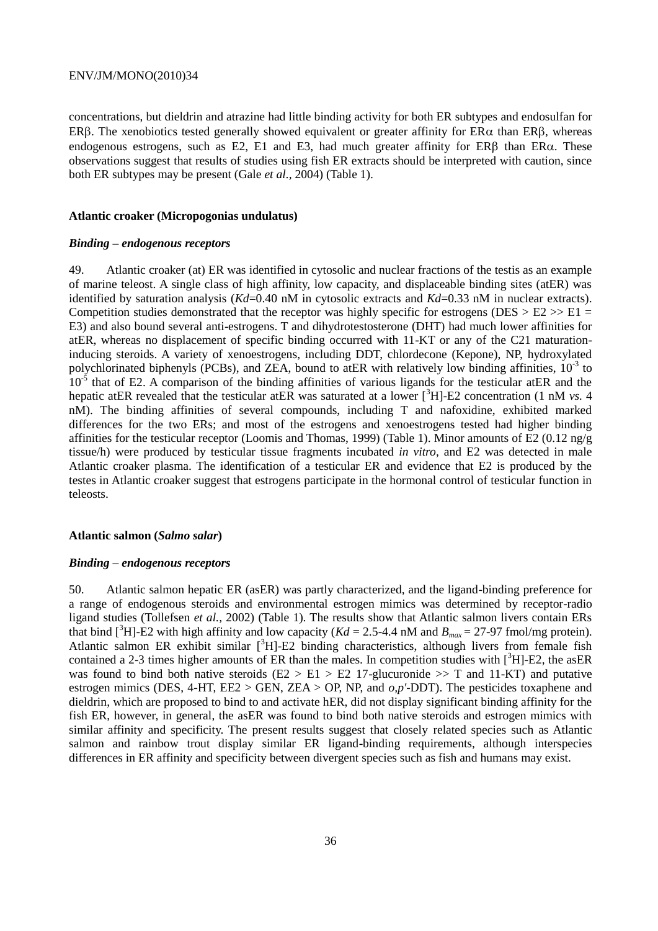concentrations, but dieldrin and atrazine had little binding activity for both ER subtypes and endosulfan for ERB. The xenobiotics tested generally showed equivalent or greater affinity for  $ER\alpha$  than  $ER\beta$ , whereas endogenous estrogens, such as E2, E1 and E3, had much greater affinity for  $ER\beta$  than  $ER\alpha$ . These observations suggest that results of studies using fish ER extracts should be interpreted with caution, since both ER subtypes may be present (Gale *et al.,* 2004) (Table 1).

#### **Atlantic croaker (Micropogonias undulatus)**

#### *Binding – endogenous receptors*

49. Atlantic croaker (at) ER was identified in cytosolic and nuclear fractions of the testis as an example of marine teleost. A single class of high affinity, low capacity, and displaceable binding sites (atER) was identified by saturation analysis (*Kd*=0.40 nM in cytosolic extracts and *Kd*=0.33 nM in nuclear extracts). Competition studies demonstrated that the receptor was highly specific for estrogens (DES  $> E2 >> E1 =$ E3) and also bound several anti-estrogens. T and dihydrotestosterone (DHT) had much lower affinities for atER, whereas no displacement of specific binding occurred with 11-KT or any of the C21 maturationinducing steroids. A variety of xenoestrogens, including DDT, chlordecone (Kepone), NP, hydroxylated polychlorinated biphenyls (PCBs), and ZEA, bound to atER with relatively low binding affinities,  $10^{-3}$  to  $10^{-5}$  that of E2. A comparison of the binding affinities of various ligands for the testicular atER and the hepatic atER revealed that the testicular atER was saturated at a lower [<sup>3</sup>H]-E2 concentration (1 nM *vs.* 4 nM). The binding affinities of several compounds, including T and nafoxidine, exhibited marked differences for the two ERs; and most of the estrogens and xenoestrogens tested had higher binding affinities for the testicular receptor (Loomis and Thomas, 1999) (Table 1). Minor amounts of E2 (0.12 ng/g tissue/h) were produced by testicular tissue fragments incubated *in vitro*, and E2 was detected in male Atlantic croaker plasma. The identification of a testicular ER and evidence that E2 is produced by the testes in Atlantic croaker suggest that estrogens participate in the hormonal control of testicular function in teleosts.

#### **Atlantic salmon (***Salmo salar***)**

#### *Binding – endogenous receptors*

50. Atlantic salmon hepatic ER (asER) was partly characterized, and the ligand-binding preference for a range of endogenous steroids and environmental estrogen mimics was determined by receptor-radio ligand studies (Tollefsen *et al.,* 2002) (Table 1). The results show that Atlantic salmon livers contain ERs that bind  $\binom{3}{1}$ -E2 with high affinity and low capacity (*Kd* = 2.5-4.4 nM and *B<sub>max</sub>* = 27-97 fmol/mg protein). Atlantic salmon ER exhibit similar  $\int^3 H$ -E2 binding characteristics, although livers from female fish contained a 2-3 times higher amounts of ER than the males. In competition studies with  $\int_{0}^{3}H$ ]-E2, the asER was found to bind both native steroids  $(E2 > E1 > E2 17$ -glucuronide  $\gg$  T and 11-KT) and putative estrogen mimics (DES, 4-HT, EE2 > GEN, ZEA > OP, NP, and *o,p'*-DDT). The pesticides toxaphene and dieldrin, which are proposed to bind to and activate hER, did not display significant binding affinity for the fish ER, however, in general, the asER was found to bind both native steroids and estrogen mimics with similar affinity and specificity. The present results suggest that closely related species such as Atlantic salmon and rainbow trout display similar ER ligand-binding requirements, although interspecies differences in ER affinity and specificity between divergent species such as fish and humans may exist.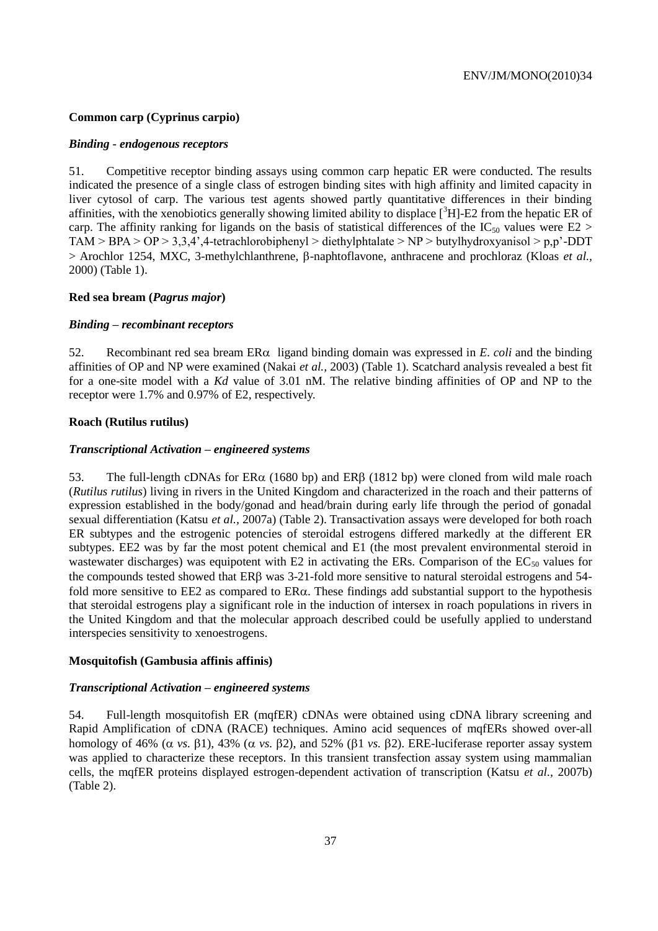#### **Common carp (Cyprinus carpio)**

#### *Binding - endogenous receptors*

51. Competitive receptor binding assays using common carp hepatic ER were conducted. The results indicated the presence of a single class of estrogen binding sites with high affinity and limited capacity in liver cytosol of carp. The various test agents showed partly quantitative differences in their binding affinities, with the xenobiotics generally showing limited ability to displace  $\int^3 H$ ]-E2 from the hepatic ER of carp. The affinity ranking for ligands on the basis of statistical differences of the  $IC_{50}$  values were  $E2 >$ TAM > BPA >  $OP > 3,3,4',4$ -tetrachlorobiphenyl > diethylphtalate > NP > butylhydroxyanisol > p,p'-DDT > Arochlor 1254, MXC, 3-methylchlanthrene,  $\beta$ -naphtoflavone, anthracene and prochloraz (Kloas *et al.*, 2000) (Table 1).

#### **Red sea bream (***Pagrus major***)**

#### *Binding – recombinant receptors*

52. Recombinant red sea bream  $ER\alpha$  ligand binding domain was expressed in *E. coli* and the binding affinities of OP and NP were examined (Nakai *et al.,* 2003) (Table 1). Scatchard analysis revealed a best fit for a one-site model with a *Kd* value of 3.01 nM. The relative binding affinities of OP and NP to the receptor were 1.7% and 0.97% of E2, respectively.

#### **Roach (Rutilus rutilus)**

#### *Transcriptional Activation – engineered systems*

53. The full-length cDNAs for  $ER\alpha$  (1680 bp) and  $ER\beta$  (1812 bp) were cloned from wild male roach (*Rutilus rutilus*) living in rivers in the United Kingdom and characterized in the roach and their patterns of expression established in the body/gonad and head/brain during early life through the period of gonadal sexual differentiation (Katsu *et al.,* 2007a) (Table 2). Transactivation assays were developed for both roach ER subtypes and the estrogenic potencies of steroidal estrogens differed markedly at the different ER subtypes. EE2 was by far the most potent chemical and E1 (the most prevalent environmental steroid in wastewater discharges) was equipotent with E2 in activating the ERs. Comparison of the  $EC_{50}$  values for the compounds tested showed that  $ER\beta$  was 3-21-fold more sensitive to natural steroidal estrogens and 54fold more sensitive to EE2 as compared to  $ER\alpha$ . These findings add substantial support to the hypothesis that steroidal estrogens play a significant role in the induction of intersex in roach populations in rivers in the United Kingdom and that the molecular approach described could be usefully applied to understand interspecies sensitivity to xenoestrogens.

#### **Mosquitofish (Gambusia affinis affinis)**

#### *Transcriptional Activation – engineered systems*

54. Full-length mosquitofish ER (mqfER) cDNAs were obtained using cDNA library screening and Rapid Amplification of cDNA (RACE) techniques. Amino acid sequences of mqfERs showed over-all homology of 46% ( $\alpha$  *vs.*  $\beta$ 1), 43% ( $\alpha$  *vs.*  $\beta$ 2), and 52% ( $\beta$ 1 *vs.*  $\beta$ 2). ERE-luciferase reporter assay system was applied to characterize these receptors. In this transient transfection assay system using mammalian cells, the mqfER proteins displayed estrogen-dependent activation of transcription (Katsu *et al.,* 2007b) (Table 2).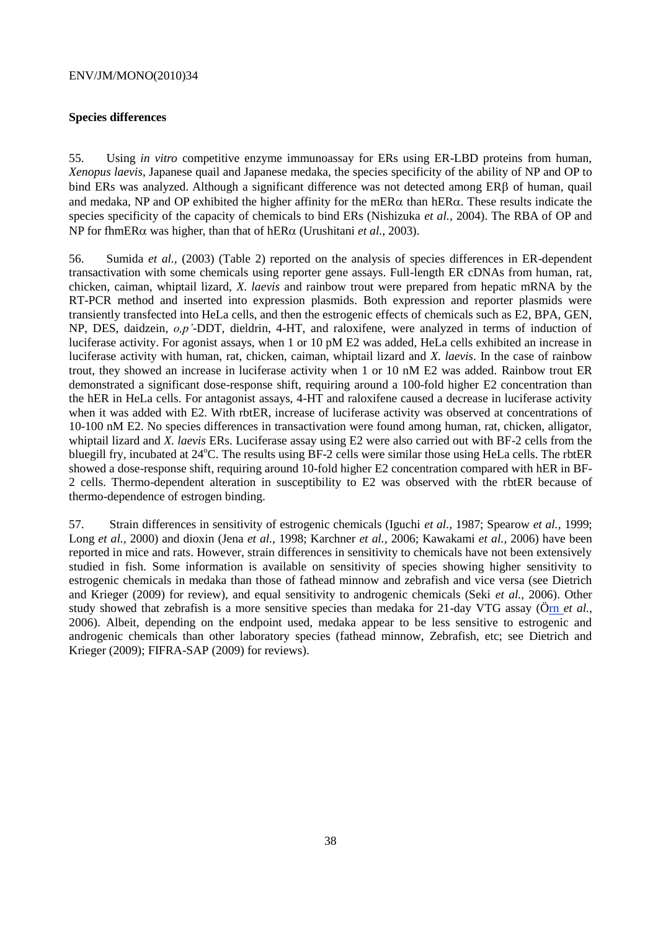### **Species differences**

55. Using *in vitro* competitive enzyme immunoassay for ERs using ER-LBD proteins from human, *Xenopus laevis*, Japanese quail and Japanese medaka, the species specificity of the ability of NP and OP to bind ERs was analyzed. Although a significant difference was not detected among ERB of human, quail and medaka. NP and OP exhibited the higher affinity for the mER $\alpha$  than hER $\alpha$ . These results indicate the species specificity of the capacity of chemicals to bind ERs (Nishizuka *et al.,* 2004). The RBA of OP and NP for fhmER $\alpha$  was higher, than that of hER $\alpha$  (Urushitani *et al., 2003).* 

56. Sumida *et al.,* (2003) (Table 2) reported on the analysis of species differences in ER-dependent transactivation with some chemicals using reporter gene assays. Full-length ER cDNAs from human, rat, chicken, caiman, whiptail lizard, *X. laevis* and rainbow trout were prepared from hepatic mRNA by the RT-PCR method and inserted into expression plasmids. Both expression and reporter plasmids were transiently transfected into HeLa cells, and then the estrogenic effects of chemicals such as E2, BPA, GEN, NP, DES, daidzein, *o,p'*-DDT, dieldrin, 4-HT, and raloxifene, were analyzed in terms of induction of luciferase activity. For agonist assays, when 1 or 10 pM E2 was added, HeLa cells exhibited an increase in luciferase activity with human, rat, chicken, caiman, whiptail lizard and *X. laevis*. In the case of rainbow trout, they showed an increase in luciferase activity when 1 or 10 nM E2 was added. Rainbow trout ER demonstrated a significant dose-response shift, requiring around a 100-fold higher E2 concentration than the hER in HeLa cells. For antagonist assays, 4-HT and raloxifene caused a decrease in luciferase activity when it was added with E2. With rbtER, increase of luciferase activity was observed at concentrations of 10-100 nM E2. No species differences in transactivation were found among human, rat, chicken, alligator, whiptail lizard and *X. laevis* ERs. Luciferase assay using E2 were also carried out with BF-2 cells from the bluegill fry, incubated at  $24^{\circ}$ C. The results using BF-2 cells were similar those using HeLa cells. The rbtER showed a dose-response shift, requiring around 10-fold higher E2 concentration compared with hER in BF-2 cells. Thermo-dependent alteration in susceptibility to E2 was observed with the rbtER because of thermo-dependence of estrogen binding.

57. Strain differences in sensitivity of estrogenic chemicals (Iguchi *et al.,* 1987; Spearow *et al.,* 1999; Long *et al.,* 2000) and dioxin (Jena *et al.,* 1998; Karchner *et al.,* 2006; Kawakami *et al.,* 2006) have been reported in mice and rats. However, strain differences in sensitivity to chemicals have not been extensively studied in fish. Some information is available on sensitivity of species showing higher sensitivity to estrogenic chemicals in medaka than those of fathead minnow and zebrafish and vice versa (see Dietrich and Krieger (2009) for review), and equal sensitivity to androgenic chemicals (Seki *et al.,* 2006). Other study showed that zebrafish is a more sensitive species than medaka for 21-day VTG assay [\(Örn](http://www.ncbi.nlm.nih.gov/sites/entrez?Db=pubmed&Cmd=Search&Term=%22Orn%20S%22%5BAuthor%5D&itool=EntrezSystem2.PEntrez.Pubmed.Pubmed_ResultsPanel.Pubmed_RVAbstractPlus) *et al.,* 2006). Albeit, depending on the endpoint used, medaka appear to be less sensitive to estrogenic and androgenic chemicals than other laboratory species (fathead minnow, Zebrafish, etc; see Dietrich and Krieger (2009); FIFRA-SAP (2009) for reviews).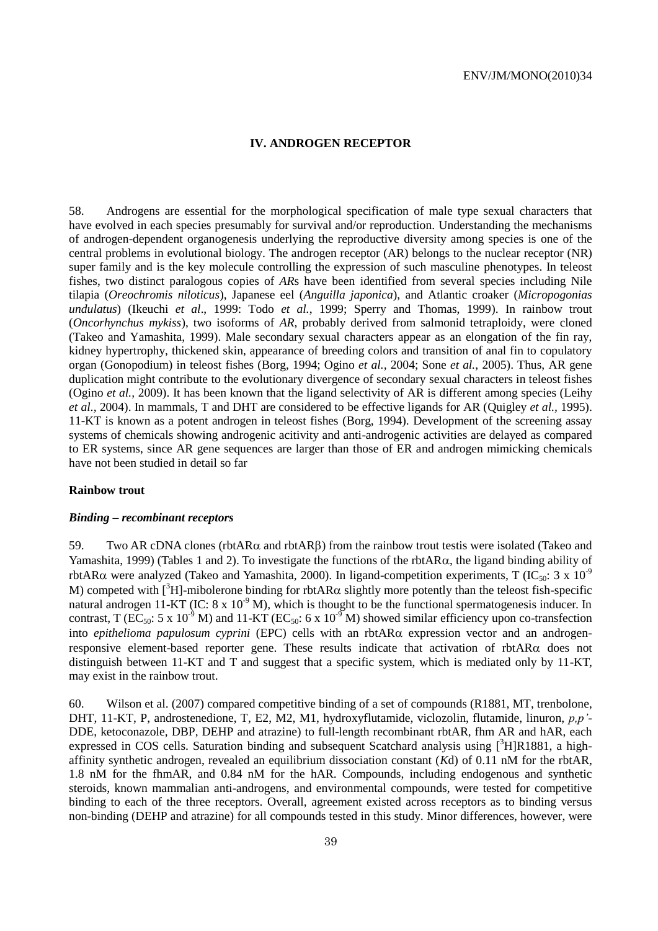#### **IV. ANDROGEN RECEPTOR**

58. Androgens are essential for the morphological specification of male type sexual characters that have evolved in each species presumably for survival and/or reproduction. Understanding the mechanisms of androgen-dependent organogenesis underlying the reproductive diversity among species is one of the central problems in evolutional biology. The androgen receptor (AR) belongs to the nuclear receptor (NR) super family and is the key molecule controlling the expression of such masculine phenotypes. In teleost fishes, two distinct paralogous copies of *AR*s have been identified from several species including Nile tilapia (*Oreochromis niloticus*), Japanese eel (*Anguilla japonica*), and Atlantic croaker (*Micropogonias undulatus*) (Ikeuchi *et al*., 1999: Todo *et al.*, 1999; Sperry and Thomas, 1999). In rainbow trout (*Oncorhynchus mykiss*), two isoforms of *AR*, probably derived from salmonid tetraploidy, were cloned (Takeo and Yamashita, 1999). Male secondary sexual characters appear as an elongation of the fin ray, kidney hypertrophy, thickened skin, appearance of breeding colors and transition of anal fin to copulatory organ (Gonopodium) in teleost fishes (Borg, 1994; Ogino *et al.,* 2004; Sone *et al.*, 2005). Thus, AR gene duplication might contribute to the evolutionary divergence of secondary sexual characters in teleost fishes (Ogino *et al.,* 2009). It has been known that the ligand selectivity of AR is different among species (Leihy *et al.,* 2004). In mammals, T and DHT are considered to be effective ligands for AR (Quigley *et al.,* 1995). 11-KT is known as a potent androgen in teleost fishes (Borg, 1994). Development of the screening assay systems of chemicals showing androgenic acitivity and anti-androgenic activities are delayed as compared to ER systems, since AR gene sequences are larger than those of ER and androgen mimicking chemicals have not been studied in detail so far

#### **Rainbow trout**

#### *Binding – recombinant receptors*

59. Two AR cDNA clones (rbtAR $\alpha$  and rbtAR $\beta$ ) from the rainbow trout testis were isolated (Takeo and Yamashita, 1999) (Tables 1 and 2). To investigate the functions of the rbtAR $\alpha$ , the ligand binding ability of rbtAR $\alpha$  were analyzed (Takeo and Yamashita, 2000). In ligand-competition experiments, T (IC<sub>50</sub>: 3 x 10<sup>-9</sup>) M) competed with  $\binom{3}{1}$ -mibolerone binding for rbtAR $\alpha$  slightly more potently than the teleost fish-specific natural androgen 11-KT (IC:  $8 \times 10^{-9}$  M), which is thought to be the functional spermatogenesis inducer. In contrast, T (EC<sub>50</sub>: 5 x 10<sup>-9</sup> M) and 11-KT (EC<sub>50</sub>: 6 x 10<sup>-9</sup> M) showed similar efficiency upon co-transfection into *epithelioma papulosum cyprini* (EPC) cells with an rbtAR $\alpha$  expression vector and an androgenresponsive element-based reporter gene. These results indicate that activation of rbt $AR\alpha$  does not distinguish between 11-KT and T and suggest that a specific system, which is mediated only by 11-KT, may exist in the rainbow trout.

60. Wilson et al. (2007) compared competitive binding of a set of compounds (R1881, MT, trenbolone, DHT, 11-KT, P, androstenedione, T, E2, M2, M1, hydroxyflutamide, viclozolin, flutamide, linuron, *p,p'*- DDE, ketoconazole, DBP, DEHP and atrazine) to full-length recombinant rbtAR, fhm AR and hAR, each expressed in COS cells. Saturation binding and subsequent Scatchard analysis using [3H]R1881, a highaffinity synthetic androgen, revealed an equilibrium dissociation constant (*K*d) of 0.11 nM for the rbtAR, 1.8 nM for the fhmAR, and 0.84 nM for the hAR. Compounds, including endogenous and synthetic steroids, known mammalian anti-androgens, and environmental compounds, were tested for competitive binding to each of the three receptors. Overall, agreement existed across receptors as to binding versus non-binding (DEHP and atrazine) for all compounds tested in this study. Minor differences, however, were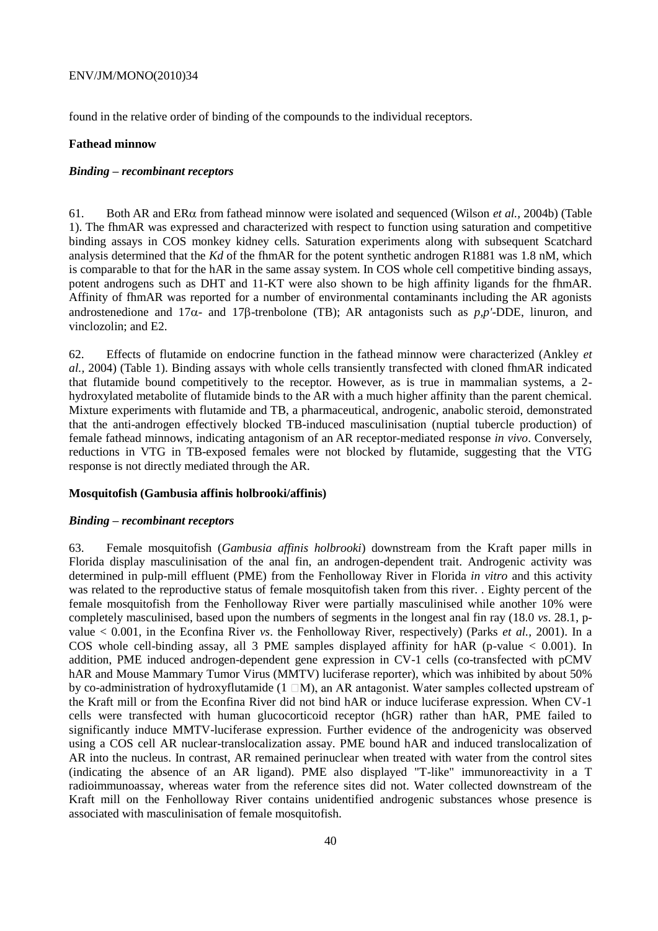found in the relative order of binding of the compounds to the individual receptors.

#### **Fathead minnow**

#### *Binding – recombinant receptors*

61. Both AR and ER $\alpha$  from fathead minnow were isolated and sequenced (Wilson *et al., 2004b*) (Table 1). The fhmAR was expressed and characterized with respect to function using saturation and competitive binding assays in COS monkey kidney cells. Saturation experiments along with subsequent Scatchard analysis determined that the *Kd* of the fhmAR for the potent synthetic androgen R1881 was 1.8 nM, which is comparable to that for the hAR in the same assay system. In COS whole cell competitive binding assays, potent androgens such as DHT and 11-KT were also shown to be high affinity ligands for the fhmAR. Affinity of fhmAR was reported for a number of environmental contaminants including the AR agonists androstenedione and  $17\alpha$ - and  $17\beta$ -trenbolone (TB); AR antagonists such as  $p, p'$ -DDE, linuron, and vinclozolin; and E2.

62. Effects of flutamide on endocrine function in the fathead minnow were characterized (Ankley *et al.,* 2004) (Table 1). Binding assays with whole cells transiently transfected with cloned fhmAR indicated that flutamide bound competitively to the receptor. However, as is true in mammalian systems, a 2 hydroxylated metabolite of flutamide binds to the AR with a much higher affinity than the parent chemical. Mixture experiments with flutamide and TB, a pharmaceutical, androgenic, anabolic steroid, demonstrated that the anti-androgen effectively blocked TB-induced masculinisation (nuptial tubercle production) of female fathead minnows, indicating antagonism of an AR receptor-mediated response *in vivo*. Conversely, reductions in VTG in TB-exposed females were not blocked by flutamide, suggesting that the VTG response is not directly mediated through the AR.

#### **Mosquitofish (Gambusia affinis holbrooki/affinis)**

#### *Binding – recombinant receptors*

63. Female mosquitofish (*Gambusia affinis holbrooki*) downstream from the Kraft paper mills in Florida display masculinisation of the anal fin, an androgen-dependent trait. Androgenic activity was determined in pulp-mill effluent (PME) from the Fenholloway River in Florida *in vitro* and this activity was related to the reproductive status of female mosquitofish taken from this river. . Eighty percent of the female mosquitofish from the Fenholloway River were partially masculinised while another 10% were completely masculinised, based upon the numbers of segments in the longest anal fin ray (18.0 *vs*. 28.1, pvalue < 0.001, in the Econfina River *vs*. the Fenholloway River, respectively) (Parks *et al.,* 2001). In a COS whole cell-binding assay, all 3 PME samples displayed affinity for hAR (p-value < 0.001). In addition, PME induced androgen-dependent gene expression in CV-1 cells (co-transfected with pCMV hAR and Mouse Mammary Tumor Virus (MMTV) luciferase reporter), which was inhibited by about 50% by co-administration of hydroxyflutamide  $(1 \Box M)$ , an AR antagonist. Water samples collected upstream of the Kraft mill or from the Econfina River did not bind hAR or induce luciferase expression. When CV-1 cells were transfected with human glucocorticoid receptor (hGR) rather than hAR, PME failed to significantly induce MMTV-luciferase expression. Further evidence of the androgenicity was observed using a COS cell AR nuclear-translocalization assay. PME bound hAR and induced translocalization of AR into the nucleus. In contrast, AR remained perinuclear when treated with water from the control sites (indicating the absence of an AR ligand). PME also displayed "T-like" immunoreactivity in a T radioimmunoassay, whereas water from the reference sites did not. Water collected downstream of the Kraft mill on the Fenholloway River contains unidentified androgenic substances whose presence is associated with masculinisation of female mosquitofish.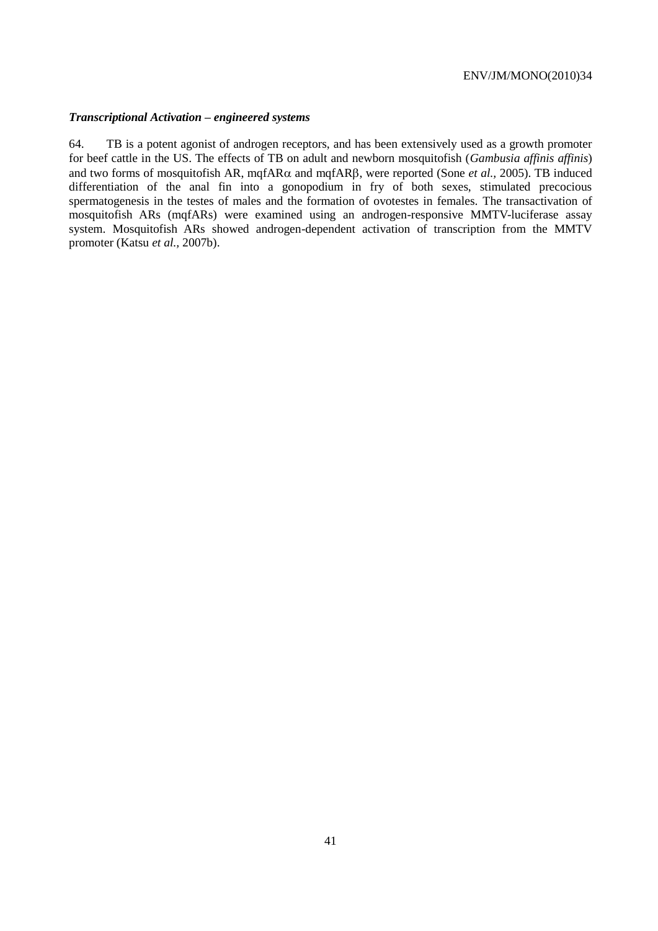### *Transcriptional Activation – engineered systems*

64. TB is a potent agonist of androgen receptors, and has been extensively used as a growth promoter for beef cattle in the US. The effects of TB on adult and newborn mosquitofish (*Gambusia affinis affinis*) and two forms of mosquitofish AR, mqfAR $\alpha$  and mqfAR $\beta$ , were reported (Sone *et al.*, 2005). TB induced differentiation of the anal fin into a gonopodium in fry of both sexes, stimulated precocious spermatogenesis in the testes of males and the formation of ovotestes in females. The transactivation of mosquitofish ARs (mqfARs) were examined using an androgen-responsive MMTV-luciferase assay system. Mosquitofish ARs showed androgen-dependent activation of transcription from the MMTV promoter (Katsu *et al.,* 2007b).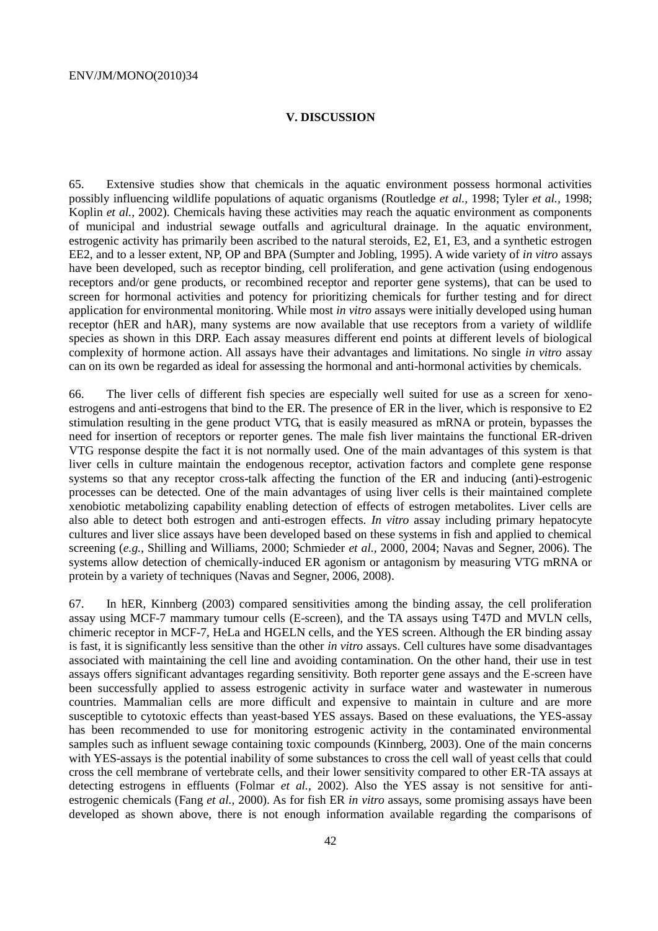#### **V. DISCUSSION**

65. Extensive studies show that chemicals in the aquatic environment possess hormonal activities possibly influencing wildlife populations of aquatic organisms (Routledge *et al.,* 1998; Tyler *et al.,* 1998; Koplin *et al.,* 2002). Chemicals having these activities may reach the aquatic environment as components of municipal and industrial sewage outfalls and agricultural drainage. In the aquatic environment, estrogenic activity has primarily been ascribed to the natural steroids, E2, E1, E3, and a synthetic estrogen EE2, and to a lesser extent, NP, OP and BPA (Sumpter and Jobling, 1995). A wide variety of *in vitro* assays have been developed, such as receptor binding, cell proliferation, and gene activation (using endogenous receptors and/or gene products, or recombined receptor and reporter gene systems), that can be used to screen for hormonal activities and potency for prioritizing chemicals for further testing and for direct application for environmental monitoring. While most *in vitro* assays were initially developed using human receptor (hER and hAR), many systems are now available that use receptors from a variety of wildlife species as shown in this DRP. Each assay measures different end points at different levels of biological complexity of hormone action. All assays have their advantages and limitations. No single *in vitro* assay can on its own be regarded as ideal for assessing the hormonal and anti-hormonal activities by chemicals.

66. The liver cells of different fish species are especially well suited for use as a screen for xenoestrogens and anti-estrogens that bind to the ER. The presence of ER in the liver, which is responsive to E2 stimulation resulting in the gene product VTG, that is easily measured as mRNA or protein, bypasses the need for insertion of receptors or reporter genes. The male fish liver maintains the functional ER-driven VTG response despite the fact it is not normally used. One of the main advantages of this system is that liver cells in culture maintain the endogenous receptor, activation factors and complete gene response systems so that any receptor cross-talk affecting the function of the ER and inducing (anti)-estrogenic processes can be detected. One of the main advantages of using liver cells is their maintained complete xenobiotic metabolizing capability enabling detection of effects of estrogen metabolites. Liver cells are also able to detect both estrogen and anti-estrogen effects. *In vitro* assay including primary hepatocyte cultures and liver slice assays have been developed based on these systems in fish and applied to chemical screening (*e.g.*, Shilling and Williams, 2000; Schmieder *et al.,* 2000, 2004; Navas and Segner, 2006). The systems allow detection of chemically-induced ER agonism or antagonism by measuring VTG mRNA or protein by a variety of techniques (Navas and Segner, 2006, 2008).

67. In hER, Kinnberg (2003) compared sensitivities among the binding assay, the cell proliferation assay using MCF-7 mammary tumour cells (E-screen), and the TA assays using T47D and MVLN cells, chimeric receptor in MCF-7, HeLa and HGELN cells, and the YES screen. Although the ER binding assay is fast, it is significantly less sensitive than the other *in vitro* assays. Cell cultures have some disadvantages associated with maintaining the cell line and avoiding contamination. On the other hand, their use in test assays offers significant advantages regarding sensitivity. Both reporter gene assays and the E-screen have been successfully applied to assess estrogenic activity in surface water and wastewater in numerous countries. Mammalian cells are more difficult and expensive to maintain in culture and are more susceptible to cytotoxic effects than yeast-based YES assays. Based on these evaluations, the YES-assay has been recommended to use for monitoring estrogenic activity in the contaminated environmental samples such as influent sewage containing toxic compounds (Kinnberg, 2003). One of the main concerns with YES-assays is the potential inability of some substances to cross the cell wall of yeast cells that could cross the cell membrane of vertebrate cells, and their lower sensitivity compared to other ER-TA assays at detecting estrogens in effluents (Folmar *et al.,* 2002). Also the YES assay is not sensitive for antiestrogenic chemicals (Fang *et al.,* 2000). As for fish ER *in vitro* assays, some promising assays have been developed as shown above, there is not enough information available regarding the comparisons of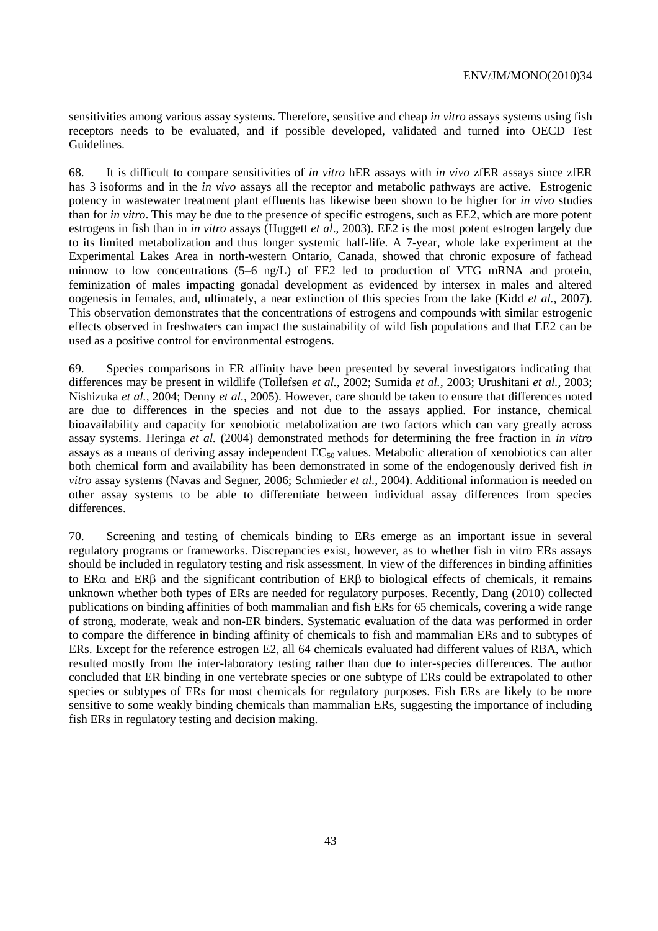sensitivities among various assay systems. Therefore, sensitive and cheap *in vitro* assays systems using fish receptors needs to be evaluated, and if possible developed, validated and turned into OECD Test Guidelines.

68. It is difficult to compare sensitivities of *in vitro* hER assays with *in vivo* zfER assays since zfER has 3 isoforms and in the *in vivo* assays all the receptor and metabolic pathways are active. Estrogenic potency in wastewater treatment plant effluents has likewise been shown to be higher for *in vivo* studies than for *in vitro*. This may be due to the presence of specific estrogens, such as EE2, which are more potent estrogens in fish than in *in vitro* assays (Huggett *et al*., 2003). EE2 is the most potent estrogen largely due to its limited metabolization and thus longer systemic half-life. A 7-year, whole lake experiment at the Experimental Lakes Area in north-western Ontario, Canada, showed that chronic exposure of fathead minnow to low concentrations (5–6 ng/L) of EE2 led to production of VTG mRNA and protein, feminization of males impacting gonadal development as evidenced by intersex in males and altered oogenesis in females, and, ultimately, a near extinction of this species from the lake (Kidd *et al.,* 2007). This observation demonstrates that the concentrations of estrogens and compounds with similar estrogenic effects observed in freshwaters can impact the sustainability of wild fish populations and that EE2 can be used as a positive control for environmental estrogens.

69. Species comparisons in ER affinity have been presented by several investigators indicating that differences may be present in wildlife (Tollefsen *et al.,* 2002; Sumida *et al.,* 2003; Urushitani *et al.,* 2003; Nishizuka *et al.,* 2004; Denny *et al.,* 2005). However, care should be taken to ensure that differences noted are due to differences in the species and not due to the assays applied. For instance, chemical bioavailability and capacity for xenobiotic metabolization are two factors which can vary greatly across assay systems. Heringa *et al.* (2004) demonstrated methods for determining the free fraction in *in vitro* assays as a means of deriving assay independent  $EC_{50}$  values. Metabolic alteration of xenobiotics can alter both chemical form and availability has been demonstrated in some of the endogenously derived fish *in vitro* assay systems (Navas and Segner, 2006; Schmieder *et al.,* 2004). Additional information is needed on other assay systems to be able to differentiate between individual assay differences from species differences.

70. Screening and testing of chemicals binding to ERs emerge as an important issue in several regulatory programs or frameworks. Discrepancies exist, however, as to whether fish in vitro ERs assays should be included in regulatory testing and risk assessment. In view of the differences in binding affinities to  $ER\alpha$  and  $ER\beta$  and the significant contribution of  $ER\beta$  to biological effects of chemicals, it remains unknown whether both types of ERs are needed for regulatory purposes. Recently, Dang (2010) collected publications on binding affinities of both mammalian and fish ERs for 65 chemicals, covering a wide range of strong, moderate, weak and non-ER binders. Systematic evaluation of the data was performed in order to compare the difference in binding affinity of chemicals to fish and mammalian ERs and to subtypes of ERs. Except for the reference estrogen E2, all 64 chemicals evaluated had different values of RBA, which resulted mostly from the inter-laboratory testing rather than due to inter-species differences. The author concluded that ER binding in one vertebrate species or one subtype of ERs could be extrapolated to other species or subtypes of ERs for most chemicals for regulatory purposes. Fish ERs are likely to be more sensitive to some weakly binding chemicals than mammalian ERs, suggesting the importance of including fish ERs in regulatory testing and decision making.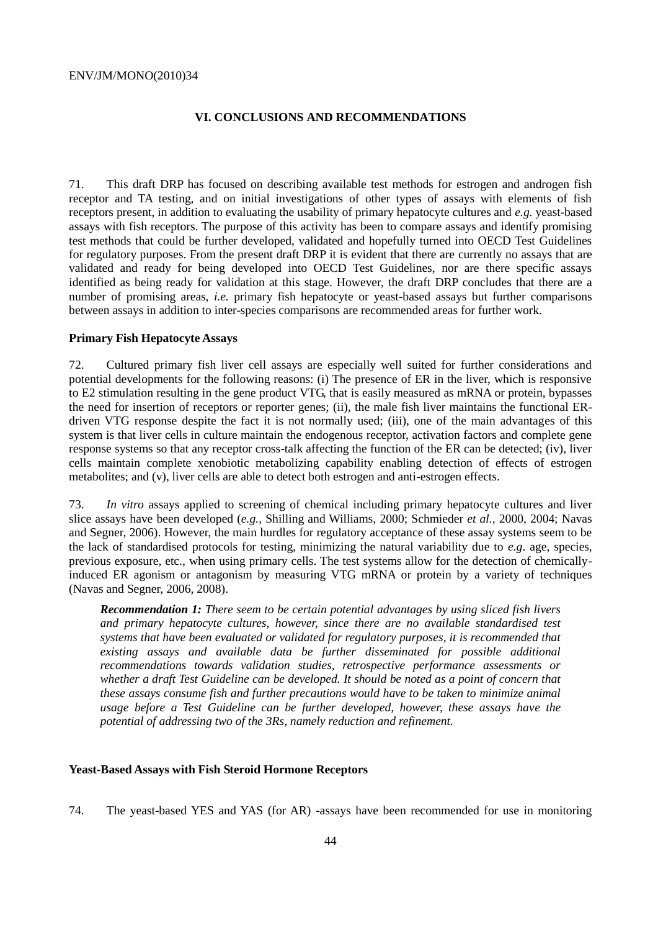#### **VI. CONCLUSIONS AND RECOMMENDATIONS**

71. This draft DRP has focused on describing available test methods for estrogen and androgen fish receptor and TA testing, and on initial investigations of other types of assays with elements of fish receptors present, in addition to evaluating the usability of primary hepatocyte cultures and *e.g.* yeast-based assays with fish receptors. The purpose of this activity has been to compare assays and identify promising test methods that could be further developed, validated and hopefully turned into OECD Test Guidelines for regulatory purposes. From the present draft DRP it is evident that there are currently no assays that are validated and ready for being developed into OECD Test Guidelines, nor are there specific assays identified as being ready for validation at this stage. However, the draft DRP concludes that there are a number of promising areas, *i.e.* primary fish hepatocyte or yeast-based assays but further comparisons between assays in addition to inter-species comparisons are recommended areas for further work.

#### **Primary Fish Hepatocyte Assays**

72. Cultured primary fish liver cell assays are especially well suited for further considerations and potential developments for the following reasons: (i) The presence of ER in the liver, which is responsive to E2 stimulation resulting in the gene product VTG, that is easily measured as mRNA or protein, bypasses the need for insertion of receptors or reporter genes; (ii), the male fish liver maintains the functional ERdriven VTG response despite the fact it is not normally used; (iii), one of the main advantages of this system is that liver cells in culture maintain the endogenous receptor, activation factors and complete gene response systems so that any receptor cross-talk affecting the function of the ER can be detected; (iv), liver cells maintain complete xenobiotic metabolizing capability enabling detection of effects of estrogen metabolites; and (v), liver cells are able to detect both estrogen and anti-estrogen effects.

73. *In vitro* assays applied to screening of chemical including primary hepatocyte cultures and liver slice assays have been developed (*e.g.*, Shilling and Williams, 2000; Schmieder *et al.,* 2000, 2004; Navas and Segner, 2006). However, the main hurdles for regulatory acceptance of these assay systems seem to be the lack of standardised protocols for testing, minimizing the natural variability due to *e.g*. age, species, previous exposure, etc., when using primary cells. The test systems allow for the detection of chemicallyinduced ER agonism or antagonism by measuring VTG mRNA or protein by a variety of techniques (Navas and Segner, 2006, 2008).

*Recommendation 1: There seem to be certain potential advantages by using sliced fish livers and primary hepatocyte cultures, however, since there are no available standardised test systems that have been evaluated or validated for regulatory purposes, it is recommended that existing assays and available data be further disseminated for possible additional recommendations towards validation studies, retrospective performance assessments or whether a draft Test Guideline can be developed. It should be noted as a point of concern that these assays consume fish and further precautions would have to be taken to minimize animal usage before a Test Guideline can be further developed, however, these assays have the potential of addressing two of the 3Rs, namely reduction and refinement.*

#### **Yeast-Based Assays with Fish Steroid Hormone Receptors**

74. The yeast-based YES and YAS (for AR) -assays have been recommended for use in monitoring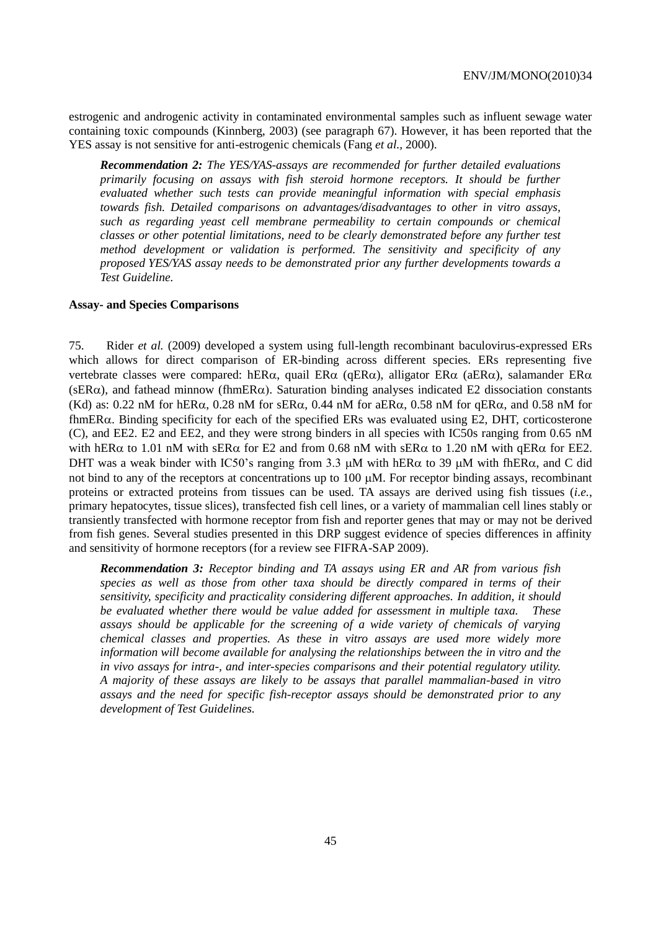estrogenic and androgenic activity in contaminated environmental samples such as influent sewage water containing toxic compounds (Kinnberg, 2003) (see paragraph 67). However, it has been reported that the YES assay is not sensitive for anti-estrogenic chemicals (Fang *et al.,* 2000).

*Recommendation 2: The YES/YAS-assays are recommended for further detailed evaluations primarily focusing on assays with fish steroid hormone receptors. It should be further evaluated whether such tests can provide meaningful information with special emphasis towards fish. Detailed comparisons on advantages/disadvantages to other in vitro assays, such as regarding yeast cell membrane permeability to certain compounds or chemical classes or other potential limitations, need to be clearly demonstrated before any further test method development or validation is performed. The sensitivity and specificity of any proposed YES/YAS assay needs to be demonstrated prior any further developments towards a Test Guideline.*

#### **Assay- and Species Comparisons**

75. Rider *et al.* (2009) developed a system using full-length recombinant baculovirus-expressed ERs which allows for direct comparison of ER-binding across different species. ERs representing five vertebrate classes were compared: hER $\alpha$ , quail ER $\alpha$  (qER $\alpha$ ), alligator ER $\alpha$  (aER $\alpha$ ), salamander ER $\alpha$ (sER $\alpha$ ), and fathead minnow (fhmER $\alpha$ ). Saturation binding analyses indicated E2 dissociation constants (Kd) as: 0.22 nM for hER $\alpha$ , 0.28 nM for sER $\alpha$ , 0.44 nM for aER $\alpha$ , 0.58 nM for qER $\alpha$ , and 0.58 nM for fhmER $\alpha$ . Binding specificity for each of the specified ERs was evaluated using E2, DHT, corticosterone (C), and EE2. E2 and EE2, and they were strong binders in all species with IC50s ranging from 0.65 nM with hER $\alpha$  to 1.01 nM with sER $\alpha$  for E2 and from 0.68 nM with sER $\alpha$  to 1.20 nM with qER $\alpha$  for EE2. DHT was a weak binder with IC50's ranging from 3.3  $\mu$ M with hER $\alpha$  to 39  $\mu$ M with fhER $\alpha$ , and C did not bind to any of the receptors at concentrations up to  $100 \mu M$ . For receptor binding assays, recombinant proteins or extracted proteins from tissues can be used. TA assays are derived using fish tissues (*i.e.*, primary hepatocytes, tissue slices), transfected fish cell lines, or a variety of mammalian cell lines stably or transiently transfected with hormone receptor from fish and reporter genes that may or may not be derived from fish genes. Several studies presented in this DRP suggest evidence of species differences in affinity and sensitivity of hormone receptors (for a review see FIFRA-SAP 2009).

*Recommendation 3: Receptor binding and TA assays using ER and AR from various fish species as well as those from other taxa should be directly compared in terms of their sensitivity, specificity and practicality considering different approaches. In addition, it should be evaluated whether there would be value added for assessment in multiple taxa. These assays should be applicable for the screening of a wide variety of chemicals of varying chemical classes and properties. As these in vitro assays are used more widely more information will become available for analysing the relationships between the in vitro and the in vivo assays for intra-, and inter-species comparisons and their potential regulatory utility. A majority of these assays are likely to be assays that parallel mammalian-based in vitro assays and the need for specific fish-receptor assays should be demonstrated prior to any development of Test Guidelines.*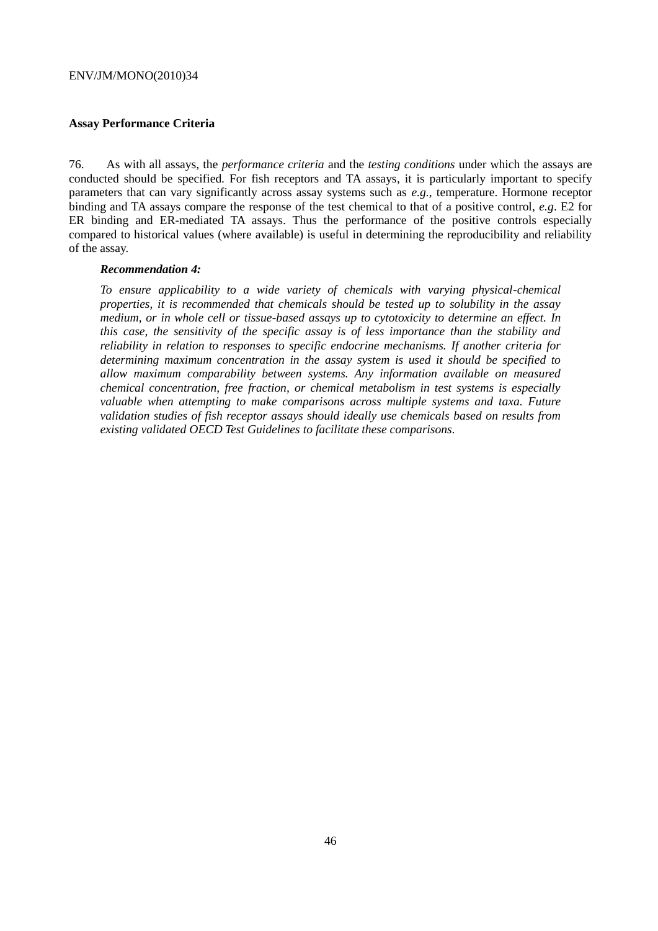#### **Assay Performance Criteria**

76. As with all assays, the *performance criteria* and the *testing conditions* under which the assays are conducted should be specified. For fish receptors and TA assays, it is particularly important to specify parameters that can vary significantly across assay systems such as *e.g.,* temperature. Hormone receptor binding and TA assays compare the response of the test chemical to that of a positive control, *e.g*. E2 for ER binding and ER-mediated TA assays. Thus the performance of the positive controls especially compared to historical values (where available) is useful in determining the reproducibility and reliability of the assay.

#### *Recommendation 4:*

*To ensure applicability to a wide variety of chemicals with varying physical-chemical properties, it is recommended that chemicals should be tested up to solubility in the assay medium, or in whole cell or tissue-based assays up to cytotoxicity to determine an effect. In this case, the sensitivity of the specific assay is of less importance than the stability and reliability in relation to responses to specific endocrine mechanisms. If another criteria for determining maximum concentration in the assay system is used it should be specified to allow maximum comparability between systems. Any information available on measured chemical concentration, free fraction, or chemical metabolism in test systems is especially valuable when attempting to make comparisons across multiple systems and taxa. Future validation studies of fish receptor assays should ideally use chemicals based on results from existing validated OECD Test Guidelines to facilitate these comparisons.*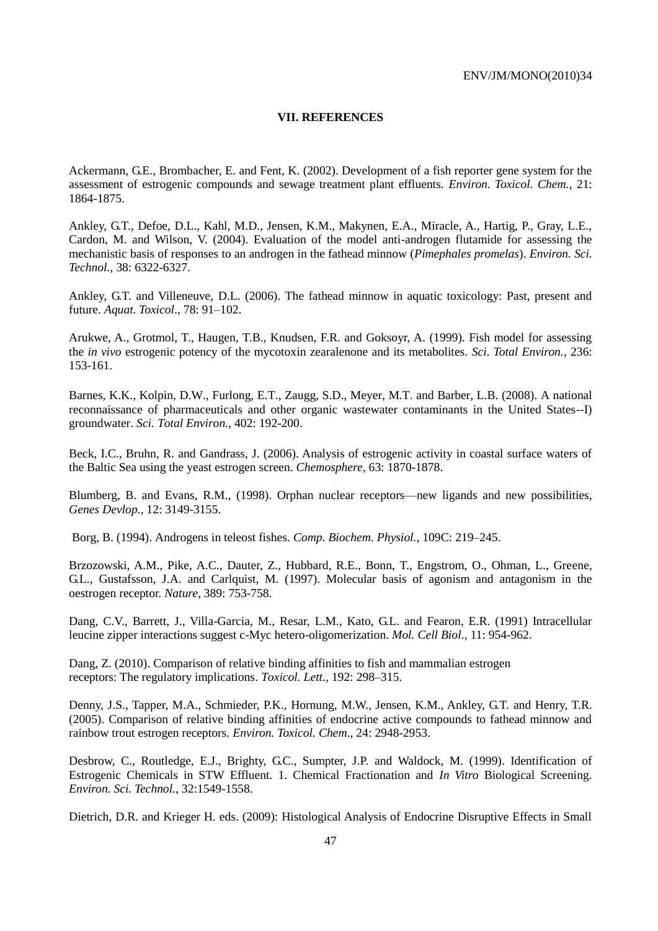#### **VII. REFERENCES**

Ackermann, G.E., Brombacher, E. and Fent, K. (2002). Development of a fish reporter gene system for the assessment of estrogenic compounds and sewage treatment plant effluents. *Environ. Toxicol. Chem.*, 21: 1864-1875.

Ankley, G.T., Defoe, D.L., Kahl, M.D., Jensen, K.M., Makynen, E.A., Miracle, A., Hartig, P., Gray, L.E., Cardon, M. and Wilson, V. (2004). Evaluation of the model anti-androgen flutamide for assessing the mechanistic basis of responses to an androgen in the fathead minnow (*Pimephales promelas*). *Environ. Sci. Technol.*, 38: 6322-6327.

Ankley, G.T. and Villeneuve, D.L. (2006). The fathead minnow in aquatic toxicology: Past, present and future. *Aquat. Toxicol*., 78: 91–102.

Arukwe, A., Grotmol, T., Haugen, T.B., Knudsen, F.R. and Goksoyr, A. (1999). Fish model for assessing the *in vivo* estrogenic potency of the mycotoxin zearalenone and its metabolites. *Sci. Total Environ.*, 236: 153-161.

Barnes, K.K., Kolpin, D.W., Furlong, E.T., Zaugg, S.D., Meyer, M.T. and Barber, L.B. (2008). [A national](http://www.ncbi.nlm.nih.gov/pubmed/18556047)  [reconnaissance of pharmaceuticals and other organic wastewater contaminants in the United States--I\)](http://www.ncbi.nlm.nih.gov/pubmed/18556047)  [groundwater.](http://www.ncbi.nlm.nih.gov/pubmed/18556047) *Sci. Total Environ.,* 402: 192-200.

Beck, I.C., Bruhn, R. and Gandrass, J. (2006). Analysis of estrogenic activity in coastal surface waters of the Baltic Sea using the yeast estrogen screen. *Chemosphere*, 63: 1870-1878.

Blumberg, B. and Evans, R.M., (1998). Orphan nuclear receptors—new ligands and new possibilities, *Genes Devlop.,* 12: 3149-3155.

Borg, B. (1994). Androgens in teleost fishes. *Comp. Biochem. Physiol.*, 109C: 219–245.

Brzozowski, A.M., Pike, A.C., Dauter, Z., Hubbard, R.E., Bonn, T., Engstrom, O., Ohman, L., Greene, G.L., Gustafsson, J.A. and Carlquist, M. (1997). Molecular basis of agonism and antagonism in the oestrogen receptor. *Nature*, 389: 753-758.

Dang, C.V., Barrett, J., Villa-Garcia, M., Resar, L.M., Kato, G.L. and Fearon, E.R. (1991) Intracellular leucine zipper interactions suggest c-Myc hetero-oligomerization. *Mol. Cell Biol*., 11: 954-962.

Dang, Z. (2010). Comparison of relative binding affinities to fish and mammalian estrogen receptors: The regulatory implications. *Toxicol. Lett.,* 192: 298–315.

Denny, J.S., Tapper, M.A., Schmieder, P.K., Hornung, M.W., Jensen, K.M., Ankley, G.T. and Henry, T.R. (2005). Comparison of relative binding affinities of endocrine active compounds to fathead minnow and rainbow trout estrogen receptors. *Environ. Toxicol. Chem*., 24: 2948-2953.

Desbrow, C., Routledge, E.J., Brighty, G.C., Sumpter, J.P. and Waldock, M. (1999). Identification of Estrogenic Chemicals in STW Effluent. 1. Chemical Fractionation and *In Vitro* Biological Screening. *Environ. Sci. Technol.*, 32:1549-1558.

Dietrich, D.R. and Krieger H. eds. (2009): Histological Analysis of Endocrine Disruptive Effects in Small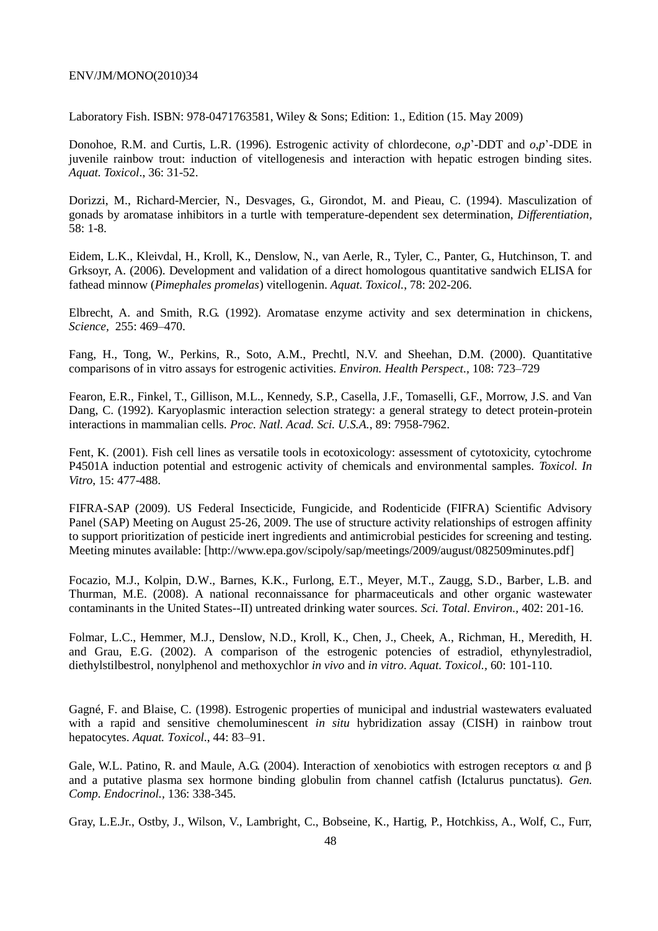Laboratory Fish. ISBN: 978-0471763581, Wiley & Sons; Edition: 1., Edition (15. May 2009)

Donohoe, R.M. and Curtis, L.R. (1996). Estrogenic activity of chlordecone, *o*,*p*'-DDT and *o*,*p*'-DDE in juvenile rainbow trout: induction of vitellogenesis and interaction with hepatic estrogen binding sites*. Aquat. Toxicol*., 36: 31-52.

Dorizzi, M., Richard-Mercier, N., Desvages, G., Girondot, M. and Pieau, C. (1994). Masculization of gonads by aromatase inhibitors in a turtle with temperature-dependent sex determination, *Differentiation,* 58: 1-8.

Eidem, L.K., Kleivdal, H., Kroll, K., Denslow, N., van Aerle, R., Tyler, C., Panter, G., Hutchinson, T. and Grksoyr, A. (2006). Development and validation of a direct homologous quantitative sandwich ELISA for fathead minnow (*Pimephales promelas*) vitellogenin. *Aquat. Toxicol.*, 78: 202-206.

Elbrecht, A. and Smith, R.G. (1992). Aromatase enzyme activity and sex determination in chickens, *Science,* 255: 469–470.

Fang, H., Tong, W., Perkins, R., Soto, A.M., Prechtl, N.V. and Sheehan, D.M. (2000). Quantitative comparisons of in vitro assays for estrogenic activities. *Environ. Health Perspect.,* 108: 723–729

Fearon, E.R., Finkel, T., Gillison, M.L., Kennedy, S.P., Casella, J.F., Tomaselli, G.F., Morrow, J.S. and Van Dang, C. (1992). Karyoplasmic interaction selection strategy: a general strategy to detect protein-protein interactions in mammalian cells. *Proc. Natl. Acad. Sci. U.S.A.*, 89: 7958-7962.

Fent, K. (2001). Fish cell lines as versatile tools in ecotoxicology: assessment of cytotoxicity, cytochrome P4501A induction potential and estrogenic activity of chemicals and environmental samples. *Toxicol. In Vitro*, 15: 477-488.

FIFRA-SAP (2009). US Federal Insecticide, Fungicide, and Rodenticide (FIFRA) Scientific Advisory Panel (SAP) Meeting on August 25-26, 2009. The use of structure activity relationships of estrogen affinity to support prioritization of pesticide inert ingredients and antimicrobial pesticides for screening and testing. Meeting minutes available: [\[http://www.epa.gov/scipoly/sap/meetings/2009/august/082509minutes.pdf\]](http://www.epa.gov/scipoly/sap/meetings/2009/august/082509minutes.pdf)

Focazio, M.J., Kolpin, D.W., Barnes, K.K., Furlong, E.T., Meyer, M.T., Zaugg, S.D., Barber, L.B. and Thurman, M.E. (2008). [A national reconnaissance for pharmaceuticals and other organic wastewater](http://www.ncbi.nlm.nih.gov/pubmed/18433838)  [contaminants in the United States--II\) untreated drinking water sources.](http://www.ncbi.nlm.nih.gov/pubmed/18433838) *Sci. Total. Environ.,* 402: 201-16.

[Folmar, L.C.](http://www.ncbi.nlm.nih.gov/pubmed?term=%22Folmar%20LC%22%5BAuthor%5D), [Hemmer, M.J.](http://www.ncbi.nlm.nih.gov/pubmed?term=%22Hemmer%20MJ%22%5BAuthor%5D), [Denslow, N.D.](http://www.ncbi.nlm.nih.gov/pubmed?term=%22Denslow%20ND%22%5BAuthor%5D), [Kroll, K.](http://www.ncbi.nlm.nih.gov/pubmed?term=%22Kroll%20K%22%5BAuthor%5D), [Chen, J.](http://www.ncbi.nlm.nih.gov/pubmed?term=%22Chen%20J%22%5BAuthor%5D), [Cheek, A.](http://www.ncbi.nlm.nih.gov/pubmed?term=%22Cheek%20A%22%5BAuthor%5D), [Richman, H.](http://www.ncbi.nlm.nih.gov/pubmed?term=%22Richman%20H%22%5BAuthor%5D), [Meredith, H.](http://www.ncbi.nlm.nih.gov/pubmed?term=%22Meredith%20H%22%5BAuthor%5D) and [Grau, E.G.](http://www.ncbi.nlm.nih.gov/pubmed?term=%22Grau%20EG%22%5BAuthor%5D) (2002). A comparison of the estrogenic potencies of estradiol, ethynylestradiol, diethylstilbestrol, nonylphenol and methoxychlor *in vivo* and *in vitro*. *[Aquat. Toxicol.,](javascript:AL_get(this,%20)* 60: 101-110.

Gagné, F. and Blaise, C. (1998). Estrogenic properties of municipal and industrial wastewaters evaluated with a rapid and sensitive chemoluminescent *in situ* hybridization assay (CISH) in rainbow trout hepatocytes. *Aquat. Toxicol*., 44: 83–91.

Gale, W.L. Patino, R. and Maule, A.G. (2004). Interaction of xenobiotics with estrogen receptors  $\alpha$  and  $\beta$ and a putative plasma sex hormone binding globulin from channel catfish (Ictalurus punctatus). *Gen. Comp. Endocrinol.,* 136: 338-345.

Gray, L.E.Jr., Ostby, J., Wilson, V., Lambright, C., Bobseine, K., Hartig, P., Hotchkiss, A., Wolf, C., Furr,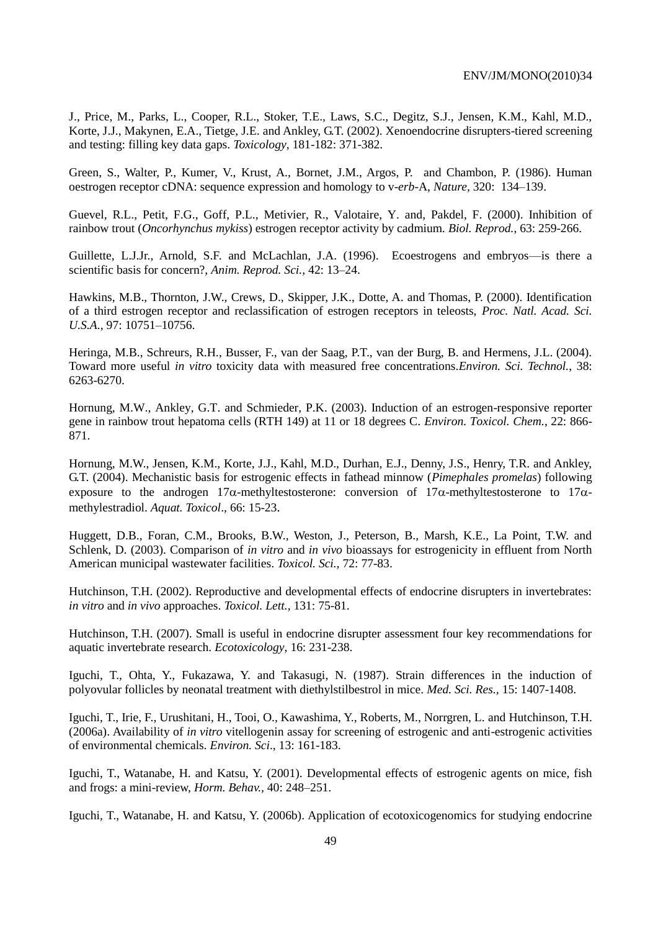J., Price, M., Parks, L., Cooper, R.L., Stoker, T.E., Laws, S.C., Degitz, S.J., Jensen, K.M., Kahl, M.D., Korte, J.J., Makynen, E.A., Tietge, J.E. and Ankley, G.T. (2002). Xenoendocrine disrupters-tiered screening and testing: filling key data gaps. *Toxicology*, 181-182: 371-382.

Green, S., Walter, P., Kumer, V., Krust, A., Bornet, J.M., Argos, P. and Chambon, P. (1986). Human oestrogen receptor cDNA: sequence expression and homology to v-*erb*-A, *Nature,* 320: 134–139.

[Guevel, R.L.](http://www.ncbi.nlm.nih.gov/entrez/query.fcgi?db=pubmed&cmd=Search&itool=pubmed_Abstract&term=%22Guevel+RL%22%5BAuthor%5D), [Petit, F.G.](http://www.ncbi.nlm.nih.gov/entrez/query.fcgi?db=pubmed&cmd=Search&itool=pubmed_Abstract&term=%22Petit+FG%22%5BAuthor%5D), [Goff, P.L.](http://www.ncbi.nlm.nih.gov/entrez/query.fcgi?db=pubmed&cmd=Search&itool=pubmed_Abstract&term=%22Goff+PL%22%5BAuthor%5D), [Metivier, R.](http://www.ncbi.nlm.nih.gov/entrez/query.fcgi?db=pubmed&cmd=Search&itool=pubmed_Abstract&term=%22Metivier+R%22%5BAuthor%5D), [Valotaire, Y.](http://www.ncbi.nlm.nih.gov/entrez/query.fcgi?db=pubmed&cmd=Search&itool=pubmed_Abstract&term=%22Valotaire+Y%22%5BAuthor%5D) and, [Pakdel, F.](http://www.ncbi.nlm.nih.gov/entrez/query.fcgi?db=pubmed&cmd=Search&itool=pubmed_Abstract&term=%22Pakdel+F%22%5BAuthor%5D) (2000). Inhibition of rainbow trout (*Oncorhynchus mykiss*) estrogen receptor activity by cadmium. *[Biol. Reprod.](javascript:AL_get(this,%20)*, 63: 259-266.

Guillette, L.J.Jr., Arnold, S.F. and McLachlan, J.A. (1996). Ecoestrogens and embryos—is there a scientific basis for concern?, *Anim. Reprod. Sci.,* 42: 13–24.

Hawkins, M.B., Thornton, J.W., Crews, D., Skipper, J.K., Dotte, A. and Thomas, P. (2000). Identification of a third estrogen receptor and reclassification of estrogen receptors in teleosts, *Proc. Natl. Acad. Sci. U.S.A.,* 97: 10751–10756.

Heringa, M.B., Schreurs, R.H., Busser, F., van der Saag, P.T., van der Burg, B. and Hermens, J.L. (2004). Toward more useful *in vitro* toxicity data with measured free concentrations.*Environ. Sci. Technol.*, 38: 6263-6270.

[Hornung, M.W.](http://www.ncbi.nlm.nih.gov/entrez/query.fcgi?db=pubmed&cmd=Search&itool=pubmed_Abstract&term=%22Hornung+MW%22%5BAuthor%5D), [Ankley, G.T.](http://www.ncbi.nlm.nih.gov/entrez/query.fcgi?db=pubmed&cmd=Search&itool=pubmed_Abstract&term=%22Ankley+GT%22%5BAuthor%5D) and [Schmieder, P.K.](http://www.ncbi.nlm.nih.gov/entrez/query.fcgi?db=pubmed&cmd=Search&itool=pubmed_Abstract&term=%22Schmieder+PK%22%5BAuthor%5D) (2003). Induction of an estrogen-responsive reporter gene in rainbow trout hepatoma cells (RTH 149) at 11 or 18 degrees C. *[Environ. Toxicol. Chem.](javascript:AL_get(this,%20)*, 22: 866- 871.

Hornung, M.W., Jensen, K.M., Korte, J.J., Kahl, M.D., Durhan, E.J., Denny, J.S., Henry, T.R. and Ankley, G.T. (2004). Mechanistic basis for estrogenic effects in fathead minnow (*Pimephales promelas*) following exposure to the androgen  $17\alpha$ -methyltestosterone: conversion of  $17\alpha$ -methyltestosterone to  $17\alpha$ methylestradiol. *Aquat. Toxicol*., 66: 15-23.

Huggett, D.B., Foran, C.M., Brooks, B.W., Weston, J., Peterson, B., Marsh, K.E., La Point, T.W. and Schlenk, D. (2003). Comparison of *in vitro* and *in vivo* bioassays for estrogenicity in effluent from North American municipal wastewater facilities. *Toxicol. Sci.,* 72: 77-83.

Hutchinson, T.H. (2002). Reproductive and developmental effects of endocrine disrupters in invertebrates: *in vitro* and *in vivo* approaches. *Toxicol. Lett.,* 131: 75-81.

Hutchinson, T.H. (2007). Small is useful in endocrine disrupter assessment four key recommendations for aquatic invertebrate research. *Ecotoxicology*, 16: 231-238.

Iguchi, T., Ohta, Y., Fukazawa, Y. and Takasugi, N. (1987). Strain differences in the induction of polyovular follicles by neonatal treatment with diethylstilbestrol in mice. *Med. Sci. Res.,* 15: 1407-1408.

Iguchi, T., Irie, F., Urushitani, H., Tooi, O., Kawashima, Y., Roberts, M., Norrgren, L. and Hutchinson, T.H. (2006a). Availability of *in vitro* vitellogenin assay for screening of estrogenic and anti-estrogenic activities of environmental chemicals. *Environ. Sci*., 13: 161-183.

Iguchi, T., Watanabe, H. and Katsu, Y. (2001). Developmental effects of estrogenic agents on mice, fish and frogs: a mini-review, *Horm. Behav.,* 40: 248–251.

Iguchi, T., Watanabe, H. and Katsu, Y. (2006b). Application of ecotoxicogenomics for studying endocrine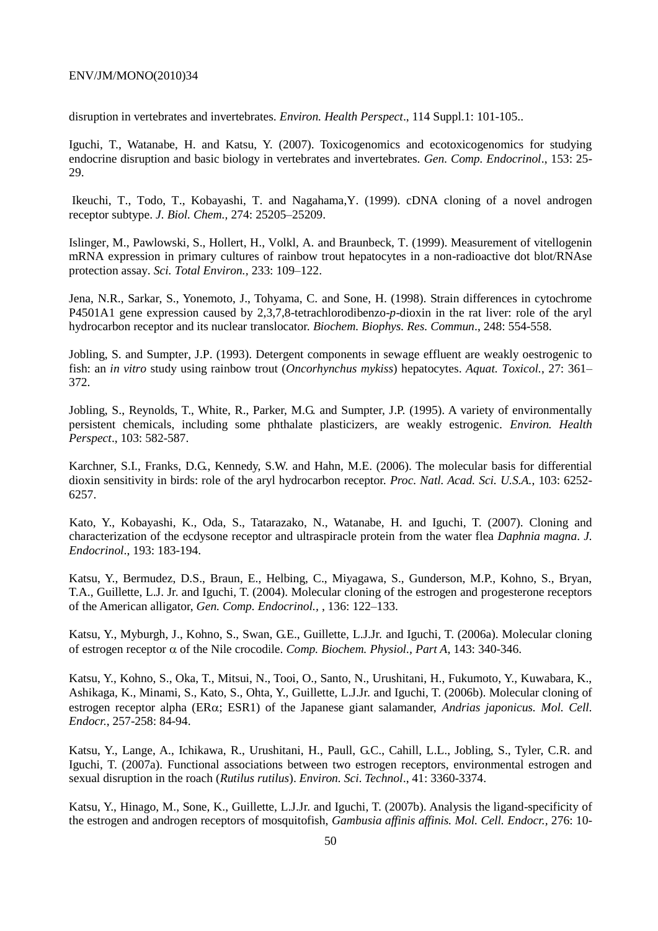disruption in vertebrates and invertebrates. *Environ. Health Perspect*., 114 Suppl.1: 101-105..

Iguchi, T., Watanabe, H. and Katsu, Y. (2007). Toxicogenomics and ecotoxicogenomics for studying endocrine disruption and basic biology in vertebrates and invertebrates. *Gen. Comp. Endocrinol*., 153: 25- 29.

Ikeuchi, T., Todo, T., Kobayashi, T. and Nagahama,Y. (1999). cDNA cloning of a novel androgen receptor subtype. *J. Biol. Chem.,* 274: 25205–25209.

Islinger, M., Pawlowski, S., Hollert, H., Volkl, A. and Braunbeck, T. (1999). Measurement of vitellogenin mRNA expression in primary cultures of rainbow trout hepatocytes in a non-radioactive dot blot/RNAse protection assay. *Sci. Total Environ.,* 233: 109–122.

Jena, N.R., Sarkar, S., Yonemoto, J., Tohyama, C. and Sone, H. (1998). Strain differences in cytochrome P4501A1 gene expression caused by 2,3,7,8-tetrachlorodibenzo-*p*-dioxin in the rat liver: role of the aryl hydrocarbon receptor and its nuclear translocator. *Biochem. Biophys. Res. Commun*., 248: 554-558.

Jobling, S. and Sumpter, J.P. (1993). Detergent components in sewage effluent are weakly oestrogenic to fish: an *in vitro* study using rainbow trout (*Oncorhynchus mykiss*) hepatocytes. *Aquat. Toxicol.*, 27: 361– 372.

Jobling, S., Reynolds, T., White, R., Parker, M.G. and Sumpter, J.P. (1995). A variety of environmentally persistent chemicals, including some phthalate plasticizers, are weakly estrogenic. *Environ. Health Perspect*., 103: 582-587.

Karchner, S.I., Franks, D.G., Kennedy, S.W. and Hahn, M.E. (2006). The molecular basis for differential dioxin sensitivity in birds: role of the aryl hydrocarbon receptor. *Proc. Natl. Acad. Sci. U.S.A.*, 103: 6252- 6257.

Kato, Y., Kobayashi, K., Oda, S., Tatarazako, N., Watanabe, H. and Iguchi, T. (2007). Cloning and characterization of the ecdysone receptor and ultraspiracle protein from the water flea *Daphnia magna*. *J. Endocrinol*., 193: 183-194.

Katsu, Y., Bermudez, D.S., Braun, E., Helbing, C., Miyagawa, S., Gunderson, M.P., Kohno, S., Bryan, T.A., Guillette, L.J. Jr. and Iguchi, T. (2004). Molecular cloning of the estrogen and progesterone receptors of the American alligator, *Gen. Comp. Endocrinol.,* , 136: 122–133.

Katsu, Y., Myburgh, J., Kohno, S., Swan, G.E., Guillette, L.J.Jr. and Iguchi, T. (2006a). Molecular cloning of estrogen receptor  $\alpha$  of the Nile crocodile. *Comp. Biochem. Physiol., Part A*, 143: 340-346.

Katsu, Y., Kohno, S., Oka, T., Mitsui, N., Tooi, O., Santo, N., Urushitani, H., Fukumoto, Y., Kuwabara, K., Ashikaga, K., Minami, S., Kato, S., Ohta, Y., Guillette, L.J.Jr. and Iguchi, T. (2006b). Molecular cloning of estrogen receptor alpha (ER $\alpha$ ; ESR1) of the Japanese giant salamander, *Andrias japonicus. Mol. Cell. Endocr.*, 257-258: 84-94.

Katsu, Y., Lange, A., Ichikawa, R., Urushitani, H., Paull, G.C., Cahill, L.L., Jobling, S., Tyler, C.R. and Iguchi, T. (2007a). Functional associations between two estrogen receptors, environmental estrogen and sexual disruption in the roach (*Rutilus rutilus*). *Environ. Sci. Technol*., 41: 3360-3374.

Katsu, Y., Hinago, M., Sone, K., Guillette, L.J.Jr. and Iguchi, T. (2007b). Analysis the ligand-specificity of the estrogen and androgen receptors of mosquitofish, *Gambusia affinis affinis. Mol. Cell. Endocr.,* 276: 10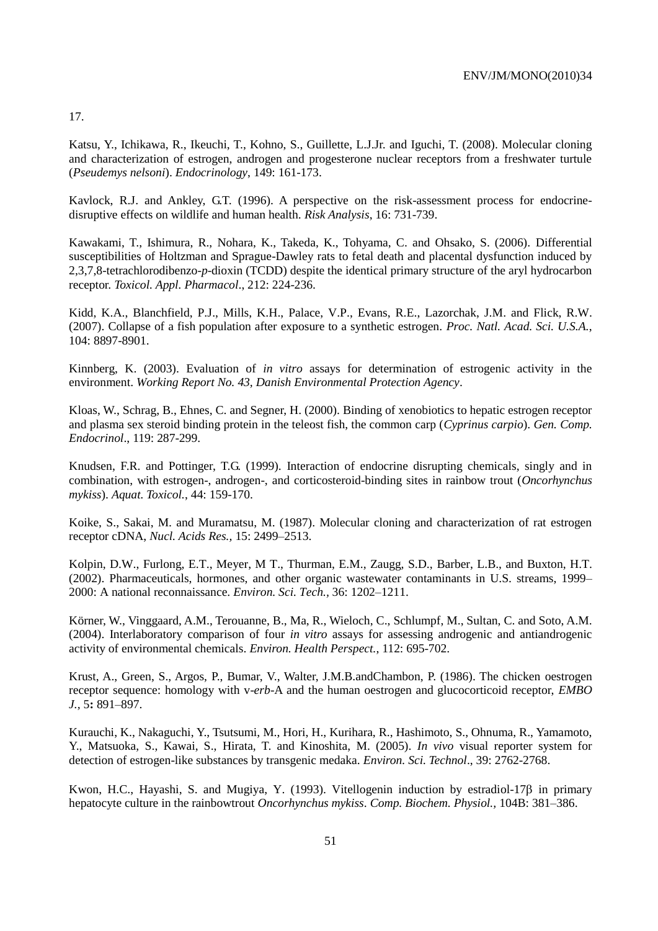17.

Katsu, Y., Ichikawa, R., Ikeuchi, T., Kohno, S., Guillette, L.J.Jr. and Iguchi, T. (2008). Molecular cloning and characterization of estrogen, androgen and progesterone nuclear receptors from a freshwater turtule (*Pseudemys nelsoni*). *Endocrinology*, 149: 161-173.

Kavlock, R.J. and Ankley, G.T. (1996). A perspective on the risk-assessment process for endocrinedisruptive effects on wildlife and human health. *Risk Analysis*, 16: 731-739.

Kawakami, T., Ishimura, R., Nohara, K., Takeda, K., Tohyama, C. and Ohsako, S. (2006). Differential susceptibilities of Holtzman and Sprague-Dawley rats to fetal death and placental dysfunction induced by 2,3,7,8-tetrachlorodibenzo-*p*-dioxin (TCDD) despite the identical primary structure of the aryl hydrocarbon receptor. *Toxicol. Appl. Pharmacol*., 212: 224-236.

[Kidd, K.A.](http://www.ncbi.nlm.nih.gov/sites/entrez?Db=pubmed&Cmd=Search&Term=%22Kidd%20KA%22%5BAuthor%5D&itool=EntrezSystem2.PEntrez.Pubmed.Pubmed_ResultsPanel.Pubmed_RVAbstractPlus), [Blanchfield, P.J.](http://www.ncbi.nlm.nih.gov/sites/entrez?Db=pubmed&Cmd=Search&Term=%22Blanchfield%20PJ%22%5BAuthor%5D&itool=EntrezSystem2.PEntrez.Pubmed.Pubmed_ResultsPanel.Pubmed_RVAbstractPlus), [Mills, K.H.](http://www.ncbi.nlm.nih.gov/sites/entrez?Db=pubmed&Cmd=Search&Term=%22Mills%20KH%22%5BAuthor%5D&itool=EntrezSystem2.PEntrez.Pubmed.Pubmed_ResultsPanel.Pubmed_RVAbstractPlus), [Palace, V.P.](http://www.ncbi.nlm.nih.gov/sites/entrez?Db=pubmed&Cmd=Search&Term=%22Palace%20VP%22%5BAuthor%5D&itool=EntrezSystem2.PEntrez.Pubmed.Pubmed_ResultsPanel.Pubmed_RVAbstractPlus), [Evans, R.E.](http://www.ncbi.nlm.nih.gov/sites/entrez?Db=pubmed&Cmd=Search&Term=%22Evans%20RE%22%5BAuthor%5D&itool=EntrezSystem2.PEntrez.Pubmed.Pubmed_ResultsPanel.Pubmed_RVAbstractPlus), [Lazorchak, J.M.](http://www.ncbi.nlm.nih.gov/sites/entrez?Db=pubmed&Cmd=Search&Term=%22Lazorchak%20JM%22%5BAuthor%5D&itool=EntrezSystem2.PEntrez.Pubmed.Pubmed_ResultsPanel.Pubmed_RVAbstractPlus) and [Flick, R.W.](http://www.ncbi.nlm.nih.gov/sites/entrez?Db=pubmed&Cmd=Search&Term=%22Flick%20RW%22%5BAuthor%5D&itool=EntrezSystem2.PEntrez.Pubmed.Pubmed_ResultsPanel.Pubmed_RVAbstractPlus) (2007). Collapse of a fish population after exposure to a synthetic estrogen. *[Proc. Natl. Acad. Sci. U.S.A.](javascript:AL_get(this,%20)*, 104: 8897-8901.

Kinnberg, K. (2003). Evaluation of *in vitro* assays for determination of estrogenic activity in the environment. *Working Report No. 43, Danish Environmental Protection Agency*.

Kloas, W., Schrag, B., Ehnes, C. and Segner, H. (2000). Binding of xenobiotics to hepatic estrogen receptor and plasma sex steroid binding protein in the teleost fish, the common carp (*Cyprinus carpio*). *Gen. Comp. Endocrinol*., 119: 287-299.

Knudsen, F.R. and Pottinger, T.G. (1999). Interaction of endocrine disrupting chemicals, singly and in combination, with estrogen-, androgen-, and corticosteroid-binding sites in rainbow trout (*Oncorhynchus mykiss*). *Aquat. Toxicol.*, 44: 159-170.

Koike, S., Sakai, M. and Muramatsu, M. (1987). Molecular cloning and characterization of rat estrogen receptor cDNA, *Nucl. Acids Res.,* 15: 2499–2513.

Kolpin, D.W., Furlong, E.T., Meyer, M T., Thurman, E.M., Zaugg, S.D., Barber, L.B., and Buxton, H.T. (2002). Pharmaceuticals, hormones, and other organic wastewater contaminants in U.S. streams, 1999– 2000: A national reconnaissance. *Environ. Sci. Tech.,* 36: 1202–1211.

Körner, W., Vinggaard, A.M., Terouanne, B., Ma, R., Wieloch, C., Schlumpf, M., Sultan, C. and Soto, A.M. (2004). Interlaboratory comparison of four *in vitro* assays for assessing androgenic and antiandrogenic activity of environmental chemicals. *Environ. Health Perspect.*, 112: 695-702.

Krust, A., Green, S., Argos, P., Bumar, V., Walter, J.M.B.andChambon, P. (1986). The chicken oestrogen receptor sequence: homology with v-*erb*-A and the human oestrogen and glucocorticoid receptor, *EMBO J.,* 5**:** 891–897.

Kurauchi, K., Nakaguchi, Y., Tsutsumi, M., Hori, H., Kurihara, R., Hashimoto, S., Ohnuma, R., Yamamoto, Y., Matsuoka, S., Kawai, S., Hirata, T. and Kinoshita, M. (2005). *In vivo* visual reporter system for detection of estrogen-like substances by transgenic medaka. *Environ. Sci. Technol*., 39: 2762-2768.

Kwon, H.C., Hayashi, S. and Mugiya, Y. (1993). Vitellogenin induction by estradiol-17 $\beta$  in primary hepatocyte culture in the rainbowtrout *Oncorhynchus mykiss*. *Comp. Biochem. Physiol.,* 104B: 381–386.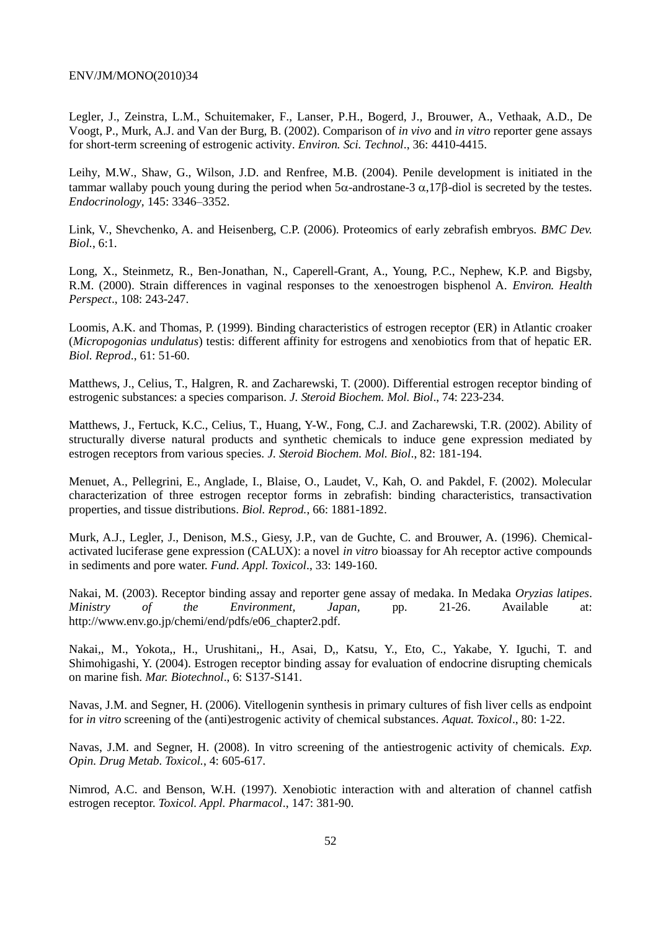[Legler, J.](http://www.ncbi.nlm.nih.gov/entrez/query.fcgi?db=pubmed&cmd=Search&itool=pubmed_Abstract&term=%22Legler+J%22%5BAuthor%5D), [Zeinstra, L.M.](http://www.ncbi.nlm.nih.gov/entrez/query.fcgi?db=pubmed&cmd=Search&itool=pubmed_Abstract&term=%22Zeinstra+LM%22%5BAuthor%5D), [Schuitemaker, F.](http://www.ncbi.nlm.nih.gov/entrez/query.fcgi?db=pubmed&cmd=Search&itool=pubmed_Abstract&term=%22Schuitemaker+F%22%5BAuthor%5D), [Lanser, P.H.](http://www.ncbi.nlm.nih.gov/entrez/query.fcgi?db=pubmed&cmd=Search&itool=pubmed_Abstract&term=%22Lanser+PH%22%5BAuthor%5D), [Bogerd, J.](http://www.ncbi.nlm.nih.gov/entrez/query.fcgi?db=pubmed&cmd=Search&itool=pubmed_Abstract&term=%22Bogerd+J%22%5BAuthor%5D), [Brouwer, A.](http://www.ncbi.nlm.nih.gov/entrez/query.fcgi?db=pubmed&cmd=Search&itool=pubmed_Abstract&term=%22Brouwer+A%22%5BAuthor%5D), [Vethaak, A.D.](http://www.ncbi.nlm.nih.gov/entrez/query.fcgi?db=pubmed&cmd=Search&itool=pubmed_Abstract&term=%22Vethaak+AD%22%5BAuthor%5D), [De](http://www.ncbi.nlm.nih.gov/entrez/query.fcgi?db=pubmed&cmd=Search&itool=pubmed_Abstract&term=%22De+Voogt+P%22%5BAuthor%5D)  [Voogt, P.](http://www.ncbi.nlm.nih.gov/entrez/query.fcgi?db=pubmed&cmd=Search&itool=pubmed_Abstract&term=%22De+Voogt+P%22%5BAuthor%5D), [Murk, A.J.](http://www.ncbi.nlm.nih.gov/entrez/query.fcgi?db=pubmed&cmd=Search&itool=pubmed_Abstract&term=%22Murk+AJ%22%5BAuthor%5D) and [Van der Burg, B.](http://www.ncbi.nlm.nih.gov/entrez/query.fcgi?db=pubmed&cmd=Search&itool=pubmed_Abstract&term=%22Van+der+Burg+B%22%5BAuthor%5D) (2002). Comparison of *in vivo* and *in vitro* reporter gene assays for short-term screening of estrogenic activity. *[Environ. Sci. Technol](javascript:AL_get(this,%20)*., 36: 4410-4415.

Leihy, M.W., Shaw, G., Wilson, J.D. and Renfree, M.B. (2004). Penile development is initiated in the tammar wallaby pouch young during the period when  $5\alpha$ -androstane-3  $\alpha$ ,17 $\beta$ -diol is secreted by the testes. *Endocrinology,* 145: 3346–3352.

Link, V., Shevchenko, A. and Heisenberg, C.P. (2006). Proteomics of early zebrafish embryos. *BMC Dev. Biol.*, 6:1.

Long, X., Steinmetz, R., Ben-Jonathan, N., Caperell-Grant, A., Young, P.C., Nephew, K.P. and Bigsby, R.M. (2000). Strain differences in vaginal responses to the xenoestrogen bisphenol A. *Environ. Health Perspect*., 108: 243-247.

Loomis, A.K. and Thomas, P. (1999). Binding characteristics of estrogen receptor (ER) in Atlantic croaker (*Micropogonias undulatus*) testis: different affinity for estrogens and xenobiotics from that of hepatic ER. *Biol. Reprod*., 61: 51-60.

Matthews, J., Celius, T., Halgren, R. and Zacharewski, T. (2000). Differential estrogen receptor binding of estrogenic substances: a species comparison. *J. Steroid Biochem. Mol. Biol*., 74: 223-234.

Matthews, J., Fertuck, K.C., Celius, T., Huang, Y-W., Fong, C.J. and Zacharewski, T.R. (2002). Ability of structurally diverse natural products and synthetic chemicals to induce gene expression mediated by estrogen receptors from various species. *J. Steroid Biochem. Mol. Biol*., 82: 181-194.

Menuet, A., Pellegrini, E., Anglade, I., Blaise, O., Laudet, V., Kah, O. and Pakdel, F. (2002). Molecular characterization of three estrogen receptor forms in zebrafish: binding characteristics, transactivation properties, and tissue distributions. *Biol. Reprod.*, 66: 1881-1892.

Murk, A.J., Legler, J., Denison, M.S., Giesy, J.P., van de Guchte, C. and Brouwer, A. (1996). Chemicalactivated luciferase gene expression (CALUX): a novel *in vitro* bioassay for Ah receptor active compounds in sediments and pore water. *Fund. Appl. Toxicol*., 33: 149-160.

Nakai, M. (2003). Receptor binding assay and reporter gene assay of medaka. In Medaka *Oryzias latipes*. *Ministry of the Environment, Japan,* pp. 21-26. Available at: http://www.env.go.jp/chemi/end/pdfs/e06\_chapter2.pdf.

Nakai,, M., Yokota,, H., Urushitani,, H., Asai, D,, Katsu, Y., Eto, C., Yakabe, Y. Iguchi, T. and Shimohigashi, Y. (2004). Estrogen receptor binding assay for evaluation of endocrine disrupting chemicals on marine fish. *Mar. Biotechnol*., 6: S137-S141.

Navas, J.M. and Segner, H. (2006). Vitellogenin synthesis in primary cultures of fish liver cells as endpoint for *in vitro* screening of the (anti)estrogenic activity of chemical substances. *Aquat. Toxicol*., 80: 1-22.

Navas, J.M. and Segner, H. (2008). In vitro screening of the antiestrogenic activity of chemicals. *Exp. Opin. Drug Metab. Toxicol.*, 4: 605-617.

Nimrod, A.C. and Benson, W.H. (1997). Xenobiotic interaction with and alteration of channel catfish estrogen receptor. *Toxicol. Appl. Pharmacol*., 147: 381-90.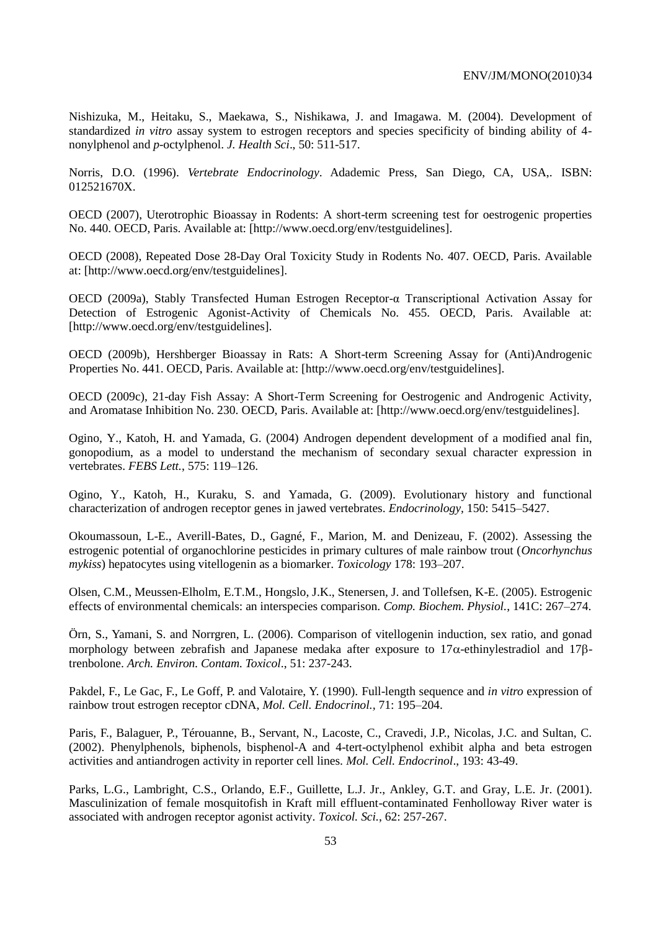Nishizuka, M., Heitaku, S., Maekawa, S., Nishikawa, J. and Imagawa. M. (2004). Development of standardized *in vitro* assay system to estrogen receptors and species specificity of binding ability of 4 nonylphenol and *p*-octylphenol. *J. Health Sci*., 50: 511-517.

Norris, D.O. (1996). *Vertebrate Endocrinology*. Adademic Press, San Diego, CA, USA,. ISBN: [012521670X.](https://www.alibris.com/search/books/isbn/012521670X)

OECD (2007), Uterotrophic Bioassay in Rodents: A short-term screening test for oestrogenic properties No. 440. OECD, Paris. Available at: [\[http://www.oecd.org/env/testguidelines\]](http://www.oecd.org/env/testguidelines).

OECD (2008), Repeated Dose 28-Day Oral Toxicity Study in Rodents No. 407. OECD, Paris. Available at: [\[http://www.oecd.org/env/testguidelines\]](http://www.oecd.org/env/testguidelines).

OECD (2009a), Stably Transfected Human Estrogen Receptor-α Transcriptional Activation Assay for Detection of Estrogenic Agonist-Activity of Chemicals No. 455. OECD, Paris. Available at: [\[http://www.oecd.org/env/testguidelines\]](http://www.oecd.org/env/testguidelines).

OECD (2009b), Hershberger Bioassay in Rats: A Short-term Screening Assay for (Anti)Androgenic Properties No. 441. OECD, Paris. Available at: [\[http://www.oecd.org/env/testguidelines\]](http://www.oecd.org/env/testguidelines).

OECD (2009c), 21-day Fish Assay: A Short-Term Screening for Oestrogenic and Androgenic Activity, and Aromatase Inhibition No. 230. OECD, Paris. Available at: [\[http://www.oecd.org/env/testguidelines\]](http://www.oecd.org/env/testguidelines).

Ogino, Y., Katoh, H. and Yamada, G. (2004) Androgen dependent development of a modified anal fin, gonopodium, as a model to understand the mechanism of secondary sexual character expression in vertebrates. *FEBS Lett.*, 575: 119–126.

Ogino, Y., Katoh, H., Kuraku, S. and Yamada, G. (2009). Evolutionary history and functional characterization of androgen receptor genes in jawed vertebrates. *Endocrinology,* 150: 5415–5427.

Okoumassoun, L-E., Averill-Bates, D., Gagné, F., Marion, M. and Denizeau, F. (2002). Assessing the estrogenic potential of organochlorine pesticides in primary cultures of male rainbow trout (*Oncorhynchus mykiss*) hepatocytes using vitellogenin as a biomarker. *Toxicology* 178: 193–207.

Olsen, C.M., Meussen-Elholm, E.T.M., Hongslo, J.K., Stenersen, J. and Tollefsen, K-E. (2005). Estrogenic effects of environmental chemicals: an interspecies comparison. *Comp. Biochem. Physiol.*, 141C: 267–274.

Örn, S., Yamani, S. and Norrgren, L. (2006). Comparison of vitellogenin induction, sex ratio, and gonad morphology between zebrafish and Japanese medaka after exposure to  $17\alpha$ -ethinylestradiol and 178trenbolone. *Arch. Environ. Contam. Toxicol*., 51: 237-243.

Pakdel, F., Le Gac, F., Le Goff, P. and Valotaire, Y. (1990). Full-length sequence and *in vitro* expression of rainbow trout estrogen receptor cDNA, *Mol. Cell. Endocrinol.,* 71: 195–204.

Paris, F., Balaguer, P., Térouanne, B., Servant, N., Lacoste, C., Cravedi, J.P., Nicolas, J.C. and Sultan, C. (2002). Phenylphenols, biphenols, bisphenol-A and 4-tert-octylphenol exhibit alpha and beta estrogen activities and antiandrogen activity in reporter cell lines. *Mol. Cell. Endocrinol*., 193: 43-49.

[Parks, L.G.](http://www.ncbi.nlm.nih.gov/entrez/query.fcgi?db=pubmed&cmd=Search&itool=pubmed_Abstract&term=%22Parks+LG%22%5BAuthor%5D), [Lambright, C.S.](http://www.ncbi.nlm.nih.gov/entrez/query.fcgi?db=pubmed&cmd=Search&itool=pubmed_Abstract&term=%22Lambright+CS%22%5BAuthor%5D), [Orlando, E.F.](http://www.ncbi.nlm.nih.gov/entrez/query.fcgi?db=pubmed&cmd=Search&itool=pubmed_Abstract&term=%22Orlando+EF%22%5BAuthor%5D), [Guillette, L.J. Jr.](http://www.ncbi.nlm.nih.gov/entrez/query.fcgi?db=pubmed&cmd=Search&itool=pubmed_Abstract&term=%22Guillette+LJ+Jr%22%5BAuthor%5D), [Ankley, G.T.](http://www.ncbi.nlm.nih.gov/entrez/query.fcgi?db=pubmed&cmd=Search&itool=pubmed_Abstract&term=%22Ankley+GT%22%5BAuthor%5D) and [Gray, L.E. Jr.](http://www.ncbi.nlm.nih.gov/entrez/query.fcgi?db=pubmed&cmd=Search&itool=pubmed_Abstract&term=%22Gray+LE+Jr%22%5BAuthor%5D) (2001). Masculinization of female mosquitofish in Kraft mill effluent-contaminated Fenholloway River water is associated with androgen receptor agonist activity. *[Toxicol. Sci.](javascript:AL_get(this,%20)*, 62: 257-267.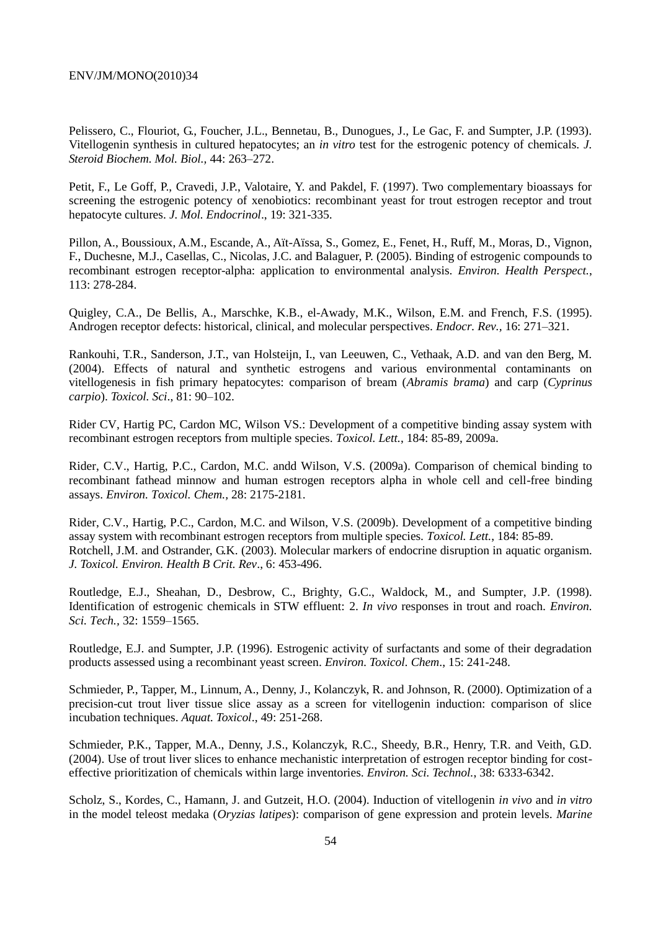Pelissero, C., Flouriot, G., Foucher, J.L., Bennetau, B., Dunogues, J., Le Gac, F. and Sumpter, J.P. (1993). Vitellogenin synthesis in cultured hepatocytes; an *in vitro* test for the estrogenic potency of chemicals. *J. Steroid Biochem. Mol. Biol.,* 44: 263–272.

Petit, F., Le Goff, P., Cravedi, J.P., Valotaire, Y. and Pakdel, F. (1997). Two complementary bioassays for screening the estrogenic potency of xenobiotics: recombinant yeast for trout estrogen receptor and trout hepatocyte cultures. *J. Mol. Endocrinol*., 19: 321-335.

Pillon, A., Boussioux, A.M., Escande, A., Aït-Aïssa, S., Gomez, E., Fenet, H., Ruff, M., Moras, D., Vignon, F., Duchesne, M.J., Casellas, C., Nicolas, J.C. and Balaguer, P. (2005). Binding of estrogenic compounds to recombinant estrogen receptor-alpha: application to environmental analysis. *Environ. Health Perspect.*, 113: 278-284.

Quigley, C.A., De Bellis, A., Marschke, K.B., el-Awady, M.K., Wilson, E.M. and French, F.S. (1995). Androgen receptor defects: historical, clinical, and molecular perspectives. *Endocr. Rev.,* 16: 271–321.

Rankouhi, T.R., Sanderson, J.T., van Holsteijn, I., van Leeuwen, C., Vethaak, A.D. and van den Berg, M. (2004). Effects of natural and synthetic estrogens and various environmental contaminants on vitellogenesis in fish primary hepatocytes: comparison of bream (*Abramis brama*) and carp (*Cyprinus carpio*). *Toxicol. Sci*., 81: 90–102.

[Rider CV,](http://www.ncbi.nlm.nih.gov/pubmed?term=%22Rider%20CV%22%5BAuthor%5D) [Hartig PC,](http://www.ncbi.nlm.nih.gov/pubmed?term=%22Hartig%20PC%22%5BAuthor%5D) [Cardon MC,](http://www.ncbi.nlm.nih.gov/pubmed?term=%22Cardon%20MC%22%5BAuthor%5D) [Wilson VS.](http://www.ncbi.nlm.nih.gov/pubmed?term=%22Wilson%20VS%22%5BAuthor%5D): Development of a competitive binding assay system with recombinant estrogen receptors from multiple species. *[Toxicol.](javascript:AL_get(this,%20) Lett.*, 184: 85-89, 2009a.

[Rider, C.V.](http://www.ncbi.nlm.nih.gov/pubmed?term=%22Rider%20CV%22%5BAuthor%5D), [Hartig, P.C.](http://www.ncbi.nlm.nih.gov/pubmed?term=%22Hartig%20PC%22%5BAuthor%5D), [Cardon, M.C.](http://www.ncbi.nlm.nih.gov/pubmed?term=%22Cardon%20MC%22%5BAuthor%5D) andd [Wilson, V.S.](http://www.ncbi.nlm.nih.gov/pubmed?term=%22Wilson%20VS%22%5BAuthor%5D) (2009a). Comparison of chemical binding to recombinant fathead minnow and human estrogen receptors alpha in whole cell and cell-free binding assays. *[Environ. Toxicol. Chem.,](javascript:AL_get(this,%20)* 28: 2175-2181.

[Rider, C.V.](http://www.ncbi.nlm.nih.gov/pubmed?term=%22Rider%20CV%22%5BAuthor%5D), [Hartig, P.C.](http://www.ncbi.nlm.nih.gov/pubmed?term=%22Hartig%20PC%22%5BAuthor%5D), [Cardon, M.C.](http://www.ncbi.nlm.nih.gov/pubmed?term=%22Cardon%20MC%22%5BAuthor%5D) and [Wilson, V.S.](http://www.ncbi.nlm.nih.gov/pubmed?term=%22Wilson%20VS%22%5BAuthor%5D) (2009b). Development of a competitive binding assay system with recombinant estrogen receptors from multiple species. *[Toxicol. Lett.](javascript:AL_get(this,%20)*, 184: 85-89. Rotchell, J.M. and Ostrander, G.K. (2003). Molecular markers of endocrine disruption in aquatic organism. *J. Toxicol. Environ. Health B Crit. Rev*., 6: 453-496.

Routledge, E.J., Sheahan, D., Desbrow, C., Brighty, G.C., Waldock, M., and Sumpter, J.P. (1998). Identification of estrogenic chemicals in STW effluent: 2. *In vivo* responses in trout and roach. *Environ. Sci. Tech.,* 32: 1559–1565.

Routledge, E.J. and Sumpter, J.P. (1996). Estrogenic activity of surfactants and some of their degradation products assessed using a recombinant yeast screen. *Environ. Toxicol. Chem*., 15: 241-248.

Schmieder, P., Tapper, M., Linnum, A., Denny, J., Kolanczyk, R. and Johnson, R. (2000). Optimization of a precision-cut trout liver tissue slice assay as a screen for vitellogenin induction: comparison of slice incubation techniques. *Aquat. Toxicol*., 49: 251-268.

Schmieder, P.K., Tapper, M.A., Denny, J.S., Kolanczyk, R.C., Sheedy, B.R., Henry, T.R. and Veith, G.D. (2004). Use of trout liver slices to enhance mechanistic interpretation of estrogen receptor binding for costeffective prioritization of chemicals within large inventories. *Environ. Sci. Technol.*, 38: 6333-6342.

Scholz, S., Kordes, C., Hamann, J. and Gutzeit, H.O. (2004). Induction of vitellogenin *in vivo* and *in vitro* in the model teleost medaka (*Oryzias latipes*): comparison of gene expression and protein levels. *Marine*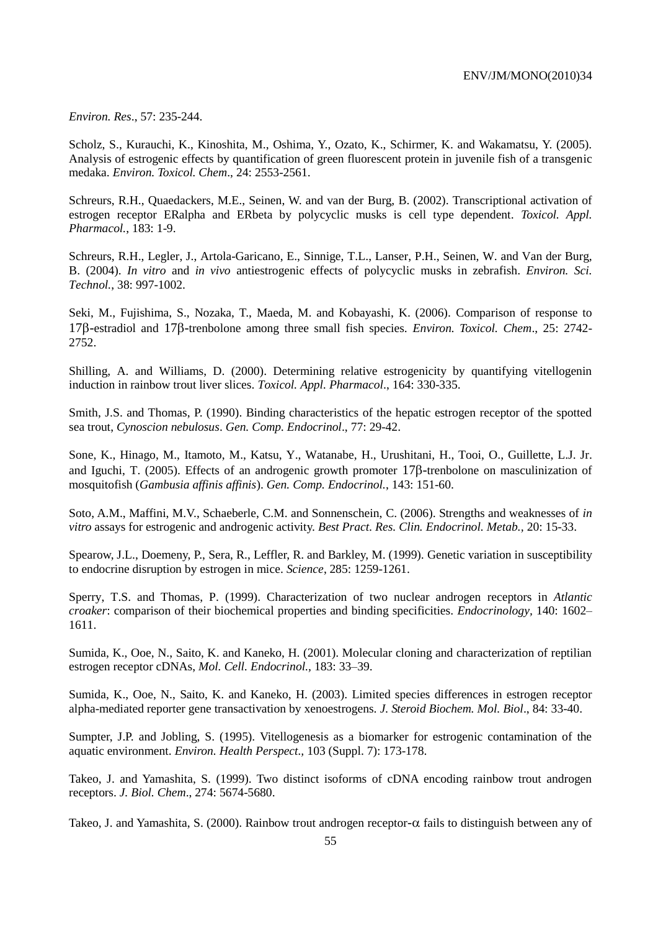*Environ. Res*., 57: 235-244.

Scholz, S., Kurauchi, K., Kinoshita, M., Oshima, Y., Ozato, K., Schirmer, K. and Wakamatsu, Y. (2005). Analysis of estrogenic effects by quantification of green fluorescent protein in juvenile fish of a transgenic medaka. *Environ. Toxicol. Chem*., 24: 2553-2561.

Schreurs, R.H., Quaedackers, M.E., Seinen, W. and van der Burg, B. (2002). Transcriptional activation of estrogen receptor ERalpha and ERbeta by polycyclic musks is cell type dependent. *Toxicol. Appl. Pharmacol.*, 183: 1-9.

[Schreurs, R.H.](http://www.ncbi.nlm.nih.gov/entrez/query.fcgi?db=pubmed&cmd=Search&itool=pubmed_Abstract&term=%22Schreurs+RH%22%5BAuthor%5D), [Legler, J.](http://www.ncbi.nlm.nih.gov/entrez/query.fcgi?db=pubmed&cmd=Search&itool=pubmed_Abstract&term=%22Legler+J%22%5BAuthor%5D), [Artola-Garicano, E.](http://www.ncbi.nlm.nih.gov/entrez/query.fcgi?db=pubmed&cmd=Search&itool=pubmed_Abstract&term=%22Artola%2DGaricano+E%22%5BAuthor%5D), [Sinnige, T.L.](http://www.ncbi.nlm.nih.gov/entrez/query.fcgi?db=pubmed&cmd=Search&itool=pubmed_Abstract&term=%22Sinnige+TL%22%5BAuthor%5D), [Lanser, P.H.](http://www.ncbi.nlm.nih.gov/entrez/query.fcgi?db=pubmed&cmd=Search&itool=pubmed_Abstract&term=%22Lanser+PH%22%5BAuthor%5D), [Seinen, W.](http://www.ncbi.nlm.nih.gov/entrez/query.fcgi?db=pubmed&cmd=Search&itool=pubmed_Abstract&term=%22Seinen+W%22%5BAuthor%5D) and [Van der Burg,](http://www.ncbi.nlm.nih.gov/entrez/query.fcgi?db=pubmed&cmd=Search&itool=pubmed_Abstract&term=%22Van+der+Burg+B%22%5BAuthor%5D)  [B.](http://www.ncbi.nlm.nih.gov/entrez/query.fcgi?db=pubmed&cmd=Search&itool=pubmed_Abstract&term=%22Van+der+Burg+B%22%5BAuthor%5D) (2004). *In vitro* and *in vivo* antiestrogenic effects of polycyclic musks in zebrafish. *[Environ. Sci.](javascript:AL_get(this,%20)  [Technol.](javascript:AL_get(this,%20)*, 38: 997-1002.

Seki, M., Fujishima, S., Nozaka, T., Maeda, M. and Kobayashi, K. (2006). Comparison of response to 17B-estradiol and 17B-trenbolone among three small fish species. *Environ. Toxicol. Chem.*, 25: 2742-2752.

Shilling, A. and Williams, D. (2000). Determining relative estrogenicity by quantifying vitellogenin induction in rainbow trout liver slices. *Toxicol. Appl. Pharmacol*., 164: 330-335.

Smith, J.S. and Thomas, P. (1990). Binding characteristics of the hepatic estrogen receptor of the spotted sea trout, *Cynoscion nebulosus*. *Gen. Comp. Endocrinol*., 77: 29-42.

[Sone, K.](http://www.ncbi.nlm.nih.gov/entrez/query.fcgi?db=pubmed&cmd=Search&itool=pubmed_Abstract&term=%22Sone+K%22%5BAuthor%5D), [Hinago, M.](http://www.ncbi.nlm.nih.gov/entrez/query.fcgi?db=pubmed&cmd=Search&itool=pubmed_Abstract&term=%22Hinago+M%22%5BAuthor%5D), [Itamoto, M.](http://www.ncbi.nlm.nih.gov/entrez/query.fcgi?db=pubmed&cmd=Search&itool=pubmed_Abstract&term=%22Itamoto+M%22%5BAuthor%5D), [Katsu, Y.](http://www.ncbi.nlm.nih.gov/entrez/query.fcgi?db=pubmed&cmd=Search&itool=pubmed_Abstract&term=%22Katsu+Y%22%5BAuthor%5D), [Watanabe, H.](http://www.ncbi.nlm.nih.gov/entrez/query.fcgi?db=pubmed&cmd=Search&itool=pubmed_Abstract&term=%22Watanabe+H%22%5BAuthor%5D), [Urushitani, H.](http://www.ncbi.nlm.nih.gov/entrez/query.fcgi?db=pubmed&cmd=Search&itool=pubmed_Abstract&term=%22Urushitani+H%22%5BAuthor%5D), [Tooi, O.](http://www.ncbi.nlm.nih.gov/entrez/query.fcgi?db=pubmed&cmd=Search&itool=pubmed_Abstract&term=%22Tooi+O%22%5BAuthor%5D), [Guillette, L.J. Jr.](http://www.ncbi.nlm.nih.gov/entrez/query.fcgi?db=pubmed&cmd=Search&itool=pubmed_Abstract&term=%22Guillette+LJ+Jr%22%5BAuthor%5D) and [Iguchi, T.](http://www.ncbi.nlm.nih.gov/entrez/query.fcgi?db=pubmed&cmd=Search&itool=pubmed_Abstract&term=%22Iguchi+T%22%5BAuthor%5D) (2005). Effects of an androgenic growth promoter  $17\beta$ -trenbolone on masculinization of mosquitofish (*Gambusia affinis affinis*). *[Gen. Comp. Endocrinol.](javascript:AL_get(this,%20)*, 143: 151-60.

Soto, A.M., Maffini, M.V., Schaeberle, C.M. and Sonnenschein, C. (2006). Strengths and weaknesses of *in vitro* assays for estrogenic and androgenic activity. *Best Pract. Res. Clin. Endocrinol. Metab.,* 20: 15-33.

Spearow, J.L., Doemeny, P., Sera, R., Leffler, R. and Barkley, M. (1999). Genetic variation in susceptibility to endocrine disruption by estrogen in mice. *Science*, 285: 1259-1261.

Sperry, T.S. and Thomas, P. (1999). Characterization of two nuclear androgen receptors in *Atlantic croaker*: comparison of their biochemical properties and binding specificities. *Endocrinology,* 140: 1602– 1611.

Sumida, K., Ooe, N., Saito, K. and Kaneko, H. (2001). Molecular cloning and characterization of reptilian estrogen receptor cDNAs, *Mol. Cell. Endocrinol.,* 183: 33–39.

Sumida, K., Ooe, N., Saito, K. and Kaneko, H. (2003). Limited species differences in estrogen receptor alpha-mediated reporter gene transactivation by xenoestrogens. *J. Steroid Biochem. Mol. Biol*., 84: 33-40.

Sumpter, J.P. and Jobling, S. (1995). Vitellogenesis as a biomarker for estrogenic contamination of the aquatic environment. *Environ. Health Perspect.,* 103 (Suppl. 7): 173-178.

Takeo, J. and Yamashita, S. (1999). Two distinct isoforms of cDNA encoding rainbow trout androgen receptors. *J. Biol. Chem*., 274: 5674-5680.

Takeo, J. and Yamashita, S. (2000). Rainbow trout androgen receptor- $\alpha$  fails to distinguish between any of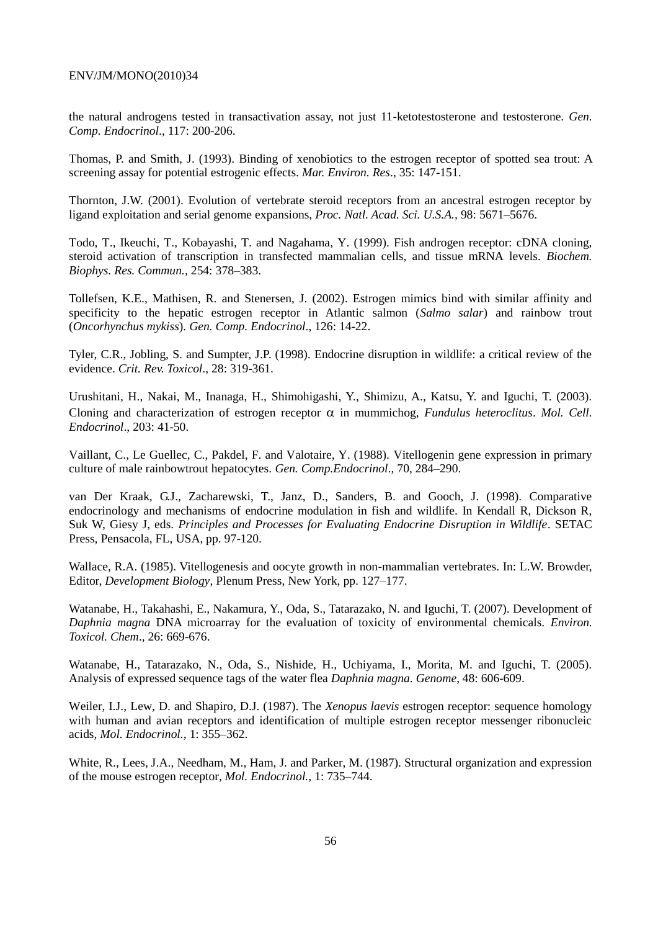the natural androgens tested in transactivation assay, not just 11-ketotestosterone and testosterone. *Gen. Comp. Endocrinol*., 117: 200-206.

Thomas, P. and Smith, J. (1993). Binding of xenobiotics to the estrogen receptor of spotted sea trout: A screening assay for potential estrogenic effects. *Mar. Environ. Res*., 35: 147-151.

Thornton, J.W. (2001). Evolution of vertebrate steroid receptors from an ancestral estrogen receptor by ligand exploitation and serial genome expansions, *Proc. Natl. Acad. Sci. U.S.A.,* 98: 5671–5676.

Todo, T., Ikeuchi, T., Kobayashi, T. and Nagahama, Y. (1999). Fish androgen receptor: cDNA cloning, steroid activation of transcription in transfected mammalian cells, and tissue mRNA levels. *Biochem. Biophys. Res. Commun.,* 254: 378–383.

Tollefsen, K.E., Mathisen, R. and Stenersen, J. (2002). Estrogen mimics bind with similar affinity and specificity to the hepatic estrogen receptor in Atlantic salmon (*Salmo salar*) and rainbow trout (*Oncorhynchus mykiss*). *Gen. Comp. Endocrinol*., 126: 14-22.

Tyler, C.R., Jobling, S. and Sumpter, J.P. (1998). Endocrine disruption in wildlife: a critical review of the evidence. *Crit. Rev. Toxicol*., 28: 319-361.

Urushitani, H., Nakai, M., Inanaga, H., Shimohigashi, Y., Shimizu, A., Katsu, Y. and Iguchi, T. (2003). Cloning and characterization of estrogen receptor  $\alpha$  in mummichog, *Fundulus heteroclitus. Mol. Cell. Endocrinol*., 203: 41-50.

Vaillant, C., Le Guellec, C., Pakdel, F. and Valotaire, Y. (1988). Vitellogenin gene expression in primary culture of male rainbowtrout hepatocytes. *Gen. Comp.Endocrinol*., 70, 284–290.

van Der Kraak, G.J., Zacharewski, T., Janz, D., Sanders, B. and Gooch, J. (1998). Comparative endocrinology and mechanisms of endocrine modulation in fish and wildlife. In Kendall R, Dickson R, Suk W, Giesy J, eds. *Principles and Processes for Evaluating Endocrine Disruption in Wildlife*. SETAC Press, Pensacola, FL, USA, pp. 97-120.

Wallace, R.A. (1985). Vitellogenesis and oocyte growth in non-mammalian vertebrates. In: L.W. Browder, Editor, *Development Biology*, Plenum Press, New York, pp. 127–177.

Watanabe, H., Takahashi, E., Nakamura, Y., Oda, S., Tatarazako, N. and Iguchi, T. (2007). Development of *Daphnia magna* DNA microarray for the evaluation of toxicity of environmental chemicals. *Environ. Toxicol. Chem*., 26: 669-676.

Watanabe, H., Tatarazako, N., Oda, S., Nishide, H., Uchiyama, I., Morita, M. and Iguchi, T. (2005). Analysis of expressed sequence tags of the water flea *Daphnia magna*. *Genome*, 48: 606-609.

Weiler, I.J., Lew, D. and Shapiro, D.J. (1987). The *Xenopus laevis* estrogen receptor: sequence homology with human and avian receptors and identification of multiple estrogen receptor messenger ribonucleic acids, *Mol. Endocrinol.,* 1: 355–362.

White, R., Lees, J.A., Needham, M., Ham, J. and Parker, M. (1987). Structural organization and expression of the mouse estrogen receptor, *Mol. Endocrinol.,* 1: 735–744.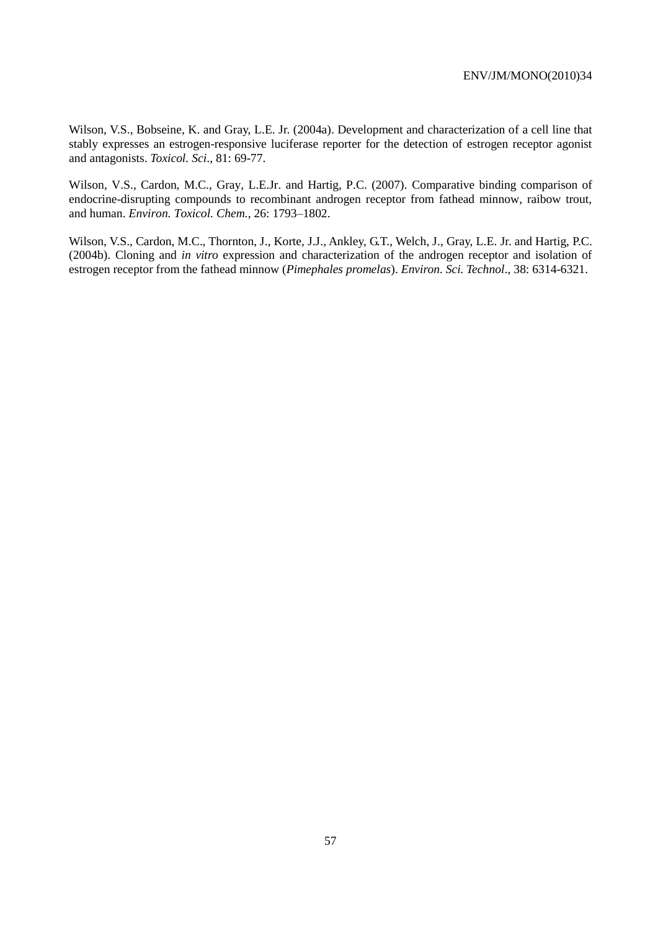Wilson, V.S., Bobseine, K. and Gray, L.E. Jr. (2004a). Development and characterization of a cell line that stably expresses an estrogen-responsive luciferase reporter for the detection of estrogen receptor agonist and antagonists. *Toxicol. Sci*., 81: 69-77.

Wilson, V.S., Cardon, M.C., Gray, L.E.Jr. and Hartig, P.C. (2007). Comparative binding comparison of endocrine-disrupting compounds to recombinant androgen receptor from fathead minnow, raibow trout, and human. *Environ. Toxicol. Chem.*, 26: 1793–1802.

Wilson, V.S., Cardon, M.C., Thornton, J., Korte, J.J., Ankley, G.T., Welch, J., Gray, L.E. Jr. and Hartig, P.C. (2004b). Cloning and *in vitro* expression and characterization of the androgen receptor and isolation of estrogen receptor from the fathead minnow (*Pimephales promelas*). *Environ. Sci. Technol*., 38: 6314-6321.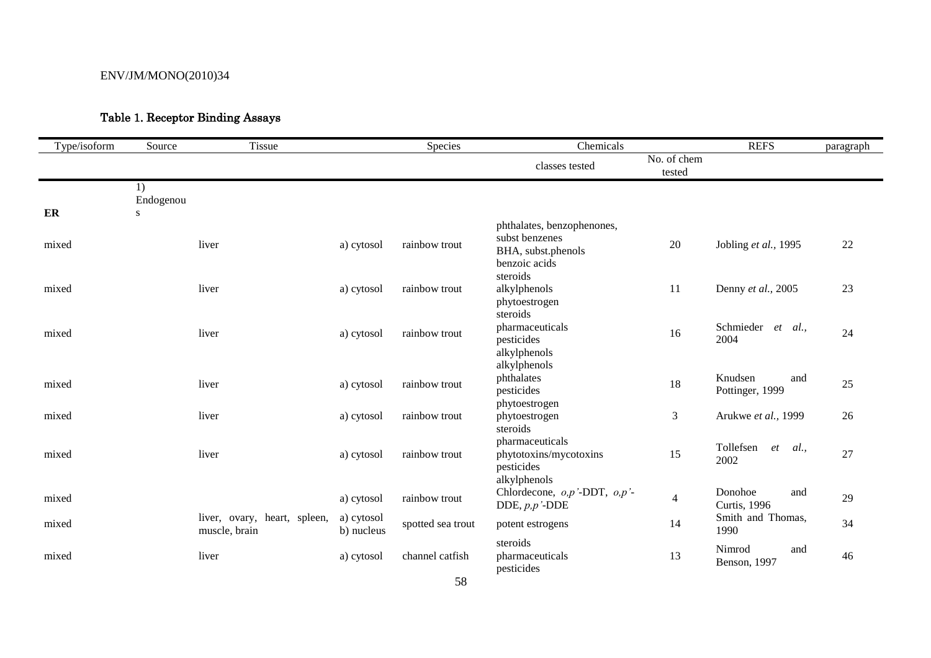# Table 1. Receptor Binding Assays

| Type/isoform | Source          | Tissue                                        |                          | Species           | Chemicals                                                                           |                          | <b>REFS</b>                            | paragraph |
|--------------|-----------------|-----------------------------------------------|--------------------------|-------------------|-------------------------------------------------------------------------------------|--------------------------|----------------------------------------|-----------|
|              |                 |                                               |                          |                   | classes tested                                                                      | No. of chem<br>tested    |                                        |           |
|              | 1)<br>Endogenou |                                               |                          |                   |                                                                                     |                          |                                        |           |
| ER           | S               |                                               |                          |                   |                                                                                     |                          |                                        |           |
| mixed        |                 | liver                                         | a) cytosol               | rainbow trout     | phthalates, benzophenones,<br>subst benzenes<br>BHA, subst.phenols<br>benzoic acids | 20                       | Jobling et al., 1995                   | 22        |
| mixed        |                 | liver                                         | a) cytosol               | rainbow trout     | steroids<br>alkylphenols<br>phytoestrogen<br>steroids                               | 11                       | Denny et al., 2005                     | 23        |
| mixed        |                 | liver                                         | a) cytosol               | rainbow trout     | pharmaceuticals<br>pesticides<br>alkylphenols                                       | 16                       | Schmieder<br>$et \quad al.,$<br>2004   | 24        |
| mixed        |                 | liver                                         | a) cytosol               | rainbow trout     | alkylphenols<br>phthalates<br>pesticides<br>phytoestrogen                           | 18                       | Knudsen<br>and<br>Pottinger, 1999      | 25        |
| mixed        |                 | liver                                         | a) cytosol               | rainbow trout     | phytoestrogen                                                                       | 3                        | Arukwe et al., 1999                    | 26        |
| mixed        |                 | liver                                         | a) cytosol               | rainbow trout     | steroids<br>pharmaceuticals<br>phytotoxins/mycotoxins<br>pesticides<br>alkylphenols | 15                       | Tollefsen<br>et<br>al.,<br>2002        | 27        |
| mixed        |                 |                                               | a) cytosol               | rainbow trout     | Chlordecone, $o, p'$ -DDT, $o, p'$ -<br>DDE, $p, p$ '-DDE                           | $\overline{\mathcal{L}}$ | Donohoe<br>and<br><b>Curtis</b> , 1996 | 29        |
| mixed        |                 | liver, ovary, heart, spleen,<br>muscle, brain | a) cytosol<br>b) nucleus | spotted sea trout | potent estrogens                                                                    | 14                       | Smith and Thomas,<br>1990              | 34        |
| mixed        |                 | liver                                         | a) cytosol               | channel catfish   | steroids<br>pharmaceuticals<br>pesticides                                           | 13                       | Nimrod<br>and<br>Benson, 1997          | 46        |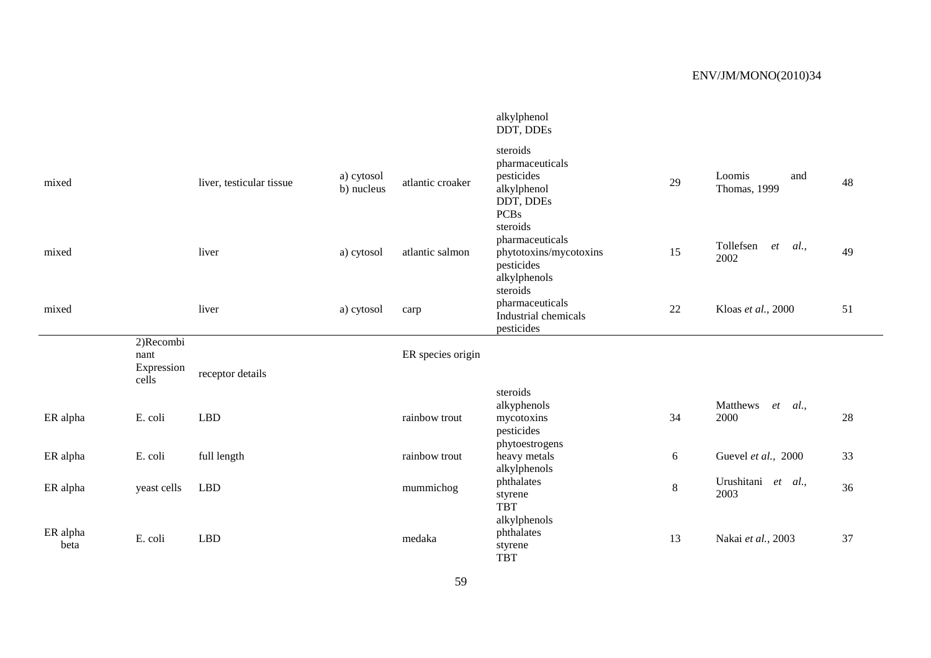|                  |                    |                          |                          |                   | alkylphenol<br>DDT, DDEs                                                             |    |                                       |    |
|------------------|--------------------|--------------------------|--------------------------|-------------------|--------------------------------------------------------------------------------------|----|---------------------------------------|----|
| mixed            |                    | liver, testicular tissue | a) cytosol<br>b) nucleus | atlantic croaker  | steroids<br>pharmaceuticals<br>pesticides<br>alkylphenol<br>DDT, DDEs<br><b>PCBs</b> | 29 | Loomis<br>and<br><b>Thomas</b> , 1999 | 48 |
| mixed            |                    | liver                    | a) cytosol               | atlantic salmon   | steroids<br>pharmaceuticals<br>phytotoxins/mycotoxins<br>pesticides<br>alkylphenols  | 15 | Tollefsen<br>et<br>al.,<br>2002       | 49 |
| mixed            |                    | liver                    | a) cytosol               | carp              | steroids<br>pharmaceuticals<br>Industrial chemicals<br>pesticides                    | 22 | Kloas et al., 2000                    | 51 |
|                  | 2)Recombi          |                          |                          |                   |                                                                                      |    |                                       |    |
|                  | nant<br>Expression |                          |                          | ER species origin |                                                                                      |    |                                       |    |
|                  | cells              | receptor details         |                          |                   |                                                                                      |    |                                       |    |
|                  |                    |                          |                          |                   | steroids                                                                             |    |                                       |    |
| ER alpha         | E. coli            | <b>LBD</b>               |                          | rainbow trout     | alkyphenols<br>mycotoxins<br>pesticides                                              | 34 | Matthews<br>et<br>al.,<br>2000        | 28 |
| ER alpha         | E. coli            | full length              |                          | rainbow trout     | phytoestrogens<br>heavy metals<br>alkylphenols                                       | 6  | Guevel et al., 2000                   | 33 |
| ER alpha         | yeast cells        | <b>LBD</b>               |                          | mummichog         | phthalates<br>styrene<br><b>TBT</b>                                                  | 8  | Urushitani et al.,<br>2003            | 36 |
| ER alpha<br>beta | E. coli            | <b>LBD</b>               |                          | medaka            | alkylphenols<br>phthalates<br>styrene<br><b>TBT</b>                                  | 13 | Nakai et al., 2003                    | 37 |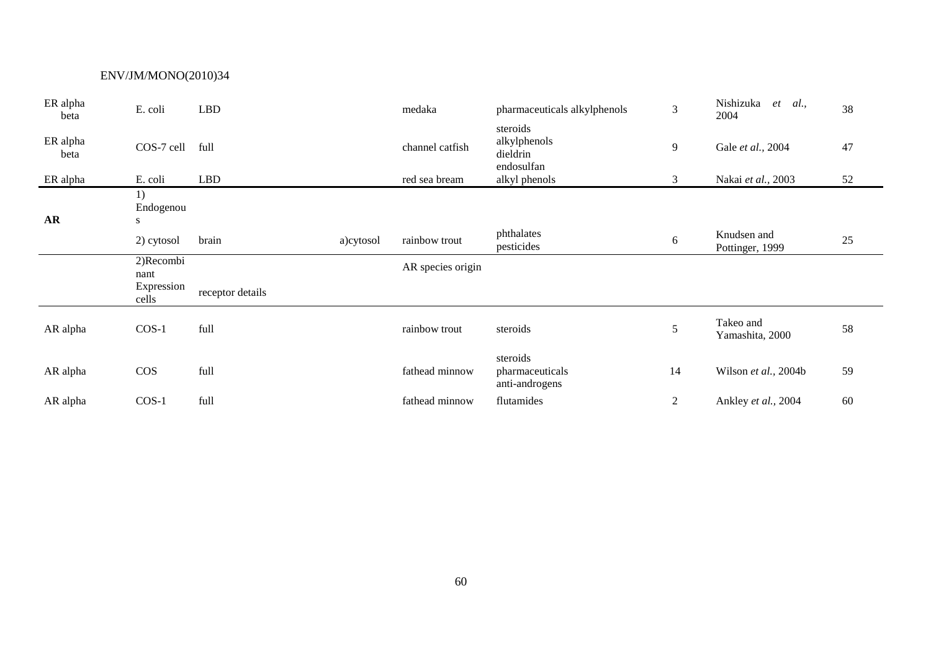| ER alpha<br>beta         | E. coli               | LBD              |           | medaka            | pharmaceuticals alkylphenols                       | $\mathfrak{Z}$ | Nishizuka<br>$et \, al.,$<br>2004 | 38 |
|--------------------------|-----------------------|------------------|-----------|-------------------|----------------------------------------------------|----------------|-----------------------------------|----|
| ER alpha<br>beta         | COS-7 cell            | full             |           | channel catfish   | steroids<br>alkylphenols<br>dieldrin<br>endosulfan | 9              | Gale et al., 2004                 | 47 |
| ER alpha                 | E. coli               | <b>LBD</b>       |           | red sea bream     | alkyl phenols                                      | 3              | Nakai et al., 2003                | 52 |
| $\overline{\mathbf{AR}}$ | 1)<br>Endogenou<br>S. |                  |           |                   |                                                    |                |                                   |    |
|                          | 2) cytosol            | brain            | a)cytosol | rainbow trout     | phthalates<br>pesticides                           | 6              | Knudsen and<br>Pottinger, 1999    | 25 |
|                          | 2)Recombi<br>nant     |                  |           | AR species origin |                                                    |                |                                   |    |
|                          | Expression<br>cells   | receptor details |           |                   |                                                    |                |                                   |    |
| AR alpha                 | $COS-1$               | full             |           | rainbow trout     | steroids                                           | 5              | Takeo and<br>Yamashita, 2000      | 58 |
| AR alpha                 | COS                   | full             |           | fathead minnow    | steroids<br>pharmaceuticals<br>anti-androgens      | 14             | Wilson et al., 2004b              | 59 |
| AR alpha                 | $COS-1$               | full             |           | fathead minnow    | flutamides                                         | $\overline{c}$ | Ankley et al., 2004               | 60 |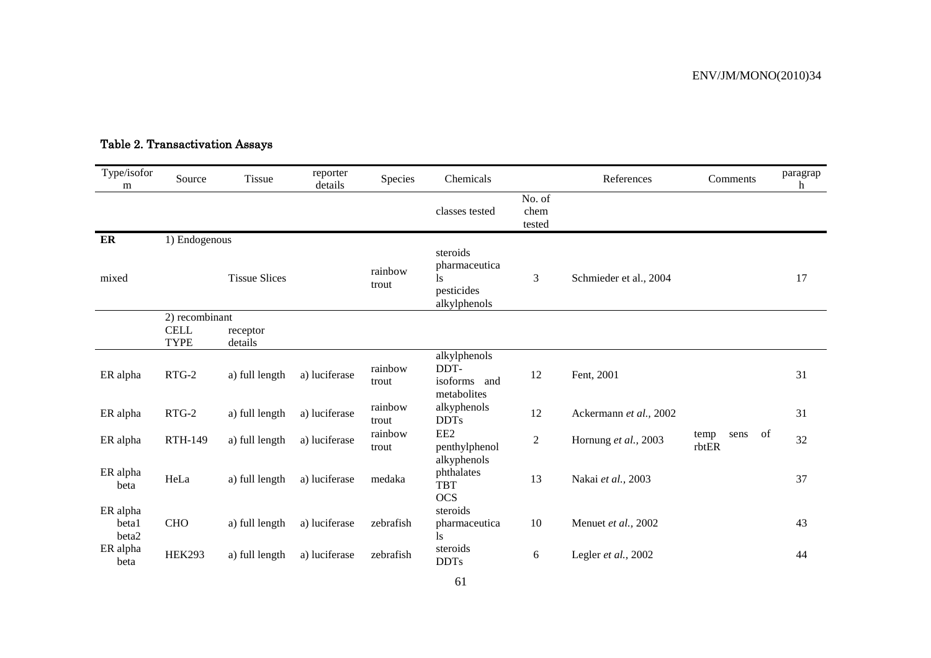| Type/isofor<br>m           | Source                     | <b>Tissue</b>        | reporter<br>details | Species          | Chemicals                                                     |                          | References             | Comments                    | paragrap<br>h |
|----------------------------|----------------------------|----------------------|---------------------|------------------|---------------------------------------------------------------|--------------------------|------------------------|-----------------------------|---------------|
|                            |                            |                      |                     |                  | classes tested                                                | No. of<br>chem<br>tested |                        |                             |               |
| ER                         | 1) Endogenous              |                      |                     |                  |                                                               |                          |                        |                             |               |
| mixed                      |                            | <b>Tissue Slices</b> |                     | rainbow<br>trout | steroids<br>pharmaceutica<br>ls<br>pesticides<br>alkylphenols | $\mathfrak{Z}$           | Schmieder et al., 2004 |                             | 17            |
|                            | 2) recombinant             |                      |                     |                  |                                                               |                          |                        |                             |               |
|                            | <b>CELL</b><br><b>TYPE</b> | receptor<br>details  |                     |                  |                                                               |                          |                        |                             |               |
| ER alpha                   | $RTG-2$                    | a) full length       | a) luciferase       | rainbow<br>trout | alkylphenols<br>DDT-<br>isoforms and<br>metabolites           | 12                       | Fent, 2001             |                             | 31            |
| ER alpha                   | $RTG-2$                    | a) full length       | a) luciferase       | rainbow<br>trout | alkyphenols<br><b>DDTs</b>                                    | 12                       | Ackermann et al., 2002 |                             | 31            |
| ER alpha                   | <b>RTH-149</b>             | a) full length       | a) luciferase       | rainbow<br>trout | EE <sub>2</sub><br>penthylphenol                              | $\overline{2}$           | Hornung et al., 2003   | of<br>temp<br>sens<br>rbtER | 32            |
| ER alpha<br>beta           | HeLa                       | a) full length       | a) luciferase       | medaka           | alkyphenols<br>phthalates<br><b>TBT</b><br><b>OCS</b>         | 13                       | Nakai et al., 2003     |                             | 37            |
| ER alpha<br>beta1<br>beta2 | CHO                        | a) full length       | a) luciferase       | zebrafish        | steroids<br>pharmaceutica<br>1s                               | 10                       | Menuet et al., 2002    |                             | 43            |
| ER alpha<br>beta           | <b>HEK293</b>              | a) full length       | a) luciferase       | zebrafish        | steroids<br><b>DDTs</b>                                       | 6                        | Legler et al., 2002    |                             | 44            |

# Table 2. Transactivation Assays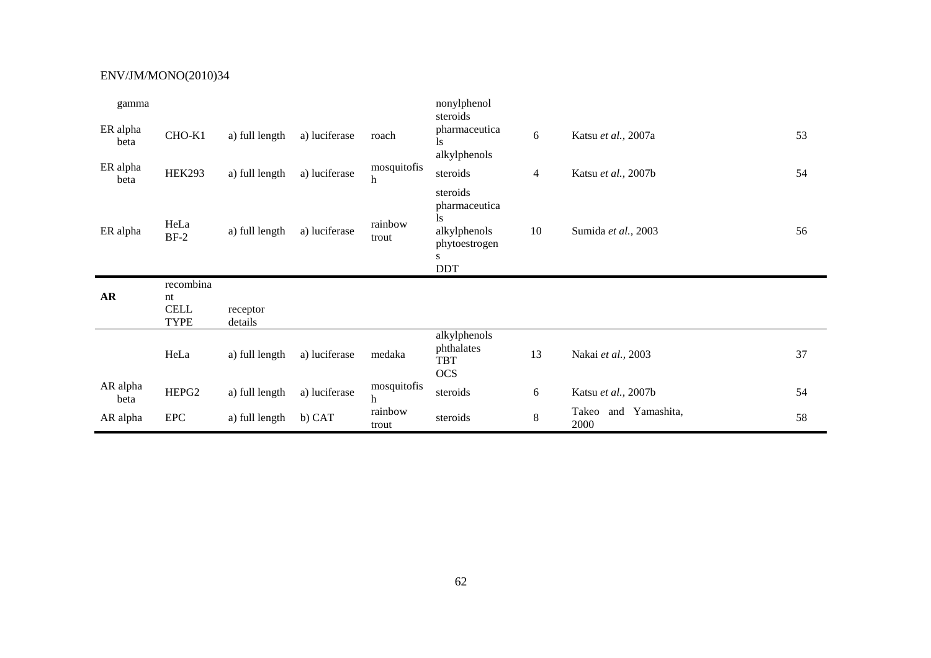| gamma            |                                               |                     |               |                      | nonylphenol<br>steroids                                                 |                |                     |    |
|------------------|-----------------------------------------------|---------------------|---------------|----------------------|-------------------------------------------------------------------------|----------------|---------------------|----|
| ER alpha<br>beta | CHO-K1                                        | a) full length      | a) luciferase | roach                | pharmaceutica<br>ls.<br>alkylphenols                                    | 6              | Katsu et al., 2007a | 53 |
| ER alpha<br>beta | <b>HEK293</b>                                 | a) full length      | a) luciferase | mosquitofis<br>$\,h$ | steroids                                                                | $\overline{4}$ | Katsu et al., 2007b | 54 |
| ER alpha         | HeLa<br>$BF-2$                                | a) full length      | a) luciferase | rainbow<br>trout     | steroids<br>pharmaceutica<br>ls.<br>alkylphenols<br>phytoestrogen<br>S. | 10             | Sumida et al., 2003 | 56 |
|                  |                                               |                     |               |                      | <b>DDT</b>                                                              |                |                     |    |
| AR               | recombina<br>nt<br><b>CELL</b><br><b>TYPE</b> | receptor<br>details |               |                      |                                                                         |                |                     |    |
|                  | HeLa                                          | a) full length      | a) luciferase | medaka               | alkylphenols<br>phthalates<br><b>TBT</b><br><b>OCS</b>                  | 13             | Nakai et al., 2003  | 37 |
| AR alpha<br>beta | HEPG <sub>2</sub>                             | a) full length      | a) luciferase | mosquitofis<br>$\,h$ | steroids                                                                | 6              | Katsu et al., 2007b | 54 |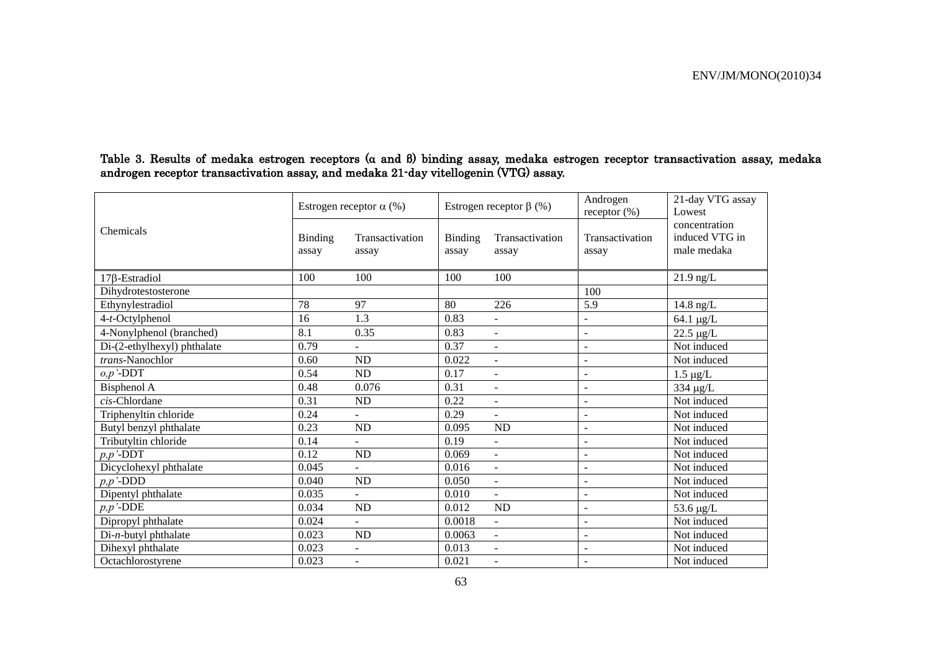|                             |                         | Estrogen receptor $\alpha$ (%) |                  | Estrogen receptor $\beta$ (%) | Androgen<br>receptor $(\%)$ | 21-day VTG assay<br>Lowest                     |
|-----------------------------|-------------------------|--------------------------------|------------------|-------------------------------|-----------------------------|------------------------------------------------|
| Chemicals                   | <b>Binding</b><br>assay | Transactivation<br>assay       | Binding<br>assay | Transactivation<br>assay      | Transactivation<br>assay    | concentration<br>induced VTG in<br>male medaka |
| $17\beta$ -Estradiol        | 100                     | 100                            | 100              | 100                           |                             | $21.9$ ng/L                                    |
| Dihydrotestosterone         |                         |                                |                  |                               | 100                         |                                                |
| Ethynylestradiol            | 78                      | 97                             | 80               | 226                           | 5.9                         | 14.8 ng/L                                      |
| $4-t$ -Octylphenol          | 16                      | 1.3                            | 0.83             | $\overline{\phantom{a}}$      | $\overline{\phantom{a}}$    | 64.1 µg/L                                      |
| 4-Nonylphenol (branched)    | 8.1                     | 0.35                           | 0.83             | $\overline{\phantom{a}}$      | $\overline{\phantom{a}}$    | $22.5 \ \mu g/L$                               |
| Di-(2-ethylhexyl) phthalate | 0.79                    |                                | 0.37             | $\blacksquare$                | $\overline{\phantom{0}}$    | Not induced                                    |
| trans-Nanochlor             | 0.60                    | ND                             | 0.022            | $\blacksquare$                | $\overline{\phantom{a}}$    | Not induced                                    |
| $o, p'$ -DDT                | 0.54                    | ND                             | 0.17             | $\overline{\phantom{a}}$      | $\overline{\phantom{a}}$    | $1.5 \ \mu g/L$                                |
| Bisphenol A                 | 0.48                    | 0.076                          | 0.31             | $\overline{\phantom{a}}$      | $\overline{\phantom{a}}$    | 334 µg/L                                       |
| cis-Chlordane               | 0.31                    | ND                             | 0.22             | $\blacksquare$                | $\overline{\phantom{a}}$    | Not induced                                    |
| Triphenyltin chloride       | 0.24                    | $\sim$                         | 0.29             | $\blacksquare$                | $\overline{\phantom{a}}$    | Not induced                                    |
| Butyl benzyl phthalate      | 0.23                    | ND                             | 0.095            | <b>ND</b>                     | $\overline{\phantom{a}}$    | Not induced                                    |
| Tributyltin chloride        | 0.14                    | $\blacksquare$                 | 0.19             | $\overline{\phantom{a}}$      | $\overline{\phantom{a}}$    | Not induced                                    |
| $p, p'$ -DDT                | 0.12                    | $\rm ND$                       | 0.069            | $\blacksquare$                | $\overline{\phantom{a}}$    | Not induced                                    |
| Dicyclohexyl phthalate      | 0.045                   |                                | 0.016            | $\overline{\phantom{a}}$      | $\overline{a}$              | Not induced                                    |
| $p, p'$ -DDD                | 0.040                   | ND                             | 0.050            | $\blacksquare$                | $\overline{\phantom{a}}$    | Not induced                                    |
| Dipentyl phthalate          | 0.035                   | $\sim$                         | 0.010            | $\blacksquare$                | $\blacksquare$              | Not induced                                    |
| $p, p$ '-DDE                | 0.034                   | ND                             | 0.012            | ND                            | $\overline{\phantom{a}}$    | 53.6 $\mu$ g/L                                 |
| Dipropyl phthalate          | 0.024                   | $\sim$                         | 0.0018           | $\omega$                      | $\overline{\phantom{a}}$    | Not induced                                    |
| $Di-n$ -butyl phthalate     | 0.023                   | ND                             | 0.0063           | $\blacksquare$                | $\overline{\phantom{a}}$    | Not induced                                    |
| Dihexyl phthalate           | 0.023                   | $\blacksquare$                 | 0.013            | $\overline{\phantom{a}}$      | $\overline{\phantom{a}}$    | Not induced                                    |
| Octachlorostyrene           | 0.023                   | $\blacksquare$                 | 0.021            | $\overline{\phantom{a}}$      | $\overline{\phantom{a}}$    | Not induced                                    |

Table 3. Results of medaka estrogen receptors (α and β) binding assay, medaka estrogen receptor transactivation assay, medaka androgen receptor transactivation assay, and medaka 21-day vitellogenin (VTG) assay.